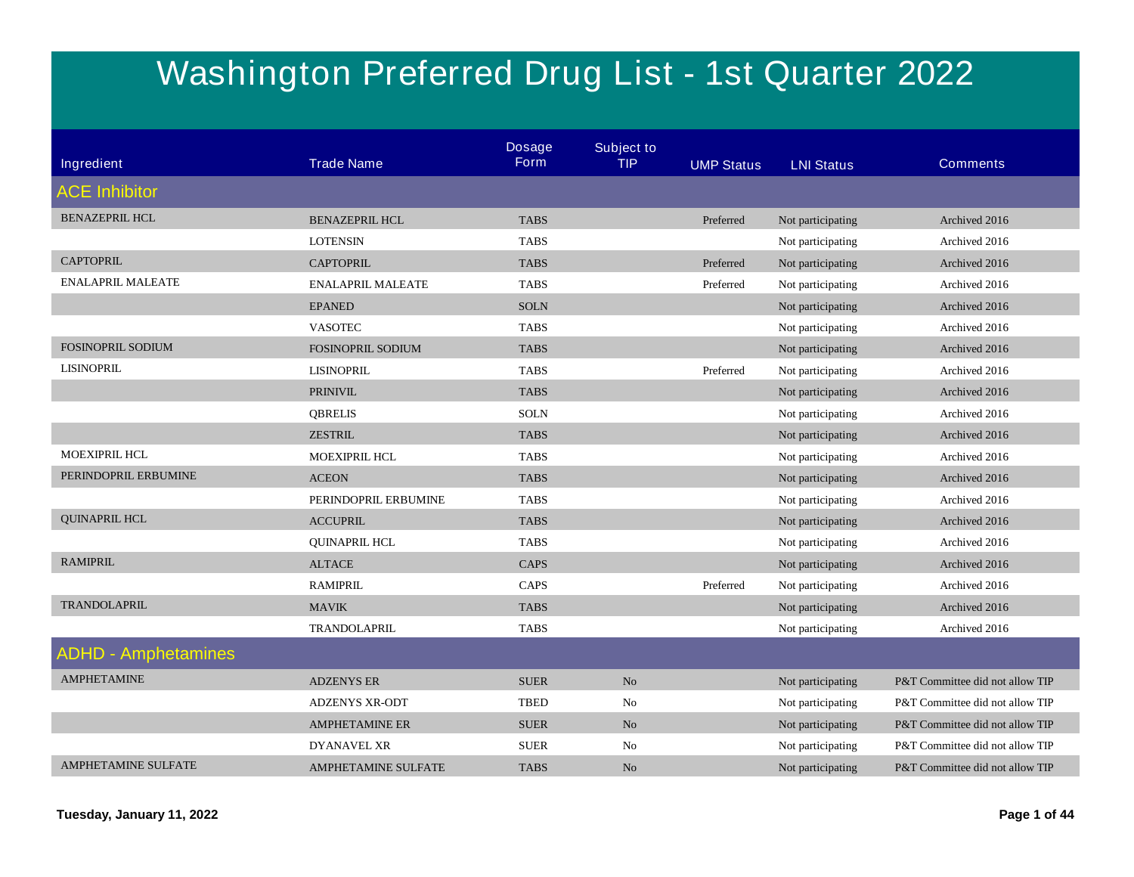## **Washington Preferred Drug List - 1st Quarter 2022**

| Ingredient                 | <b>Trade Name</b>          | <b>Dosage</b><br><b>Form</b> | <b>Subject to</b><br><b>TIP</b> | <b>UMP Status</b> | <b>LNI Status</b> | <b>Comments</b>                 |
|----------------------------|----------------------------|------------------------------|---------------------------------|-------------------|-------------------|---------------------------------|
|                            |                            |                              |                                 |                   |                   |                                 |
| <b>ACE Inhibitor</b>       |                            |                              |                                 |                   |                   |                                 |
| <b>BENAZEPRIL HCL</b>      | <b>BENAZEPRIL HCL</b>      | <b>TABS</b>                  |                                 | Preferred         | Not participating | Archived 2016                   |
|                            | <b>LOTENSIN</b>            | <b>TABS</b>                  |                                 |                   | Not participating | Archived 2016                   |
| <b>CAPTOPRIL</b>           | <b>CAPTOPRIL</b>           | <b>TABS</b>                  |                                 | Preferred         | Not participating | Archived 2016                   |
| <b>ENALAPRIL MALEATE</b>   | <b>ENALAPRIL MALEATE</b>   | <b>TABS</b>                  |                                 | Preferred         | Not participating | Archived 2016                   |
|                            | <b>EPANED</b>              | <b>SOLN</b>                  |                                 |                   | Not participating | Archived 2016                   |
|                            | <b>VASOTEC</b>             | <b>TABS</b>                  |                                 |                   | Not participating | Archived 2016                   |
| <b>FOSINOPRIL SODIUM</b>   | <b>FOSINOPRIL SODIUM</b>   | <b>TABS</b>                  |                                 |                   | Not participating | Archived 2016                   |
| <b>LISINOPRIL</b>          | <b>LISINOPRIL</b>          | <b>TABS</b>                  |                                 | Preferred         | Not participating | Archived 2016                   |
|                            | <b>PRINIVIL</b>            | <b>TABS</b>                  |                                 |                   | Not participating | Archived 2016                   |
|                            | <b>QBRELIS</b>             | <b>SOLN</b>                  |                                 |                   | Not participating | Archived 2016                   |
|                            | <b>ZESTRIL</b>             | <b>TABS</b>                  |                                 |                   | Not participating | Archived 2016                   |
| <b>MOEXIPRIL HCL</b>       | <b>MOEXIPRIL HCL</b>       | <b>TABS</b>                  |                                 |                   | Not participating | Archived 2016                   |
| PERINDOPRIL ERBUMINE       | <b>ACEON</b>               | <b>TABS</b>                  |                                 |                   | Not participating | Archived 2016                   |
|                            | PERINDOPRIL ERBUMINE       | <b>TABS</b>                  |                                 |                   | Not participating | Archived 2016                   |
| <b>QUINAPRIL HCL</b>       | <b>ACCUPRIL</b>            | <b>TABS</b>                  |                                 |                   | Not participating | Archived 2016                   |
|                            | <b>QUINAPRIL HCL</b>       | <b>TABS</b>                  |                                 |                   | Not participating | Archived 2016                   |
| <b>RAMIPRIL</b>            | <b>ALTACE</b>              | CAPS                         |                                 |                   | Not participating | Archived 2016                   |
|                            | <b>RAMIPRIL</b>            | CAPS                         |                                 | Preferred         | Not participating | Archived 2016                   |
| <b>TRANDOLAPRIL</b>        | <b>MAVIK</b>               | <b>TABS</b>                  |                                 |                   | Not participating | Archived 2016                   |
|                            | TRANDOLAPRIL               | <b>TABS</b>                  |                                 |                   | Not participating | Archived 2016                   |
| <b>ADHD - Amphetamines</b> |                            |                              |                                 |                   |                   |                                 |
| <b>AMPHETAMINE</b>         | <b>ADZENYS ER</b>          | <b>SUER</b>                  | No                              |                   | Not participating | P&T Committee did not allow TIP |
|                            | <b>ADZENYS XR-ODT</b>      | <b>TBED</b>                  | No                              |                   | Not participating | P&T Committee did not allow TIP |
|                            | <b>AMPHETAMINE ER</b>      | <b>SUER</b>                  | N <sub>o</sub>                  |                   | Not participating | P&T Committee did not allow TIP |
|                            | DYANAVEL XR                | <b>SUER</b>                  | No                              |                   | Not participating | P&T Committee did not allow TIP |
| <b>AMPHETAMINE SULFATE</b> | <b>AMPHETAMINE SULFATE</b> | <b>TABS</b>                  | N <sub>o</sub>                  |                   | Not participating | P&T Committee did not allow TIP |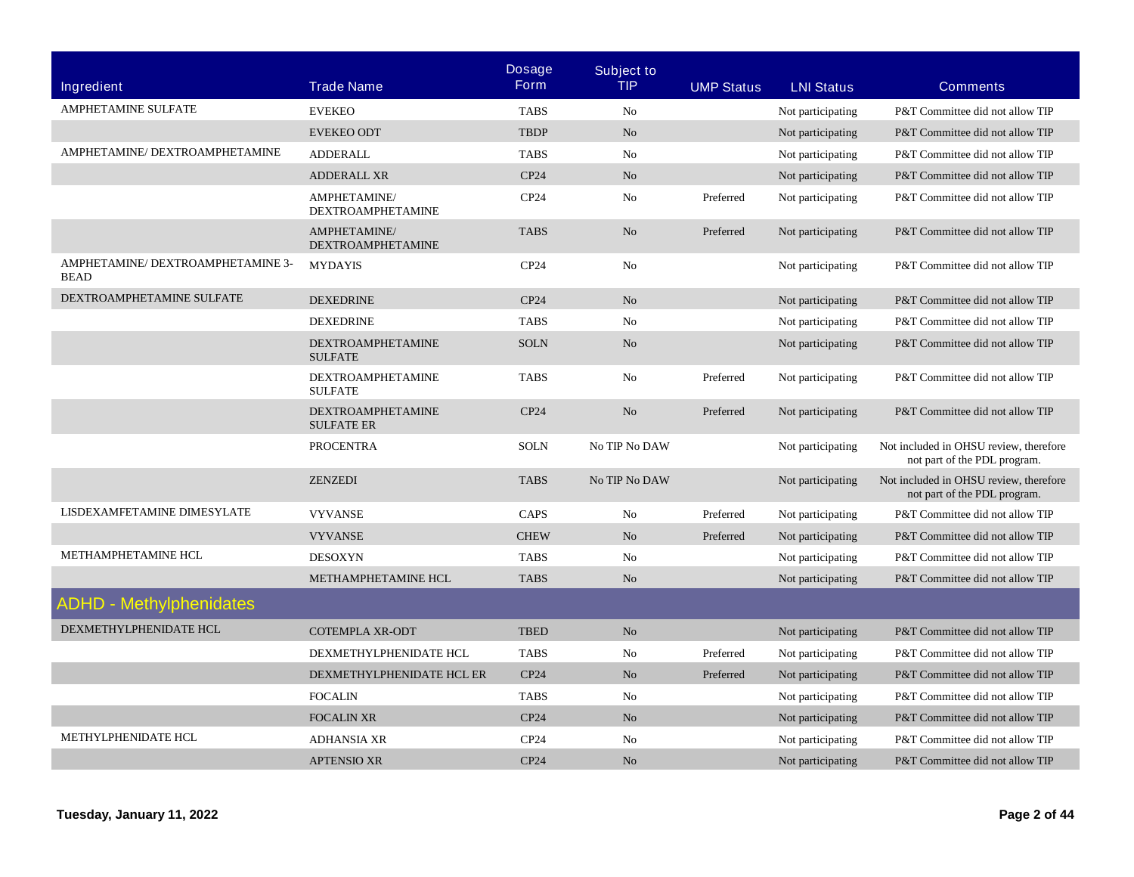|                                                  |                                               | <b>Dosage</b>    | <b>Subject to</b> |                   |                   |                                                                        |
|--------------------------------------------------|-----------------------------------------------|------------------|-------------------|-------------------|-------------------|------------------------------------------------------------------------|
| <b>Ingredient</b>                                | <b>Trade Name</b>                             | <b>Form</b>      | <b>TIP</b>        | <b>UMP Status</b> | <b>LNI Status</b> | <b>Comments</b>                                                        |
| AMPHETAMINE SULFATE                              | <b>EVEKEO</b>                                 | <b>TABS</b>      | N <sub>0</sub>    |                   | Not participating | P&T Committee did not allow TIP                                        |
|                                                  | <b>EVEKEO ODT</b>                             | <b>TBDP</b>      | No                |                   | Not participating | P&T Committee did not allow TIP                                        |
| AMPHETAMINE/ DEXTROAMPHETAMINE                   | <b>ADDERALL</b>                               | <b>TABS</b>      | No                |                   | Not participating | P&T Committee did not allow TIP                                        |
|                                                  | <b>ADDERALL XR</b>                            | CP24             | N <sub>o</sub>    |                   | Not participating | P&T Committee did not allow TIP                                        |
|                                                  | AMPHETAMINE/<br><b>DEXTROAMPHETAMINE</b>      | CP24             | No                | Preferred         | Not participating | P&T Committee did not allow TIP                                        |
|                                                  | AMPHETAMINE/<br><b>DEXTROAMPHETAMINE</b>      | <b>TABS</b>      | N <sub>o</sub>    | Preferred         | Not participating | P&T Committee did not allow TIP                                        |
| AMPHETAMINE/ DEXTROAMPHETAMINE 3-<br><b>BEAD</b> | <b>MYDAYIS</b>                                | CP24             | N <sub>o</sub>    |                   | Not participating | P&T Committee did not allow TIP                                        |
| DEXTROAMPHETAMINE SULFATE                        | <b>DEXEDRINE</b>                              | CP24             | N <sub>o</sub>    |                   | Not participating | P&T Committee did not allow TIP                                        |
|                                                  | <b>DEXEDRINE</b>                              | <b>TABS</b>      | N <sub>0</sub>    |                   | Not participating | P&T Committee did not allow TIP                                        |
|                                                  | <b>DEXTROAMPHETAMINE</b><br><b>SULFATE</b>    | <b>SOLN</b>      | N <sub>o</sub>    |                   | Not participating | P&T Committee did not allow TIP                                        |
|                                                  | <b>DEXTROAMPHETAMINE</b><br><b>SULFATE</b>    | <b>TABS</b>      | No                | Preferred         | Not participating | P&T Committee did not allow TIP                                        |
|                                                  | <b>DEXTROAMPHETAMINE</b><br><b>SULFATE ER</b> | CP <sub>24</sub> | N <sub>o</sub>    | Preferred         | Not participating | P&T Committee did not allow TIP                                        |
|                                                  | <b>PROCENTRA</b>                              | <b>SOLN</b>      | No TIP No DAW     |                   | Not participating | Not included in OHSU review, therefore<br>not part of the PDL program. |
|                                                  | <b>ZENZEDI</b>                                | <b>TABS</b>      | No TIP No DAW     |                   | Not participating | Not included in OHSU review, therefore<br>not part of the PDL program. |
| LISDEXAMFETAMINE DIMESYLATE                      | <b>VYVANSE</b>                                | CAPS             | N <sub>0</sub>    | Preferred         | Not participating | P&T Committee did not allow TIP                                        |
|                                                  | <b>VYVANSE</b>                                | <b>CHEW</b>      | N <sub>o</sub>    | Preferred         | Not participating | P&T Committee did not allow TIP                                        |
| METHAMPHETAMINE HCL                              | <b>DESOXYN</b>                                | <b>TABS</b>      | N <sub>0</sub>    |                   | Not participating | P&T Committee did not allow TIP                                        |
|                                                  | METHAMPHETAMINE HCL                           | <b>TABS</b>      | N <sub>o</sub>    |                   | Not participating | P&T Committee did not allow TIP                                        |
| <b>ADHD - Methylphenidates</b>                   |                                               |                  |                   |                   |                   |                                                                        |
| DEXMETHYLPHENIDATE HCL                           | <b>COTEMPLA XR-ODT</b>                        | <b>TBED</b>      | N <sub>o</sub>    |                   | Not participating | P&T Committee did not allow TIP                                        |
|                                                  | DEXMETHYLPHENIDATE HCL                        | <b>TABS</b>      | N <sub>0</sub>    | Preferred         | Not participating | P&T Committee did not allow TIP                                        |
|                                                  | DEXMETHYLPHENIDATE HCL ER                     | CP24             | N <sub>o</sub>    | Preferred         | Not participating | P&T Committee did not allow TIP                                        |
|                                                  | <b>FOCALIN</b>                                | <b>TABS</b>      | No                |                   | Not participating | P&T Committee did not allow TIP                                        |
|                                                  | <b>FOCALIN XR</b>                             | CP <sub>24</sub> | N <sub>o</sub>    |                   | Not participating | P&T Committee did not allow TIP                                        |
| METHYLPHENIDATE HCL                              | <b>ADHANSIA XR</b>                            | CP24             | N <sub>o</sub>    |                   | Not participating | P&T Committee did not allow TIP                                        |
|                                                  | <b>APTENSIO XR</b>                            | CP24             | N <sub>o</sub>    |                   | Not participating | P&T Committee did not allow TIP                                        |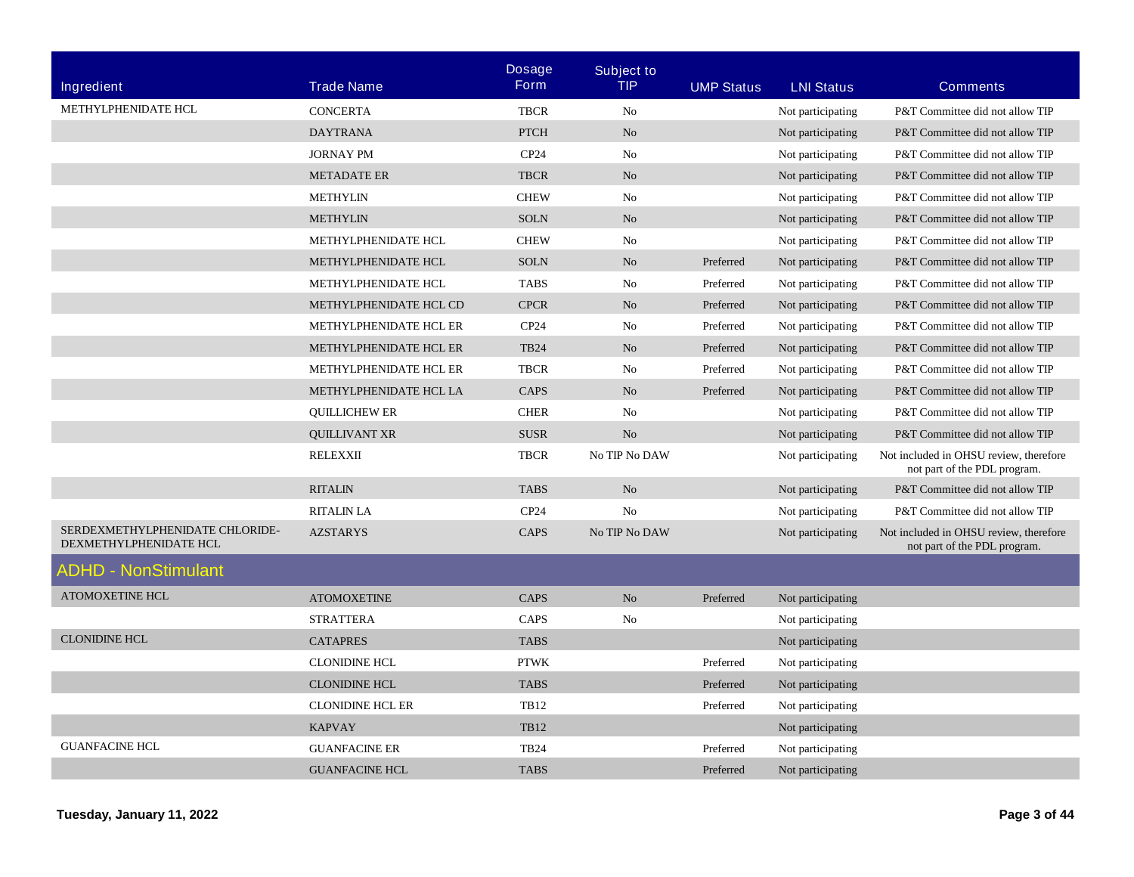|                                                           |                         | <b>Dosage</b>    | <b>Subject to</b> |                   |                   |                                                                        |
|-----------------------------------------------------------|-------------------------|------------------|-------------------|-------------------|-------------------|------------------------------------------------------------------------|
| <b>Ingredient</b>                                         | <b>Trade Name</b>       | <b>Form</b>      | TIP               | <b>UMP Status</b> | <b>LNI Status</b> | <b>Comments</b>                                                        |
| METHYLPHENIDATE HCL                                       | <b>CONCERTA</b>         | <b>TBCR</b>      | N <sub>0</sub>    |                   | Not participating | P&T Committee did not allow TIP                                        |
|                                                           | <b>DAYTRANA</b>         | <b>PTCH</b>      | N <sub>o</sub>    |                   | Not participating | P&T Committee did not allow TIP                                        |
|                                                           | <b>JORNAY PM</b>        | CP24             | N <sub>0</sub>    |                   | Not participating | P&T Committee did not allow TIP                                        |
|                                                           | <b>METADATE ER</b>      | <b>TBCR</b>      | N <sub>o</sub>    |                   | Not participating | P&T Committee did not allow TIP                                        |
|                                                           | <b>METHYLIN</b>         | <b>CHEW</b>      | No                |                   | Not participating | P&T Committee did not allow TIP                                        |
|                                                           | <b>METHYLIN</b>         | <b>SOLN</b>      | N <sub>o</sub>    |                   | Not participating | P&T Committee did not allow TIP                                        |
|                                                           | METHYLPHENIDATE HCL     | <b>CHEW</b>      | No                |                   | Not participating | P&T Committee did not allow TIP                                        |
|                                                           | METHYLPHENIDATE HCL     | <b>SOLN</b>      | N <sub>o</sub>    | Preferred         | Not participating | P&T Committee did not allow TIP                                        |
|                                                           | METHYLPHENIDATE HCL     | <b>TABS</b>      | No                | Preferred         | Not participating | P&T Committee did not allow TIP                                        |
|                                                           | METHYLPHENIDATE HCL CD  | <b>CPCR</b>      | N <sub>o</sub>    | Preferred         | Not participating | P&T Committee did not allow TIP                                        |
|                                                           | METHYLPHENIDATE HCL ER  | CP <sub>24</sub> | No                | Preferred         | Not participating | P&T Committee did not allow TIP                                        |
|                                                           | METHYLPHENIDATE HCL ER  | <b>TB24</b>      | N <sub>o</sub>    | Preferred         | Not participating | P&T Committee did not allow TIP                                        |
|                                                           | METHYLPHENIDATE HCL ER  | <b>TBCR</b>      | No                | Preferred         | Not participating | P&T Committee did not allow TIP                                        |
|                                                           | METHYLPHENIDATE HCL LA  | CAPS             | N <sub>o</sub>    | Preferred         | Not participating | P&T Committee did not allow TIP                                        |
|                                                           | <b>QUILLICHEW ER</b>    | <b>CHER</b>      | No                |                   | Not participating | P&T Committee did not allow TIP                                        |
|                                                           | <b>QUILLIVANT XR</b>    | <b>SUSR</b>      | N <sub>o</sub>    |                   | Not participating | P&T Committee did not allow TIP                                        |
|                                                           | <b>RELEXXII</b>         | <b>TBCR</b>      | No TIP No DAW     |                   | Not participating | Not included in OHSU review, therefore<br>not part of the PDL program. |
|                                                           | <b>RITALIN</b>          | <b>TABS</b>      | N <sub>o</sub>    |                   | Not participating | P&T Committee did not allow TIP                                        |
|                                                           | <b>RITALIN LA</b>       | CP <sub>24</sub> | No                |                   | Not participating | P&T Committee did not allow TIP                                        |
| SERDEXMETHYLPHENIDATE CHLORIDE-<br>DEXMETHYLPHENIDATE HCL | <b>AZSTARYS</b>         | CAPS             | No TIP No DAW     |                   | Not participating | Not included in OHSU review, therefore<br>not part of the PDL program. |
| ADHD - NonStimulant                                       |                         |                  |                   |                   |                   |                                                                        |
| <b>ATOMOXETINE HCL</b>                                    | <b>ATOMOXETINE</b>      | <b>CAPS</b>      | N <sub>o</sub>    | Preferred         | Not participating |                                                                        |
|                                                           | <b>STRATTERA</b>        | CAPS             | No                |                   | Not participating |                                                                        |
| <b>CLONIDINE HCL</b>                                      | <b>CATAPRES</b>         | <b>TABS</b>      |                   |                   | Not participating |                                                                        |
|                                                           | <b>CLONIDINE HCL</b>    | <b>PTWK</b>      |                   | Preferred         | Not participating |                                                                        |
|                                                           | <b>CLONIDINE HCL</b>    | <b>TABS</b>      |                   | Preferred         | Not participating |                                                                        |
|                                                           | <b>CLONIDINE HCL ER</b> | <b>TB12</b>      |                   | Preferred         | Not participating |                                                                        |
|                                                           | <b>KAPVAY</b>           | <b>TB12</b>      |                   |                   | Not participating |                                                                        |
| <b>GUANFACINE HCL</b>                                     | <b>GUANFACINE ER</b>    | <b>TB24</b>      |                   | Preferred         | Not participating |                                                                        |
|                                                           | <b>GUANFACINE HCL</b>   | <b>TABS</b>      |                   | Preferred         | Not participating |                                                                        |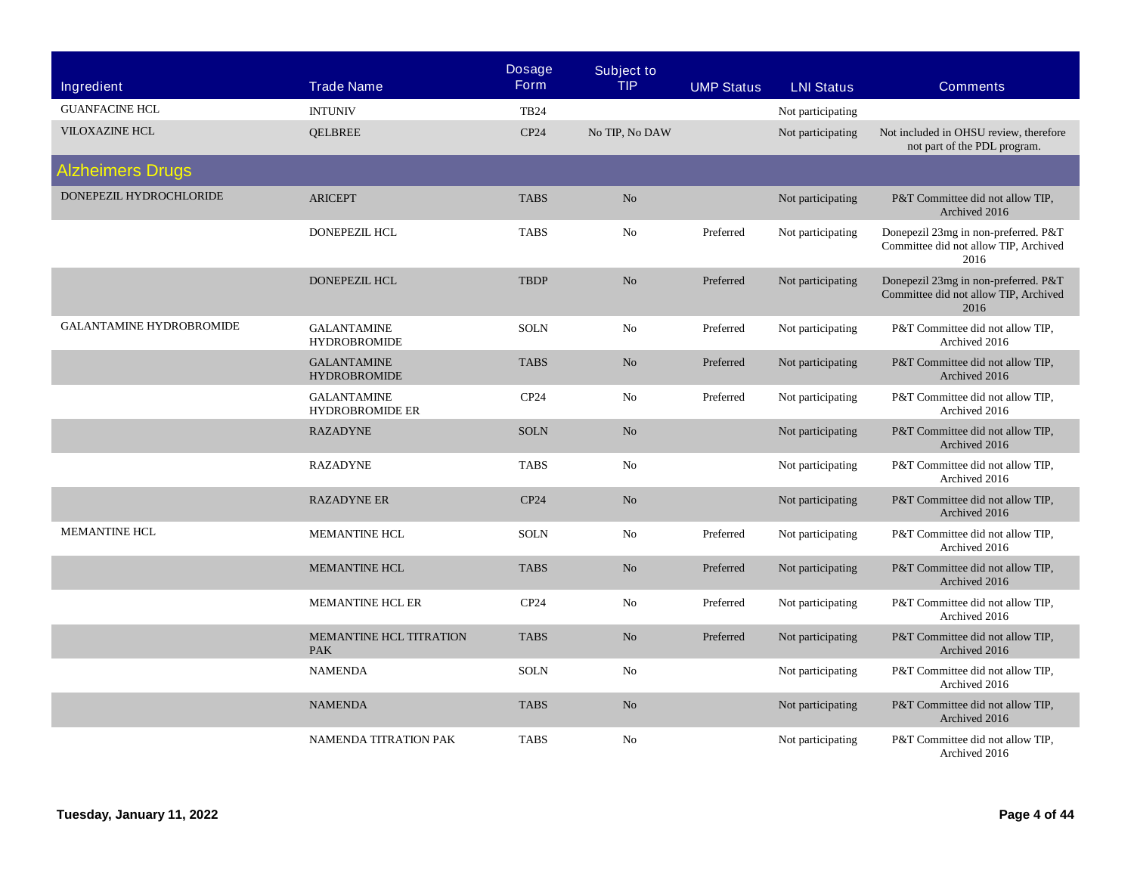| <b>Ingredient</b>               | <b>Trade Name</b>                            | <b>Dosage</b><br><b>Form</b> | <b>Subject to</b><br><b>TIP</b> | <b>UMP Status</b> | <b>LNI Status</b> | <b>Comments</b>                                                                       |
|---------------------------------|----------------------------------------------|------------------------------|---------------------------------|-------------------|-------------------|---------------------------------------------------------------------------------------|
| <b>GUANFACINE HCL</b>           | <b>INTUNIV</b>                               | <b>TB24</b>                  |                                 |                   | Not participating |                                                                                       |
| <b>VILOXAZINE HCL</b>           | <b>QELBREE</b>                               | CP24                         | No TIP, No DAW                  |                   | Not participating | Not included in OHSU review, therefore<br>not part of the PDL program.                |
| <b>Alzheimers Drugs</b>         |                                              |                              |                                 |                   |                   |                                                                                       |
| DONEPEZIL HYDROCHLORIDE         | <b>ARICEPT</b>                               | <b>TABS</b>                  | No                              |                   | Not participating | P&T Committee did not allow TIP,<br>Archived 2016                                     |
|                                 | <b>DONEPEZIL HCL</b>                         | <b>TABS</b>                  | No                              | Preferred         | Not participating | Donepezil 23mg in non-preferred. P&T<br>Committee did not allow TIP, Archived<br>2016 |
|                                 | <b>DONEPEZIL HCL</b>                         | <b>TBDP</b>                  | N <sub>o</sub>                  | Preferred         | Not participating | Donepezil 23mg in non-preferred. P&T<br>Committee did not allow TIP, Archived<br>2016 |
| <b>GALANTAMINE HYDROBROMIDE</b> | <b>GALANTAMINE</b><br><b>HYDROBROMIDE</b>    | <b>SOLN</b>                  | No                              | Preferred         | Not participating | P&T Committee did not allow TIP,<br>Archived 2016                                     |
|                                 | <b>GALANTAMINE</b><br><b>HYDROBROMIDE</b>    | <b>TABS</b>                  | No                              | Preferred         | Not participating | P&T Committee did not allow TIP,<br>Archived 2016                                     |
|                                 | <b>GALANTAMINE</b><br><b>HYDROBROMIDE ER</b> | CP24                         | N <sub>o</sub>                  | Preferred         | Not participating | P&T Committee did not allow TIP.<br>Archived 2016                                     |
|                                 | <b>RAZADYNE</b>                              | <b>SOLN</b>                  | No                              |                   | Not participating | P&T Committee did not allow TIP,<br>Archived 2016                                     |
|                                 | <b>RAZADYNE</b>                              | <b>TABS</b>                  | No                              |                   | Not participating | P&T Committee did not allow TIP,<br>Archived 2016                                     |
|                                 | <b>RAZADYNE ER</b>                           | CP24                         | No                              |                   | Not participating | P&T Committee did not allow TIP,<br>Archived 2016                                     |
| <b>MEMANTINE HCL</b>            | <b>MEMANTINE HCL</b>                         | <b>SOLN</b>                  | No                              | Preferred         | Not participating | P&T Committee did not allow TIP,<br>Archived 2016                                     |
|                                 | <b>MEMANTINE HCL</b>                         | <b>TABS</b>                  | No                              | Preferred         | Not participating | P&T Committee did not allow TIP,<br>Archived 2016                                     |
|                                 | <b>MEMANTINE HCL ER</b>                      | CP24                         | No                              | Preferred         | Not participating | P&T Committee did not allow TIP,<br>Archived 2016                                     |
|                                 | <b>MEMANTINE HCL TITRATION</b><br><b>PAK</b> | <b>TABS</b>                  | No.                             | Preferred         | Not participating | P&T Committee did not allow TIP,<br>Archived 2016                                     |
|                                 | <b>NAMENDA</b>                               | <b>SOLN</b>                  | No                              |                   | Not participating | P&T Committee did not allow TIP,<br>Archived 2016                                     |
|                                 | <b>NAMENDA</b>                               | <b>TABS</b>                  | No                              |                   | Not participating | P&T Committee did not allow TIP,<br>Archived 2016                                     |
|                                 | NAMENDA TITRATION PAK                        | <b>TABS</b>                  | No                              |                   | Not participating | P&T Committee did not allow TIP,<br>Archived 2016                                     |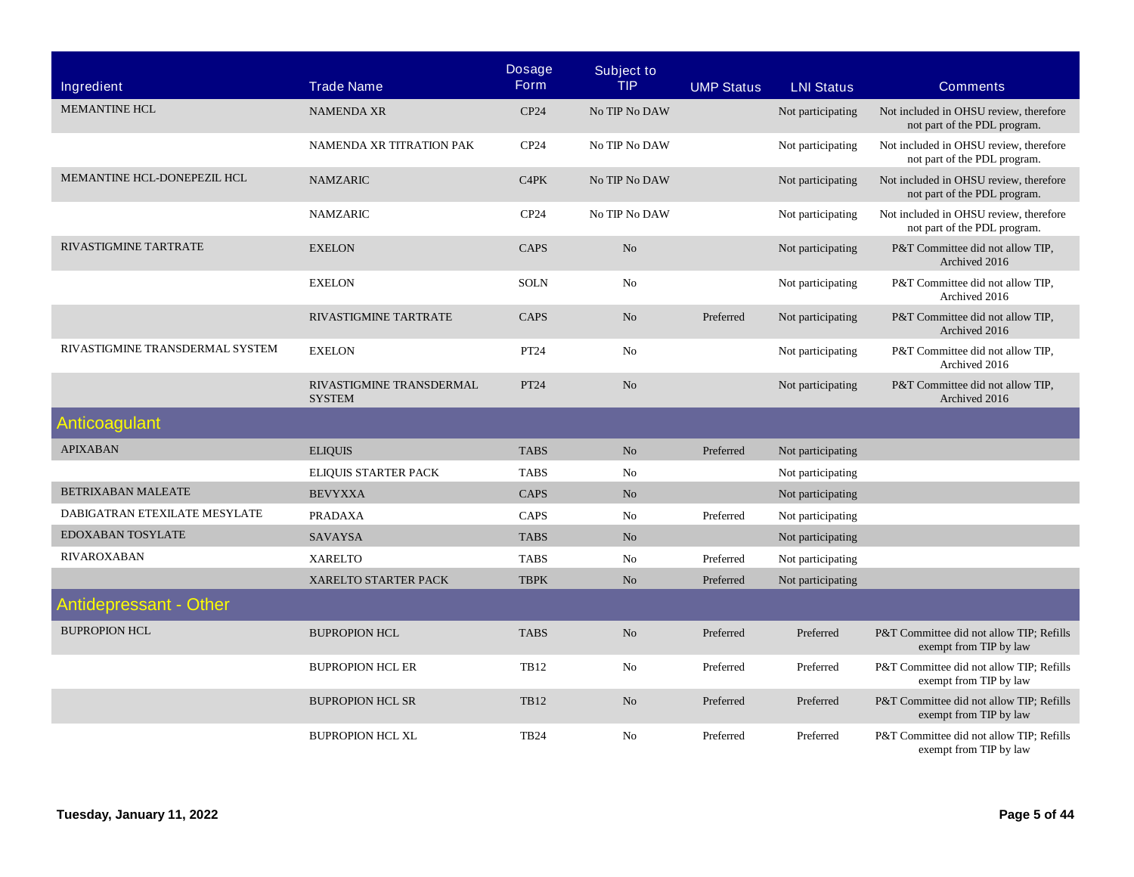| Ingredient                      | <b>Trade Name</b>                         | <b>Dosage</b><br><b>Form</b> | <b>Subject to</b><br><b>TIP</b> | <b>UMP Status</b> | <b>LNI Status</b> | <b>Comments</b>                                                        |
|---------------------------------|-------------------------------------------|------------------------------|---------------------------------|-------------------|-------------------|------------------------------------------------------------------------|
| <b>MEMANTINE HCL</b>            | <b>NAMENDA XR</b>                         | CP24                         | No TIP No DAW                   |                   | Not participating | Not included in OHSU review, therefore<br>not part of the PDL program. |
|                                 | NAMENDA XR TITRATION PAK                  | CP24                         | No TIP No DAW                   |                   | Not participating | Not included in OHSU review, therefore<br>not part of the PDL program. |
| MEMANTINE HCL-DONEPEZIL HCL     | <b>NAMZARIC</b>                           | C4PK                         | No TIP No DAW                   |                   | Not participating | Not included in OHSU review, therefore<br>not part of the PDL program. |
|                                 | <b>NAMZARIC</b>                           | CP24                         | No TIP No DAW                   |                   | Not participating | Not included in OHSU review, therefore<br>not part of the PDL program. |
| RIVASTIGMINE TARTRATE           | <b>EXELON</b>                             | <b>CAPS</b>                  | N <sub>o</sub>                  |                   | Not participating | P&T Committee did not allow TIP,<br>Archived 2016                      |
|                                 | <b>EXELON</b>                             | <b>SOLN</b>                  | No                              |                   | Not participating | P&T Committee did not allow TIP,<br>Archived 2016                      |
|                                 | RIVASTIGMINE TARTRATE                     | CAPS                         | N <sub>o</sub>                  | Preferred         | Not participating | P&T Committee did not allow TIP,<br>Archived 2016                      |
| RIVASTIGMINE TRANSDERMAL SYSTEM | <b>EXELON</b>                             | PT24                         | No                              |                   | Not participating | P&T Committee did not allow TIP,<br>Archived 2016                      |
|                                 | RIVASTIGMINE TRANSDERMAL<br><b>SYSTEM</b> | PT24                         | N <sub>o</sub>                  |                   | Not participating | P&T Committee did not allow TIP,<br>Archived 2016                      |
| <b>Anticoagulant</b>            |                                           |                              |                                 |                   |                   |                                                                        |
| <b>APIXABAN</b>                 | <b>ELIQUIS</b>                            | <b>TABS</b>                  | No                              | Preferred         | Not participating |                                                                        |
|                                 | ELIQUIS STARTER PACK                      | <b>TABS</b>                  | No                              |                   | Not participating |                                                                        |
| <b>BETRIXABAN MALEATE</b>       | <b>BEVYXXA</b>                            | CAPS                         | N <sub>o</sub>                  |                   | Not participating |                                                                        |
| DABIGATRAN ETEXILATE MESYLATE   | <b>PRADAXA</b>                            | CAPS                         | No                              | Preferred         | Not participating |                                                                        |
| EDOXABAN TOSYLATE               | <b>SAVAYSA</b>                            | <b>TABS</b>                  | N <sub>o</sub>                  |                   | Not participating |                                                                        |
| <b>RIVAROXABAN</b>              | <b>XARELTO</b>                            | <b>TABS</b>                  | N <sub>0</sub>                  | Preferred         | Not participating |                                                                        |
|                                 | <b>XARELTO STARTER PACK</b>               | <b>TBPK</b>                  | N <sub>o</sub>                  | Preferred         | Not participating |                                                                        |
| <b>Antidepressant - Other</b>   |                                           |                              |                                 |                   |                   |                                                                        |
| <b>BUPROPION HCL</b>            | <b>BUPROPION HCL</b>                      | <b>TABS</b>                  | N <sub>o</sub>                  | Preferred         | Preferred         | P&T Committee did not allow TIP; Refills<br>exempt from TIP by law     |
|                                 | <b>BUPROPION HCL ER</b>                   | <b>TB12</b>                  | No                              | Preferred         | Preferred         | P&T Committee did not allow TIP; Refills<br>exempt from TIP by law     |
|                                 | <b>BUPROPION HCL SR</b>                   | <b>TB12</b>                  | No                              | Preferred         | Preferred         | P&T Committee did not allow TIP; Refills<br>exempt from TIP by law     |
|                                 | <b>BUPROPION HCL XL</b>                   | <b>TB24</b>                  | N <sub>0</sub>                  | Preferred         | Preferred         | P&T Committee did not allow TIP; Refills<br>exempt from TIP by law     |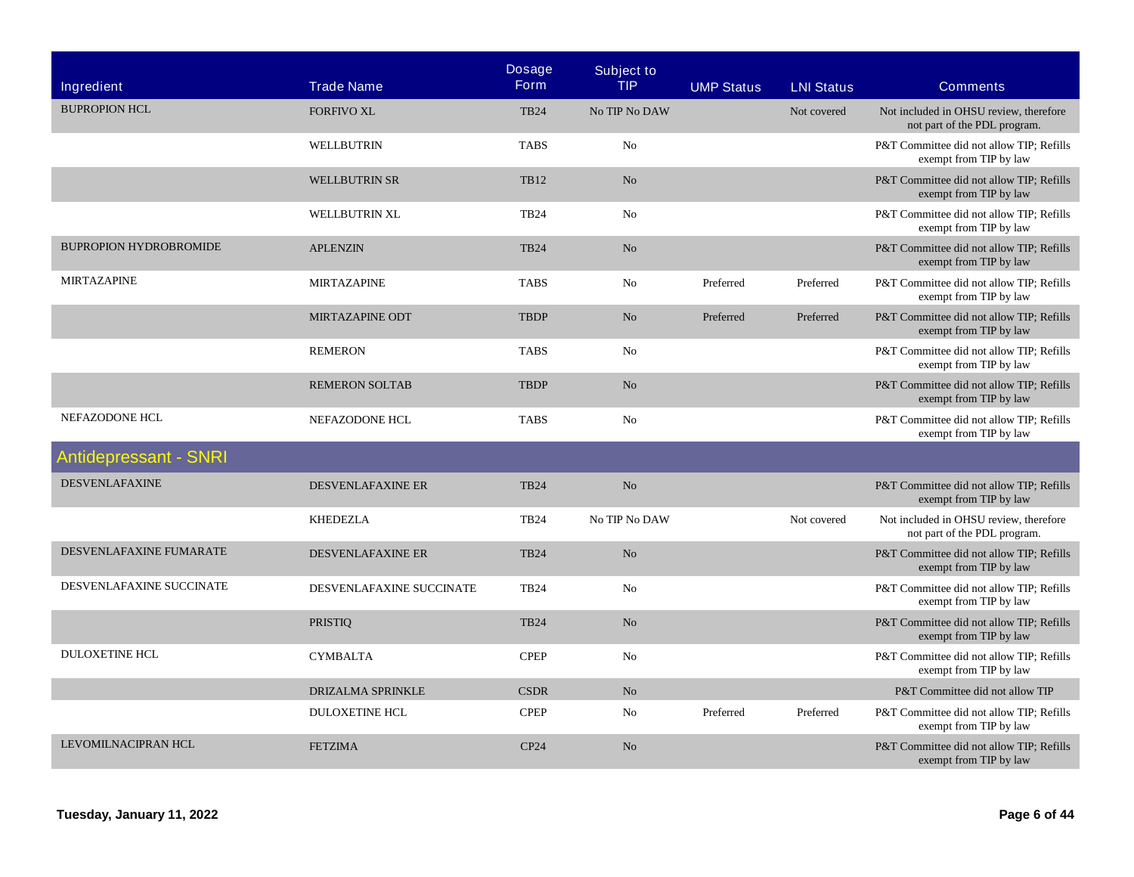| <b>Ingredient</b>             | <b>Trade Name</b>        | <b>Dosage</b><br><b>Form</b> | <b>Subject to</b><br><b>TIP</b> | <b>UMP Status</b> | <b>LNI Status</b> | <b>Comments</b>                                                        |
|-------------------------------|--------------------------|------------------------------|---------------------------------|-------------------|-------------------|------------------------------------------------------------------------|
| <b>BUPROPION HCL</b>          | <b>FORFIVO XL</b>        | <b>TB24</b>                  | No TIP No DAW                   |                   | Not covered       | Not included in OHSU review, therefore<br>not part of the PDL program. |
|                               | WELLBUTRIN               | <b>TABS</b>                  | No                              |                   |                   | P&T Committee did not allow TIP; Refills<br>exempt from TIP by law     |
|                               | <b>WELLBUTRIN SR</b>     | <b>TB12</b>                  | No                              |                   |                   | P&T Committee did not allow TIP; Refills<br>exempt from TIP by law     |
|                               | WELLBUTRIN XL            | <b>TB24</b>                  | No                              |                   |                   | P&T Committee did not allow TIP; Refills<br>exempt from TIP by law     |
| <b>BUPROPION HYDROBROMIDE</b> | <b>APLENZIN</b>          | <b>TB24</b>                  | No                              |                   |                   | P&T Committee did not allow TIP; Refills<br>exempt from TIP by law     |
| <b>MIRTAZAPINE</b>            | <b>MIRTAZAPINE</b>       | <b>TABS</b>                  | No                              | Preferred         | Preferred         | P&T Committee did not allow TIP; Refills<br>exempt from TIP by law     |
|                               | MIRTAZAPINE ODT          | <b>TBDP</b>                  | No                              | Preferred         | Preferred         | P&T Committee did not allow TIP; Refills<br>exempt from TIP by law     |
|                               | <b>REMERON</b>           | <b>TABS</b>                  | No                              |                   |                   | P&T Committee did not allow TIP; Refills<br>exempt from TIP by law     |
|                               | <b>REMERON SOLTAB</b>    | <b>TBDP</b>                  | N <sub>o</sub>                  |                   |                   | P&T Committee did not allow TIP; Refills<br>exempt from TIP by law     |
| NEFAZODONE HCL                | NEFAZODONE HCL           | <b>TABS</b>                  | No                              |                   |                   | P&T Committee did not allow TIP; Refills<br>exempt from TIP by law     |
| <b>Antidepressant - SNRI</b>  |                          |                              |                                 |                   |                   |                                                                        |
| <b>DESVENLAFAXINE</b>         | DESVENLAFAXINE ER        | <b>TB24</b>                  | N <sub>o</sub>                  |                   |                   | P&T Committee did not allow TIP; Refills<br>exempt from TIP by law     |
|                               | <b>KHEDEZLA</b>          | <b>TB24</b>                  | No TIP No DAW                   |                   | Not covered       | Not included in OHSU review, therefore<br>not part of the PDL program. |
| DESVENLAFAXINE FUMARATE       | <b>DESVENLAFAXINE ER</b> | <b>TB24</b>                  | No                              |                   |                   | P&T Committee did not allow TIP; Refills<br>exempt from TIP by law     |
| DESVENLAFAXINE SUCCINATE      | DESVENLAFAXINE SUCCINATE | <b>TB24</b>                  | No                              |                   |                   | P&T Committee did not allow TIP; Refills<br>exempt from TIP by law     |
|                               | <b>PRISTIQ</b>           | <b>TB24</b>                  | No                              |                   |                   | P&T Committee did not allow TIP; Refills<br>exempt from TIP by law     |
| <b>DULOXETINE HCL</b>         | <b>CYMBALTA</b>          | <b>CPEP</b>                  | No                              |                   |                   | P&T Committee did not allow TIP; Refills<br>exempt from TIP by law     |
|                               | DRIZALMA SPRINKLE        | <b>CSDR</b>                  | N <sub>o</sub>                  |                   |                   | P&T Committee did not allow TIP                                        |
|                               | <b>DULOXETINE HCL</b>    | <b>CPEP</b>                  | No                              | Preferred         | Preferred         | P&T Committee did not allow TIP; Refills<br>exempt from TIP by law     |
| <b>LEVOMILNACIPRAN HCL</b>    | <b>FETZIMA</b>           | CP24                         | No                              |                   |                   | P&T Committee did not allow TIP; Refills<br>exempt from TIP by law     |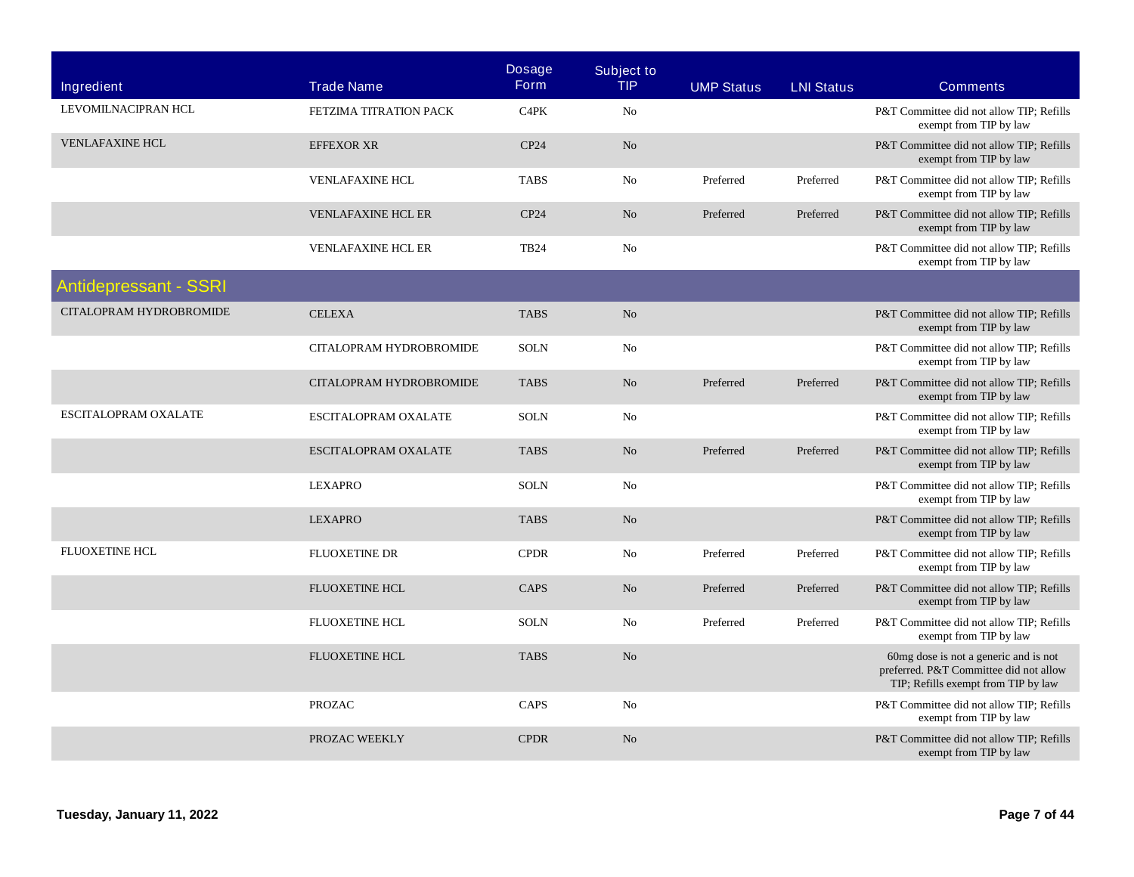| <b>Ingredient</b>            | <b>Trade Name</b>         | <b>Dosage</b><br><b>Form</b>  | <b>Subject to</b><br><b>TIP</b> | <b>UMP Status</b> | <b>LNI Status</b> | <b>Comments</b>                                                                                                        |
|------------------------------|---------------------------|-------------------------------|---------------------------------|-------------------|-------------------|------------------------------------------------------------------------------------------------------------------------|
| LEVOMILNACIPRAN HCL          | FETZIMA TITRATION PACK    | C <sub>4</sub> P <sub>K</sub> | No                              |                   |                   | P&T Committee did not allow TIP: Refills<br>exempt from TIP by law                                                     |
| <b>VENLAFAXINE HCL</b>       | <b>EFFEXOR XR</b>         | CP24                          | No                              |                   |                   | P&T Committee did not allow TIP; Refills<br>exempt from TIP by law                                                     |
|                              | <b>VENLAFAXINE HCL</b>    | <b>TABS</b>                   | No                              | Preferred         | Preferred         | P&T Committee did not allow TIP; Refills<br>exempt from TIP by law                                                     |
|                              | <b>VENLAFAXINE HCL ER</b> | CP24                          | No                              | Preferred         | Preferred         | P&T Committee did not allow TIP; Refills<br>exempt from TIP by law                                                     |
|                              | <b>VENLAFAXINE HCL ER</b> | <b>TB24</b>                   | N <sub>o</sub>                  |                   |                   | P&T Committee did not allow TIP; Refills<br>exempt from TIP by law                                                     |
| <b>Antidepressant - SSRI</b> |                           |                               |                                 |                   |                   |                                                                                                                        |
| CITALOPRAM HYDROBROMIDE      | <b>CELEXA</b>             | <b>TABS</b>                   | No                              |                   |                   | P&T Committee did not allow TIP; Refills<br>exempt from TIP by law                                                     |
|                              | CITALOPRAM HYDROBROMIDE   | <b>SOLN</b>                   | N <sub>o</sub>                  |                   |                   | P&T Committee did not allow TIP; Refills<br>exempt from TIP by law                                                     |
|                              | CITALOPRAM HYDROBROMIDE   | <b>TABS</b>                   | $\rm No$                        | Preferred         | Preferred         | P&T Committee did not allow TIP; Refills<br>exempt from TIP by law                                                     |
| ESCITALOPRAM OXALATE         | ESCITALOPRAM OXALATE      | <b>SOLN</b>                   | No                              |                   |                   | P&T Committee did not allow TIP: Refills<br>exempt from TIP by law                                                     |
|                              | ESCITALOPRAM OXALATE      | <b>TABS</b>                   | No                              | Preferred         | Preferred         | P&T Committee did not allow TIP; Refills<br>exempt from TIP by law                                                     |
|                              | <b>LEXAPRO</b>            | <b>SOLN</b>                   | No                              |                   |                   | P&T Committee did not allow TIP; Refills<br>exempt from TIP by law                                                     |
|                              | <b>LEXAPRO</b>            | <b>TABS</b>                   | N <sub>o</sub>                  |                   |                   | P&T Committee did not allow TIP; Refills<br>exempt from TIP by law                                                     |
| <b>FLUOXETINE HCL</b>        | <b>FLUOXETINE DR</b>      | <b>CPDR</b>                   | No                              | Preferred         | Preferred         | P&T Committee did not allow TIP; Refills<br>exempt from TIP by law                                                     |
|                              | <b>FLUOXETINE HCL</b>     | <b>CAPS</b>                   | No                              | Preferred         | Preferred         | P&T Committee did not allow TIP; Refills<br>exempt from TIP by law                                                     |
|                              | <b>FLUOXETINE HCL</b>     | <b>SOLN</b>                   | N <sub>o</sub>                  | Preferred         | Preferred         | P&T Committee did not allow TIP; Refills<br>exempt from TIP by law                                                     |
|                              | <b>FLUOXETINE HCL</b>     | <b>TABS</b>                   | No                              |                   |                   | 60mg dose is not a generic and is not<br>preferred. P&T Committee did not allow<br>TIP; Refills exempt from TIP by law |
|                              | <b>PROZAC</b>             | CAPS                          | No                              |                   |                   | P&T Committee did not allow TIP; Refills<br>exempt from TIP by law                                                     |
|                              | PROZAC WEEKLY             | <b>CPDR</b>                   | N <sub>o</sub>                  |                   |                   | P&T Committee did not allow TIP; Refills<br>exempt from TIP by law                                                     |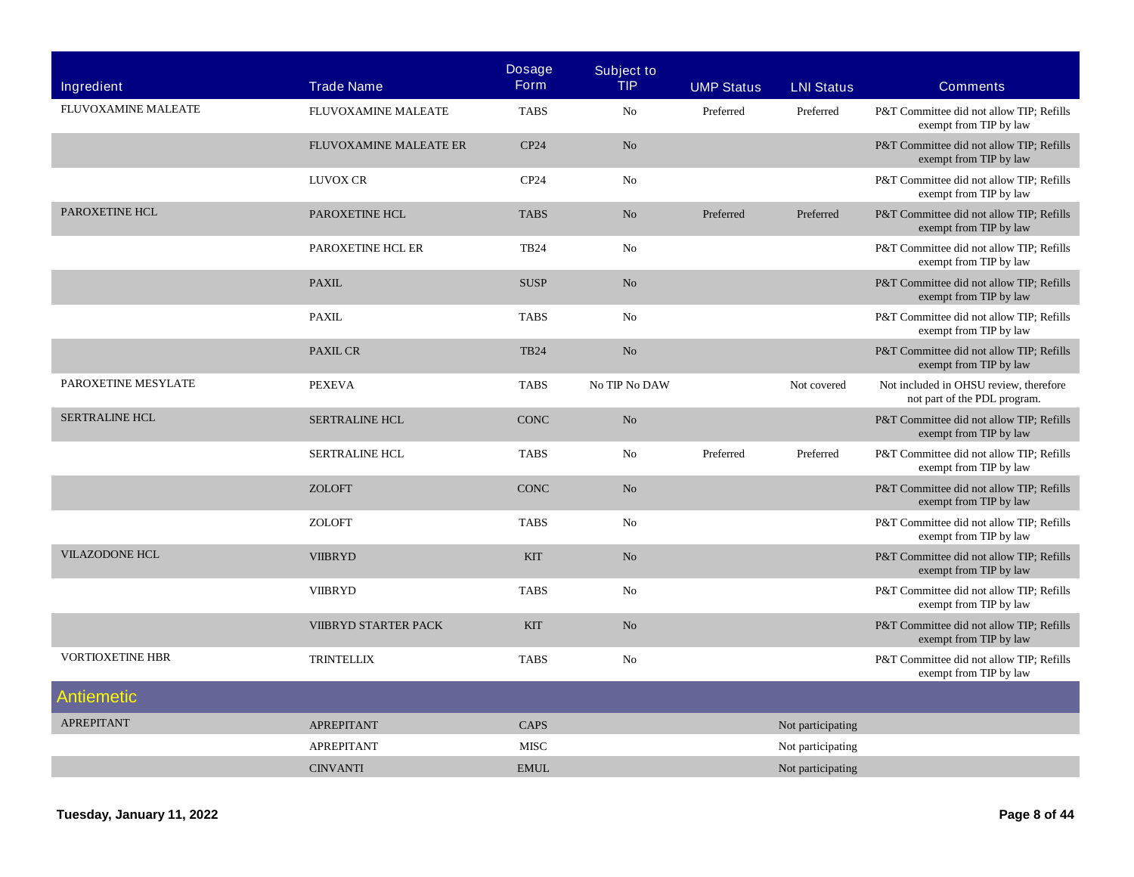| Ingredient              | <b>Trade Name</b>             | <b>Dosage</b><br><b>Form</b> | <b>Subject to</b><br><b>TIP</b> | <b>UMP Status</b> | <b>LNI Status</b> | <b>Comments</b>                                                        |
|-------------------------|-------------------------------|------------------------------|---------------------------------|-------------------|-------------------|------------------------------------------------------------------------|
| FLUVOXAMINE MALEATE     | FLUVOXAMINE MALEATE           | <b>TABS</b>                  | No                              | Preferred         | Preferred         | P&T Committee did not allow TIP: Refills<br>exempt from TIP by law     |
|                         | <b>FLUVOXAMINE MALEATE ER</b> | CP24                         | No                              |                   |                   | P&T Committee did not allow TIP; Refills<br>exempt from TIP by law     |
|                         | LUVOX CR                      | CP24                         | No                              |                   |                   | P&T Committee did not allow TIP; Refills<br>exempt from TIP by law     |
| PAROXETINE HCL          | PAROXETINE HCL                | <b>TABS</b>                  | No                              | Preferred         | Preferred         | P&T Committee did not allow TIP; Refills<br>exempt from TIP by law     |
|                         | PAROXETINE HCL ER             | <b>TB24</b>                  | No                              |                   |                   | P&T Committee did not allow TIP; Refills<br>exempt from TIP by law     |
|                         | <b>PAXIL</b>                  | <b>SUSP</b>                  | No                              |                   |                   | P&T Committee did not allow TIP; Refills<br>exempt from TIP by law     |
|                         | <b>PAXIL</b>                  | <b>TABS</b>                  | No                              |                   |                   | P&T Committee did not allow TIP; Refills<br>exempt from TIP by law     |
|                         | <b>PAXIL CR</b>               | <b>TB24</b>                  | No                              |                   |                   | P&T Committee did not allow TIP; Refills<br>exempt from TIP by law     |
| PAROXETINE MESYLATE     | <b>PEXEVA</b>                 | <b>TABS</b>                  | No TIP No DAW                   |                   | Not covered       | Not included in OHSU review, therefore<br>not part of the PDL program. |
| <b>SERTRALINE HCL</b>   | <b>SERTRALINE HCL</b>         | <b>CONC</b>                  | No                              |                   |                   | P&T Committee did not allow TIP; Refills<br>exempt from TIP by law     |
|                         | <b>SERTRALINE HCL</b>         | <b>TABS</b>                  | No                              | Preferred         | Preferred         | P&T Committee did not allow TIP; Refills<br>exempt from TIP by law     |
|                         | <b>ZOLOFT</b>                 | <b>CONC</b>                  | No                              |                   |                   | P&T Committee did not allow TIP; Refills<br>exempt from TIP by law     |
|                         | <b>ZOLOFT</b>                 | <b>TABS</b>                  | No                              |                   |                   | P&T Committee did not allow TIP; Refills<br>exempt from TIP by law     |
| <b>VILAZODONE HCL</b>   | <b>VIIBRYD</b>                | <b>KIT</b>                   | No                              |                   |                   | P&T Committee did not allow TIP; Refills<br>exempt from TIP by law     |
|                         | <b>VIIBRYD</b>                | <b>TABS</b>                  | No                              |                   |                   | P&T Committee did not allow TIP; Refills<br>exempt from TIP by law     |
|                         | VIIBRYD STARTER PACK          | <b>KIT</b>                   | No                              |                   |                   | P&T Committee did not allow TIP; Refills<br>exempt from TIP by law     |
| <b>VORTIOXETINE HBR</b> | <b>TRINTELLIX</b>             | <b>TABS</b>                  | No                              |                   |                   | P&T Committee did not allow TIP; Refills<br>exempt from TIP by law     |
| Antiemetic              |                               |                              |                                 |                   |                   |                                                                        |
| <b>APREPITANT</b>       | <b>APREPITANT</b>             | <b>CAPS</b>                  |                                 |                   | Not participating |                                                                        |
|                         | <b>APREPITANT</b>             | <b>MISC</b>                  |                                 |                   | Not participating |                                                                        |
|                         | <b>CINVANTI</b>               | <b>EMUL</b>                  |                                 |                   | Not participating |                                                                        |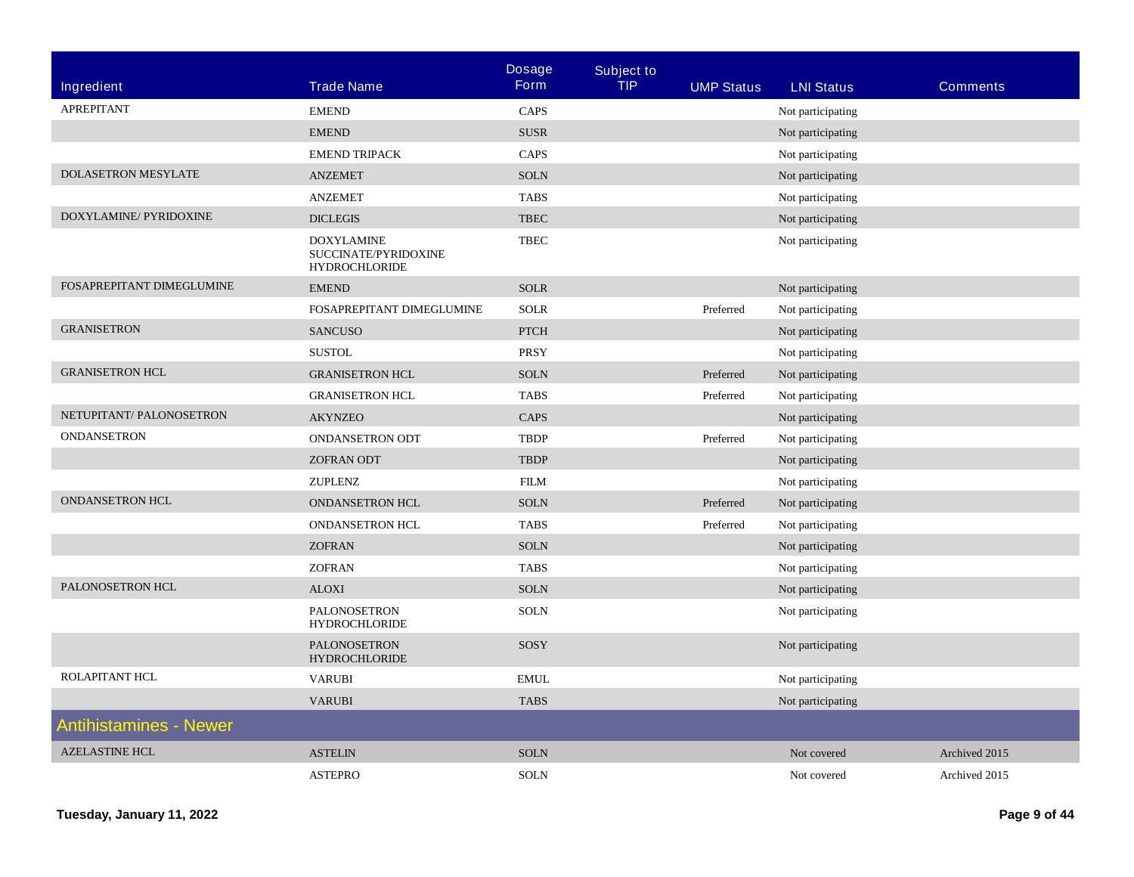|                               |                                                                   | <b>Dosage</b> | <b>Subject to</b> |                   |                   |                 |
|-------------------------------|-------------------------------------------------------------------|---------------|-------------------|-------------------|-------------------|-----------------|
| Ingredient                    | <b>Trade Name</b>                                                 | Form          | <b>TIP</b>        | <b>UMP Status</b> | <b>LNI Status</b> | <b>Comments</b> |
| APREPITANT                    | <b>EMEND</b>                                                      | CAPS          |                   |                   | Not participating |                 |
|                               | <b>EMEND</b>                                                      | ${\tt SUSR}$  |                   |                   | Not participating |                 |
|                               | <b>EMEND TRIPACK</b>                                              | CAPS          |                   |                   | Not participating |                 |
| <b>DOLASETRON MESYLATE</b>    | <b>ANZEMET</b>                                                    | $\rm SOLN$    |                   |                   | Not participating |                 |
|                               | <b>ANZEMET</b>                                                    | <b>TABS</b>   |                   |                   | Not participating |                 |
| DOXYLAMINE/ PYRIDOXINE        | <b>DICLEGIS</b>                                                   | <b>TBEC</b>   |                   |                   | Not participating |                 |
|                               | <b>DOXYLAMINE</b><br>SUCCINATE/PYRIDOXINE<br><b>HYDROCHLORIDE</b> | <b>TBEC</b>   |                   |                   | Not participating |                 |
| FOSAPREPITANT DIMEGLUMINE     | <b>EMEND</b>                                                      | <b>SOLR</b>   |                   |                   | Not participating |                 |
|                               | FOSAPREPITANT DIMEGLUMINE                                         | <b>SOLR</b>   |                   | Preferred         | Not participating |                 |
| <b>GRANISETRON</b>            | <b>SANCUSO</b>                                                    | <b>PTCH</b>   |                   |                   | Not participating |                 |
|                               | <b>SUSTOL</b>                                                     | <b>PRSY</b>   |                   |                   | Not participating |                 |
| <b>GRANISETRON HCL</b>        | <b>GRANISETRON HCL</b>                                            | <b>SOLN</b>   |                   | Preferred         | Not participating |                 |
|                               | <b>GRANISETRON HCL</b>                                            | <b>TABS</b>   |                   | Preferred         | Not participating |                 |
| NETUPITANT/ PALONOSETRON      | <b>AKYNZEO</b>                                                    | CAPS          |                   |                   | Not participating |                 |
| <b>ONDANSETRON</b>            | <b>ONDANSETRON ODT</b>                                            | <b>TBDP</b>   |                   | Preferred         | Not participating |                 |
|                               | <b>ZOFRAN ODT</b>                                                 | <b>TBDP</b>   |                   |                   | Not participating |                 |
|                               | ZUPLENZ                                                           | <b>FILM</b>   |                   |                   | Not participating |                 |
| <b>ONDANSETRON HCL</b>        | ONDANSETRON HCL                                                   | <b>SOLN</b>   |                   | Preferred         | Not participating |                 |
|                               | <b>ONDANSETRON HCL</b>                                            | <b>TABS</b>   |                   | Preferred         | Not participating |                 |
|                               | <b>ZOFRAN</b>                                                     | <b>SOLN</b>   |                   |                   | Not participating |                 |
|                               | <b>ZOFRAN</b>                                                     | <b>TABS</b>   |                   |                   | Not participating |                 |
| PALONOSETRON HCL              | <b>ALOXI</b>                                                      | <b>SOLN</b>   |                   |                   | Not participating |                 |
|                               | PALONOSETRON<br><b>HYDROCHLORIDE</b>                              | <b>SOLN</b>   |                   |                   | Not participating |                 |
|                               | <b>PALONOSETRON</b><br><b>HYDROCHLORIDE</b>                       | SOSY          |                   |                   | Not participating |                 |
| ROLAPITANT HCL                | <b>VARUBI</b>                                                     | <b>EMUL</b>   |                   |                   | Not participating |                 |
|                               | <b>VARUBI</b>                                                     | <b>TABS</b>   |                   |                   | Not participating |                 |
| <b>Antihistamines - Newer</b> |                                                                   |               |                   |                   |                   |                 |
| <b>AZELASTINE HCL</b>         | <b>ASTELIN</b>                                                    | <b>SOLN</b>   |                   |                   | Not covered       | Archived 2015   |
|                               | <b>ASTEPRO</b>                                                    | <b>SOLN</b>   |                   |                   | Not covered       | Archived 2015   |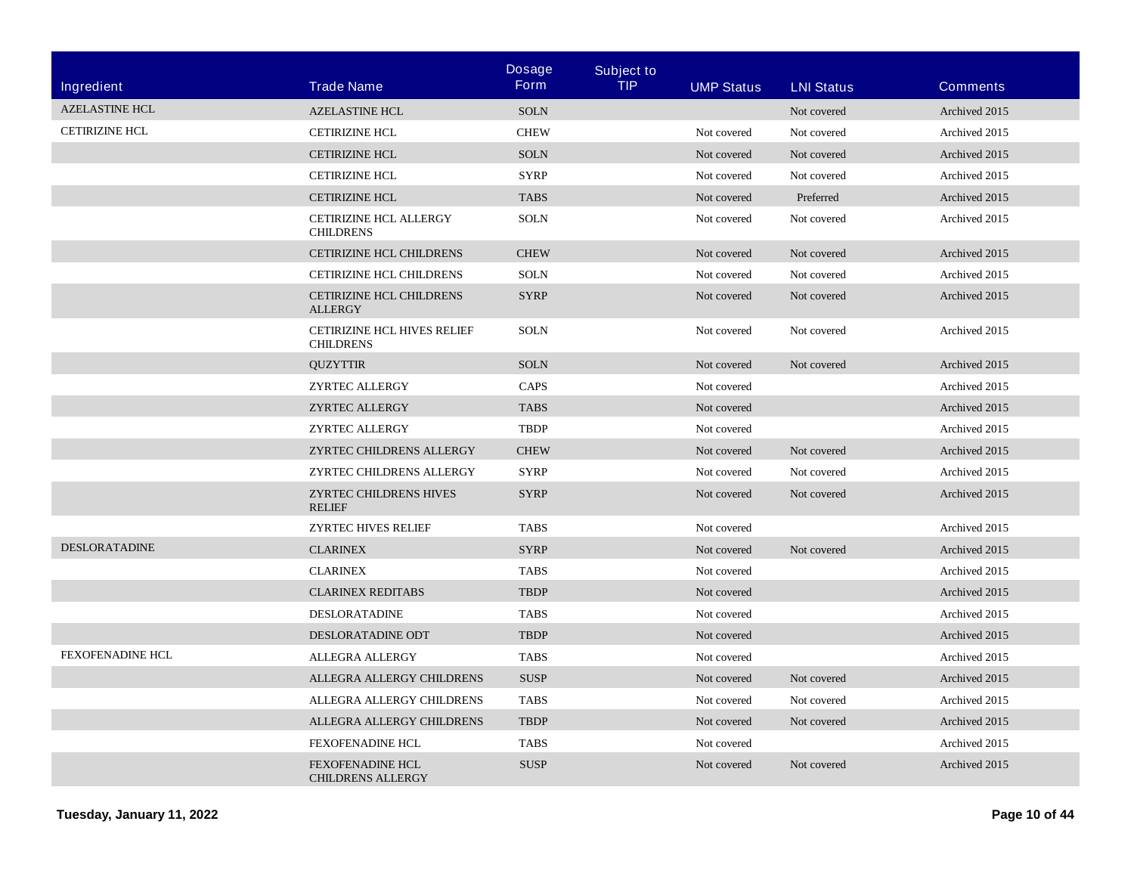| <b>Ingredient</b>     | <b>Trade Name</b>                                   | <b>Dosage</b><br><b>Form</b> | <b>Subject to</b><br><b>TIP</b> | <b>UMP Status</b> | <b>LNI Status</b> | <b>Comments</b> |
|-----------------------|-----------------------------------------------------|------------------------------|---------------------------------|-------------------|-------------------|-----------------|
| <b>AZELASTINE HCL</b> | <b>AZELASTINE HCL</b>                               | <b>SOLN</b>                  |                                 |                   | Not covered       | Archived 2015   |
| <b>CETIRIZINE HCL</b> | <b>CETIRIZINE HCL</b>                               | <b>CHEW</b>                  |                                 | Not covered       | Not covered       | Archived 2015   |
|                       | <b>CETIRIZINE HCL</b>                               | <b>SOLN</b>                  |                                 | Not covered       | Not covered       | Archived 2015   |
|                       | <b>CETIRIZINE HCL</b>                               | <b>SYRP</b>                  |                                 | Not covered       | Not covered       | Archived 2015   |
|                       | <b>CETIRIZINE HCL</b>                               | <b>TABS</b>                  |                                 | Not covered       | Preferred         | Archived 2015   |
|                       | CETIRIZINE HCL ALLERGY<br><b>CHILDRENS</b>          | <b>SOLN</b>                  |                                 | Not covered       | Not covered       | Archived 2015   |
|                       | <b>CETIRIZINE HCL CHILDRENS</b>                     | <b>CHEW</b>                  |                                 | Not covered       | Not covered       | Archived 2015   |
|                       | CETIRIZINE HCL CHILDRENS                            | <b>SOLN</b>                  |                                 | Not covered       | Not covered       | Archived 2015   |
|                       | <b>CETIRIZINE HCL CHILDRENS</b><br><b>ALLERGY</b>   | <b>SYRP</b>                  |                                 | Not covered       | Not covered       | Archived 2015   |
|                       | CETIRIZINE HCL HIVES RELIEF<br><b>CHILDRENS</b>     | <b>SOLN</b>                  |                                 | Not covered       | Not covered       | Archived 2015   |
|                       | <b>QUZYTTIR</b>                                     | <b>SOLN</b>                  |                                 | Not covered       | Not covered       | Archived 2015   |
|                       | ZYRTEC ALLERGY                                      | CAPS                         |                                 | Not covered       |                   | Archived 2015   |
|                       | ZYRTEC ALLERGY                                      | <b>TABS</b>                  |                                 | Not covered       |                   | Archived 2015   |
|                       | ZYRTEC ALLERGY                                      | <b>TBDP</b>                  |                                 | Not covered       |                   | Archived 2015   |
|                       | ZYRTEC CHILDRENS ALLERGY                            | <b>CHEW</b>                  |                                 | Not covered       | Not covered       | Archived 2015   |
|                       | ZYRTEC CHILDRENS ALLERGY                            | <b>SYRP</b>                  |                                 | Not covered       | Not covered       | Archived 2015   |
|                       | ZYRTEC CHILDRENS HIVES<br><b>RELIEF</b>             | <b>SYRP</b>                  |                                 | Not covered       | Not covered       | Archived 2015   |
|                       | ZYRTEC HIVES RELIEF                                 | <b>TABS</b>                  |                                 | Not covered       |                   | Archived 2015   |
| <b>DESLORATADINE</b>  | <b>CLARINEX</b>                                     | <b>SYRP</b>                  |                                 | Not covered       | Not covered       | Archived 2015   |
|                       | <b>CLARINEX</b>                                     | <b>TABS</b>                  |                                 | Not covered       |                   | Archived 2015   |
|                       | <b>CLARINEX REDITABS</b>                            | TBDP                         |                                 | Not covered       |                   | Archived 2015   |
|                       | <b>DESLORATADINE</b>                                | <b>TABS</b>                  |                                 | Not covered       |                   | Archived 2015   |
|                       | DESLORATADINE ODT                                   | <b>TBDP</b>                  |                                 | Not covered       |                   | Archived 2015   |
| FEXOFENADINE HCL      | <b>ALLEGRA ALLERGY</b>                              | <b>TABS</b>                  |                                 | Not covered       |                   | Archived 2015   |
|                       | ALLEGRA ALLERGY CHILDRENS                           | <b>SUSP</b>                  |                                 | Not covered       | Not covered       | Archived 2015   |
|                       | ALLEGRA ALLERGY CHILDRENS                           | <b>TABS</b>                  |                                 | Not covered       | Not covered       | Archived 2015   |
|                       | ALLEGRA ALLERGY CHILDRENS                           | <b>TBDP</b>                  |                                 | Not covered       | Not covered       | Archived 2015   |
|                       | <b>FEXOFENADINE HCL</b>                             | <b>TABS</b>                  |                                 | Not covered       |                   | Archived 2015   |
|                       | <b>FEXOFENADINE HCL</b><br><b>CHILDRENS ALLERGY</b> | <b>SUSP</b>                  |                                 | Not covered       | Not covered       | Archived 2015   |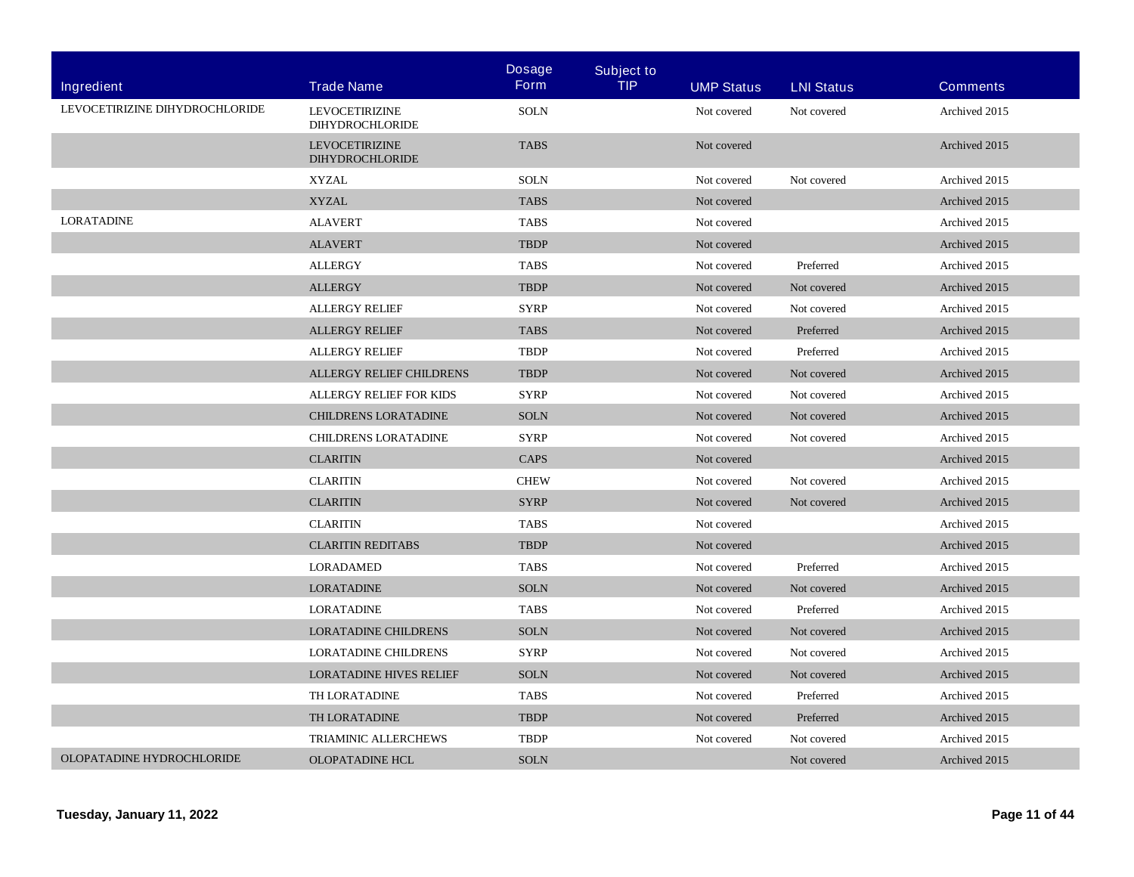|                                |                                                 | <b>Dosage</b> | <b>Subject to</b> |                   |                   |                 |
|--------------------------------|-------------------------------------------------|---------------|-------------------|-------------------|-------------------|-----------------|
| Ingredient                     | <b>Trade Name</b>                               | <b>Form</b>   | <b>TIP</b>        | <b>UMP Status</b> | <b>LNI Status</b> | <b>Comments</b> |
| LEVOCETIRIZINE DIHYDROCHLORIDE | <b>LEVOCETIRIZINE</b><br><b>DIHYDROCHLORIDE</b> | <b>SOLN</b>   |                   | Not covered       | Not covered       | Archived 2015   |
|                                | <b>LEVOCETIRIZINE</b><br><b>DIHYDROCHLORIDE</b> | <b>TABS</b>   |                   | Not covered       |                   | Archived 2015   |
|                                | <b>XYZAL</b>                                    | <b>SOLN</b>   |                   | Not covered       | Not covered       | Archived 2015   |
|                                | <b>XYZAL</b>                                    | <b>TABS</b>   |                   | Not covered       |                   | Archived 2015   |
| <b>LORATADINE</b>              | <b>ALAVERT</b>                                  | <b>TABS</b>   |                   | Not covered       |                   | Archived 2015   |
|                                | <b>ALAVERT</b>                                  | <b>TBDP</b>   |                   | Not covered       |                   | Archived 2015   |
|                                | <b>ALLERGY</b>                                  | <b>TABS</b>   |                   | Not covered       | Preferred         | Archived 2015   |
|                                | <b>ALLERGY</b>                                  | <b>TBDP</b>   |                   | Not covered       | Not covered       | Archived 2015   |
|                                | <b>ALLERGY RELIEF</b>                           | <b>SYRP</b>   |                   | Not covered       | Not covered       | Archived 2015   |
|                                | <b>ALLERGY RELIEF</b>                           | <b>TABS</b>   |                   | Not covered       | Preferred         | Archived 2015   |
|                                | <b>ALLERGY RELIEF</b>                           | <b>TBDP</b>   |                   | Not covered       | Preferred         | Archived 2015   |
|                                | ALLERGY RELIEF CHILDRENS                        | <b>TBDP</b>   |                   | Not covered       | Not covered       | Archived 2015   |
|                                | ALLERGY RELIEF FOR KIDS                         | <b>SYRP</b>   |                   | Not covered       | Not covered       | Archived 2015   |
|                                | CHILDRENS LORATADINE                            | <b>SOLN</b>   |                   | Not covered       | Not covered       | Archived 2015   |
|                                | CHILDRENS LORATADINE                            | <b>SYRP</b>   |                   | Not covered       | Not covered       | Archived 2015   |
|                                | <b>CLARITIN</b>                                 | <b>CAPS</b>   |                   | Not covered       |                   | Archived 2015   |
|                                | <b>CLARITIN</b>                                 | <b>CHEW</b>   |                   | Not covered       | Not covered       | Archived 2015   |
|                                | <b>CLARITIN</b>                                 | <b>SYRP</b>   |                   | Not covered       | Not covered       | Archived 2015   |
|                                | <b>CLARITIN</b>                                 | <b>TABS</b>   |                   | Not covered       |                   | Archived 2015   |
|                                | <b>CLARITIN REDITABS</b>                        | <b>TBDP</b>   |                   | Not covered       |                   | Archived 2015   |
|                                | <b>LORADAMED</b>                                | <b>TABS</b>   |                   | Not covered       | Preferred         | Archived 2015   |
|                                | <b>LORATADINE</b>                               | <b>SOLN</b>   |                   | Not covered       | Not covered       | Archived 2015   |
|                                | LORATADINE                                      | <b>TABS</b>   |                   | Not covered       | Preferred         | Archived 2015   |
|                                | <b>LORATADINE CHILDRENS</b>                     | <b>SOLN</b>   |                   | Not covered       | Not covered       | Archived 2015   |
|                                | <b>LORATADINE CHILDRENS</b>                     | <b>SYRP</b>   |                   | Not covered       | Not covered       | Archived 2015   |
|                                | <b>LORATADINE HIVES RELIEF</b>                  | <b>SOLN</b>   |                   | Not covered       | Not covered       | Archived 2015   |
|                                | TH LORATADINE                                   | <b>TABS</b>   |                   | Not covered       | Preferred         | Archived 2015   |
|                                | TH LORATADINE                                   | <b>TBDP</b>   |                   | Not covered       | Preferred         | Archived 2015   |
|                                | <b>TRIAMINIC ALLERCHEWS</b>                     | <b>TBDP</b>   |                   | Not covered       | Not covered       | Archived 2015   |
| OLOPATADINE HYDROCHLORIDE      | <b>OLOPATADINE HCL</b>                          | <b>SOLN</b>   |                   |                   | Not covered       | Archived 2015   |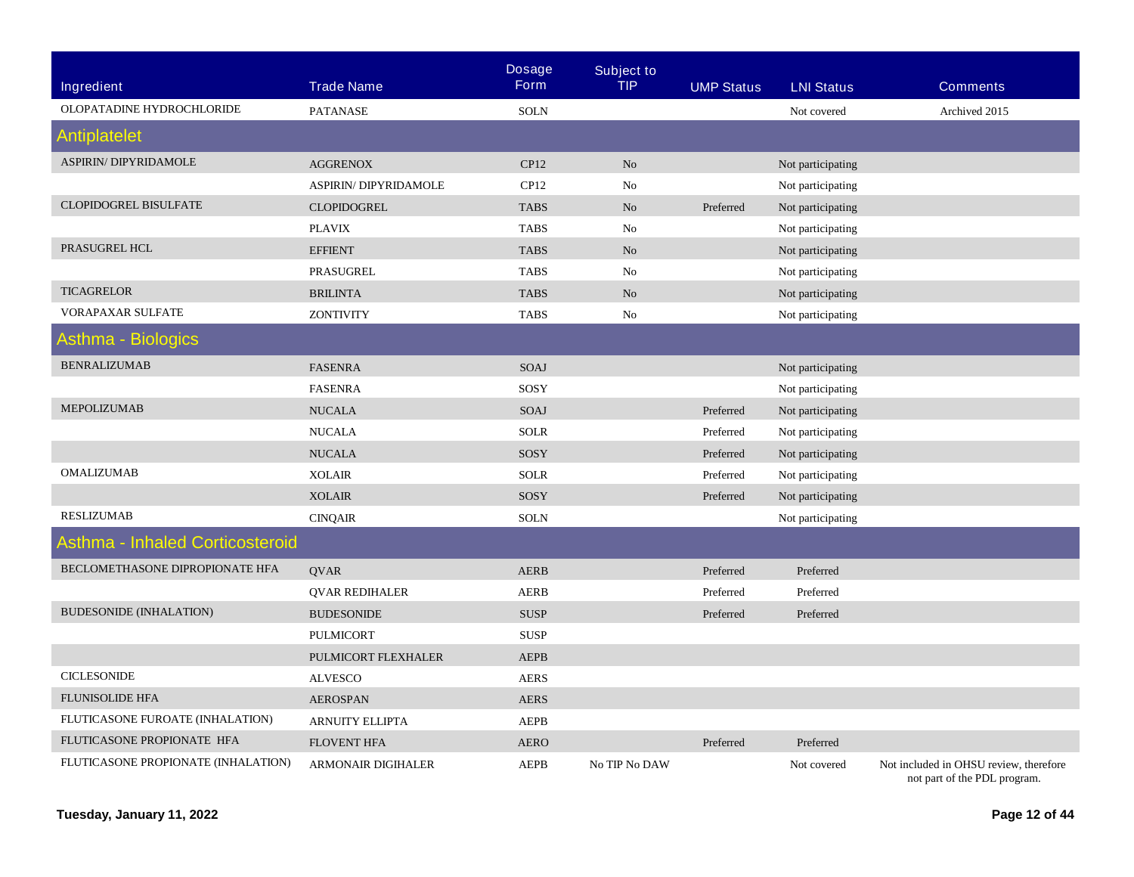|                                     |                              | <b>Dosage</b> | <b>Subject to</b> |                   |                   |                                                                        |
|-------------------------------------|------------------------------|---------------|-------------------|-------------------|-------------------|------------------------------------------------------------------------|
| Ingredient                          | <b>Trade Name</b>            | Form          | <b>TIP</b>        | <b>UMP Status</b> | <b>LNI Status</b> | <b>Comments</b>                                                        |
| OLOPATADINE HYDROCHLORIDE           | <b>PATANASE</b>              | <b>SOLN</b>   |                   |                   | Not covered       | Archived 2015                                                          |
| <b>Antiplatelet</b>                 |                              |               |                   |                   |                   |                                                                        |
| <b>ASPIRIN/ DIPYRIDAMOLE</b>        | <b>AGGRENOX</b>              | CP12          | N <sub>o</sub>    |                   | Not participating |                                                                        |
|                                     | <b>ASPIRIN/ DIPYRIDAMOLE</b> | CP12          | No                |                   | Not participating |                                                                        |
| <b>CLOPIDOGREL BISULFATE</b>        | <b>CLOPIDOGREL</b>           | <b>TABS</b>   | N <sub>o</sub>    | Preferred         | Not participating |                                                                        |
|                                     | <b>PLAVIX</b>                | <b>TABS</b>   | No                |                   | Not participating |                                                                        |
| PRASUGREL HCL                       | <b>EFFIENT</b>               | <b>TABS</b>   | N <sub>o</sub>    |                   | Not participating |                                                                        |
|                                     | PRASUGREL                    | <b>TABS</b>   | No                |                   | Not participating |                                                                        |
| <b>TICAGRELOR</b>                   | <b>BRILINTA</b>              | <b>TABS</b>   | N <sub>o</sub>    |                   | Not participating |                                                                        |
| VORAPAXAR SULFATE                   | <b>ZONTIVITY</b>             | <b>TABS</b>   | No                |                   | Not participating |                                                                        |
| Asthma - Biologics                  |                              |               |                   |                   |                   |                                                                        |
| <b>BENRALIZUMAB</b>                 | <b>FASENRA</b>               | <b>SOAJ</b>   |                   |                   | Not participating |                                                                        |
|                                     | <b>FASENRA</b>               | SOSY          |                   |                   | Not participating |                                                                        |
| MEPOLIZUMAB                         | <b>NUCALA</b>                | SOAJ          |                   | Preferred         | Not participating |                                                                        |
|                                     | <b>NUCALA</b>                | <b>SOLR</b>   |                   | Preferred         | Not participating |                                                                        |
|                                     | <b>NUCALA</b>                | SOSY          |                   | Preferred         | Not participating |                                                                        |
| <b>OMALIZUMAB</b>                   | <b>XOLAIR</b>                | <b>SOLR</b>   |                   | Preferred         | Not participating |                                                                        |
|                                     | <b>XOLAIR</b>                | SOSY          |                   | Preferred         | Not participating |                                                                        |
| <b>RESLIZUMAB</b>                   | <b>CINQAIR</b>               | <b>SOLN</b>   |                   |                   | Not participating |                                                                        |
| Asthma - Inhaled Corticosteroid     |                              |               |                   |                   |                   |                                                                        |
| BECLOMETHASONE DIPROPIONATE HFA     | <b>OVAR</b>                  | <b>AERB</b>   |                   | Preferred         | Preferred         |                                                                        |
|                                     | <b>QVAR REDIHALER</b>        | <b>AERB</b>   |                   | Preferred         | Preferred         |                                                                        |
| <b>BUDESONIDE (INHALATION)</b>      | <b>BUDESONIDE</b>            | <b>SUSP</b>   |                   | Preferred         | Preferred         |                                                                        |
|                                     | <b>PULMICORT</b>             | <b>SUSP</b>   |                   |                   |                   |                                                                        |
|                                     | PULMICORT FLEXHALER          | <b>AEPB</b>   |                   |                   |                   |                                                                        |
| <b>CICLESONIDE</b>                  | <b>ALVESCO</b>               | <b>AERS</b>   |                   |                   |                   |                                                                        |
| FLUNISOLIDE HFA                     | <b>AEROSPAN</b>              | AERS          |                   |                   |                   |                                                                        |
| FLUTICASONE FUROATE (INHALATION)    | <b>ARNUITY ELLIPTA</b>       | <b>AEPB</b>   |                   |                   |                   |                                                                        |
| FLUTICASONE PROPIONATE HFA          | <b>FLOVENT HFA</b>           | <b>AERO</b>   |                   | Preferred         | Preferred         |                                                                        |
| FLUTICASONE PROPIONATE (INHALATION) | <b>ARMONAIR DIGIHALER</b>    | <b>AEPB</b>   | No TIP No DAW     |                   | Not covered       | Not included in OHSU review, therefore<br>not part of the PDL program. |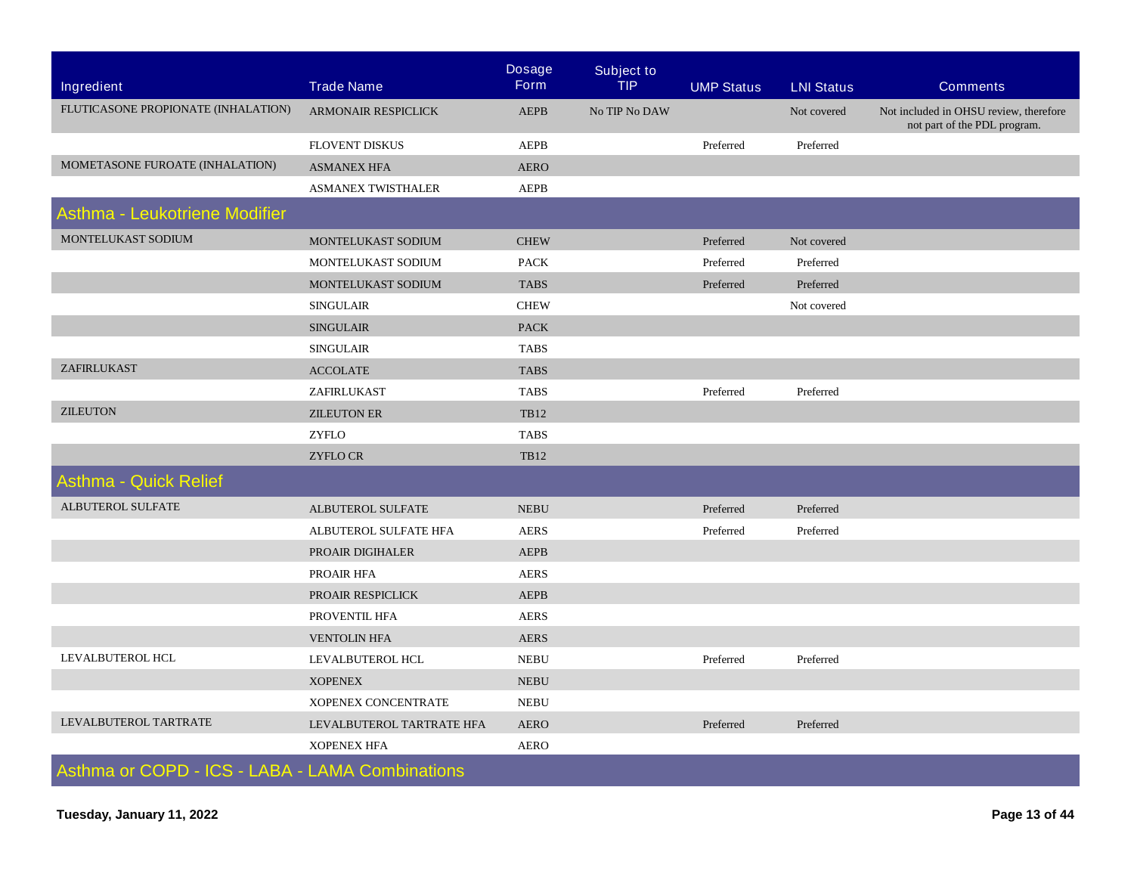|                                                 |                            | <b>Dosage</b> | <b>Subject to</b> |                   |                   |                                                                        |
|-------------------------------------------------|----------------------------|---------------|-------------------|-------------------|-------------------|------------------------------------------------------------------------|
| Ingredient                                      | <b>Trade Name</b>          | <b>Form</b>   | <b>TIP</b>        | <b>UMP Status</b> | <b>LNI Status</b> | <b>Comments</b>                                                        |
| FLUTICASONE PROPIONATE (INHALATION)             | <b>ARMONAIR RESPICLICK</b> | <b>AEPB</b>   | No TIP No DAW     |                   | Not covered       | Not included in OHSU review, therefore<br>not part of the PDL program. |
|                                                 | FLOVENT DISKUS             | <b>AEPB</b>   |                   | Preferred         | Preferred         |                                                                        |
| MOMETASONE FUROATE (INHALATION)                 | <b>ASMANEX HFA</b>         | <b>AERO</b>   |                   |                   |                   |                                                                        |
|                                                 | <b>ASMANEX TWISTHALER</b>  | <b>AEPB</b>   |                   |                   |                   |                                                                        |
| Asthma - Leukotriene Modifier                   |                            |               |                   |                   |                   |                                                                        |
| MONTELUKAST SODIUM                              | MONTELUKAST SODIUM         | <b>CHEW</b>   |                   | Preferred         | Not covered       |                                                                        |
|                                                 | MONTELUKAST SODIUM         | <b>PACK</b>   |                   | Preferred         | Preferred         |                                                                        |
|                                                 | MONTELUKAST SODIUM         | <b>TABS</b>   |                   | Preferred         | Preferred         |                                                                        |
|                                                 | <b>SINGULAIR</b>           | <b>CHEW</b>   |                   |                   | Not covered       |                                                                        |
|                                                 | <b>SINGULAIR</b>           | <b>PACK</b>   |                   |                   |                   |                                                                        |
|                                                 | <b>SINGULAIR</b>           | <b>TABS</b>   |                   |                   |                   |                                                                        |
| ZAFIRLUKAST                                     | <b>ACCOLATE</b>            | <b>TABS</b>   |                   |                   |                   |                                                                        |
|                                                 | ZAFIRLUKAST                | <b>TABS</b>   |                   | Preferred         | Preferred         |                                                                        |
| <b>ZILEUTON</b>                                 | <b>ZILEUTON ER</b>         | <b>TB12</b>   |                   |                   |                   |                                                                        |
|                                                 | <b>ZYFLO</b>               | <b>TABS</b>   |                   |                   |                   |                                                                        |
|                                                 | <b>ZYFLO CR</b>            | <b>TB12</b>   |                   |                   |                   |                                                                        |
| <b>Asthma - Quick Relief</b>                    |                            |               |                   |                   |                   |                                                                        |
| ALBUTEROL SULFATE                               | ALBUTEROL SULFATE          | <b>NEBU</b>   |                   | Preferred         | Preferred         |                                                                        |
|                                                 | ALBUTEROL SULFATE HFA      | <b>AERS</b>   |                   | Preferred         | Preferred         |                                                                        |
|                                                 | PROAIR DIGIHALER           | <b>AEPB</b>   |                   |                   |                   |                                                                        |
|                                                 | PROAIR HFA                 | <b>AERS</b>   |                   |                   |                   |                                                                        |
|                                                 | PROAIR RESPICLICK          | <b>AEPB</b>   |                   |                   |                   |                                                                        |
|                                                 | PROVENTIL HFA              | <b>AERS</b>   |                   |                   |                   |                                                                        |
|                                                 | <b>VENTOLIN HFA</b>        | <b>AERS</b>   |                   |                   |                   |                                                                        |
| LEVALBUTEROL HCL                                | LEVALBUTEROL HCL           | <b>NEBU</b>   |                   | Preferred         | Preferred         |                                                                        |
|                                                 | <b>XOPENEX</b>             | <b>NEBU</b>   |                   |                   |                   |                                                                        |
|                                                 | XOPENEX CONCENTRATE        | <b>NEBU</b>   |                   |                   |                   |                                                                        |
| LEVALBUTEROL TARTRATE                           | LEVALBUTEROL TARTRATE HFA  | <b>AERO</b>   |                   | Preferred         | Preferred         |                                                                        |
|                                                 | <b>XOPENEX HFA</b>         | <b>AERO</b>   |                   |                   |                   |                                                                        |
| Asthma or COPD - ICS - LABA - LAMA Combinations |                            |               |                   |                   |                   |                                                                        |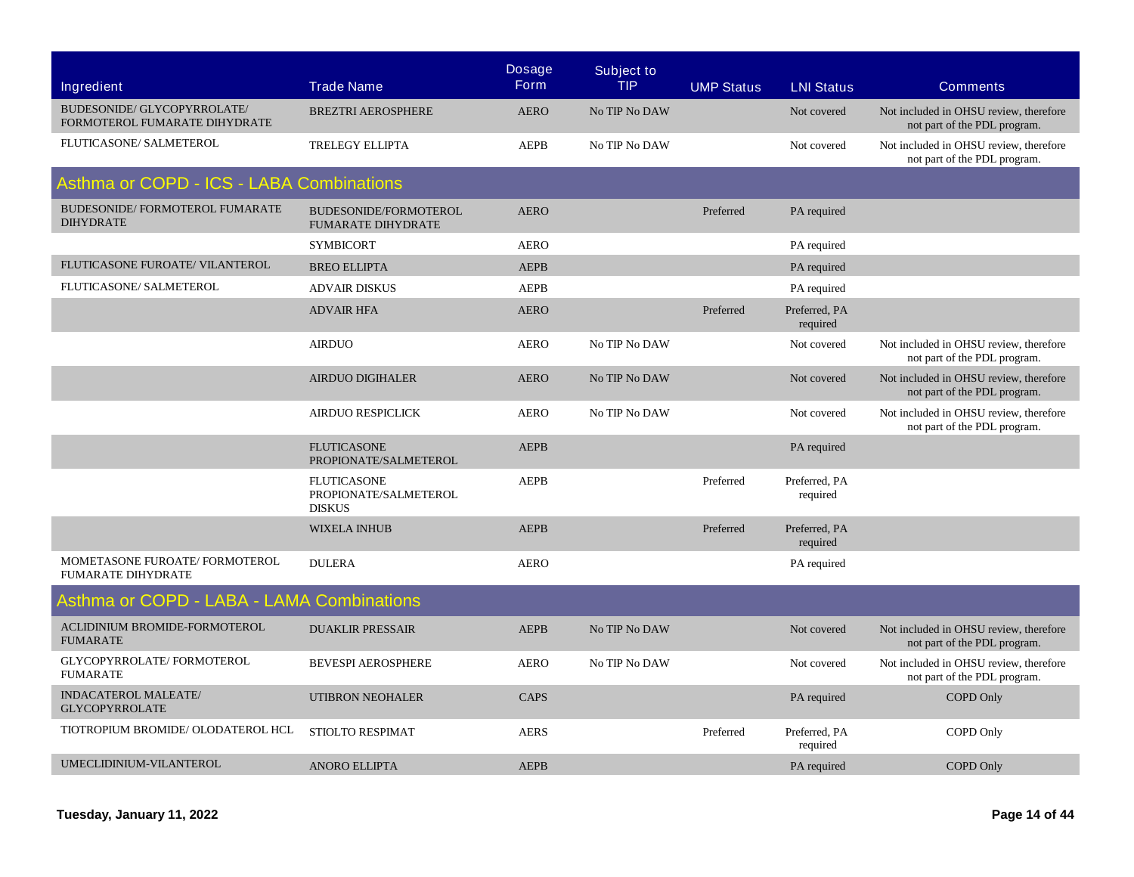|                                                              |                                                              | <b>Dosage</b> | <b>Subject to</b> |                   |                           |                                                                        |
|--------------------------------------------------------------|--------------------------------------------------------------|---------------|-------------------|-------------------|---------------------------|------------------------------------------------------------------------|
| Ingredient                                                   | <b>Trade Name</b>                                            | <b>Form</b>   | <b>TIP</b>        | <b>UMP Status</b> | <b>LNI Status</b>         | <b>Comments</b>                                                        |
| BUDESONIDE/ GLYCOPYRROLATE/<br>FORMOTEROL FUMARATE DIHYDRATE | <b>BREZTRI AEROSPHERE</b>                                    | <b>AERO</b>   | No TIP No DAW     |                   | Not covered               | Not included in OHSU review, therefore<br>not part of the PDL program. |
| FLUTICASONE/ SALMETEROL                                      | TRELEGY ELLIPTA                                              | <b>AEPB</b>   | No TIP No DAW     |                   | Not covered               | Not included in OHSU review, therefore<br>not part of the PDL program. |
| Asthma or COPD - ICS - LABA Combinations                     |                                                              |               |                   |                   |                           |                                                                        |
| BUDESONIDE/FORMOTEROL FUMARATE<br><b>DIHYDRATE</b>           | BUDESONIDE/FORMOTEROL<br><b>FUMARATE DIHYDRATE</b>           | <b>AERO</b>   |                   | Preferred         | PA required               |                                                                        |
|                                                              | <b>SYMBICORT</b>                                             | <b>AERO</b>   |                   |                   | PA required               |                                                                        |
| FLUTICASONE FUROATE/ VILANTEROL                              | <b>BREO ELLIPTA</b>                                          | <b>AEPB</b>   |                   |                   | PA required               |                                                                        |
| FLUTICASONE/ SALMETEROL                                      | <b>ADVAIR DISKUS</b>                                         | <b>AEPB</b>   |                   |                   | PA required               |                                                                        |
|                                                              | <b>ADVAIR HFA</b>                                            | <b>AERO</b>   |                   | Preferred         | Preferred, PA<br>required |                                                                        |
|                                                              | <b>AIRDUO</b>                                                | <b>AERO</b>   | No TIP No DAW     |                   | Not covered               | Not included in OHSU review, therefore<br>not part of the PDL program. |
|                                                              | <b>AIRDUO DIGIHALER</b>                                      | <b>AERO</b>   | No TIP No DAW     |                   | Not covered               | Not included in OHSU review, therefore<br>not part of the PDL program. |
|                                                              | <b>AIRDUO RESPICLICK</b>                                     | <b>AERO</b>   | No TIP No DAW     |                   | Not covered               | Not included in OHSU review, therefore<br>not part of the PDL program. |
|                                                              | <b>FLUTICASONE</b><br>PROPIONATE/SALMETEROL                  | <b>AEPB</b>   |                   |                   | PA required               |                                                                        |
|                                                              | <b>FLUTICASONE</b><br>PROPIONATE/SALMETEROL<br><b>DISKUS</b> | <b>AEPB</b>   |                   | Preferred         | Preferred, PA<br>required |                                                                        |
|                                                              | <b>WIXELA INHUB</b>                                          | <b>AEPB</b>   |                   | Preferred         | Preferred, PA<br>required |                                                                        |
| MOMETASONE FUROATE/ FORMOTEROL<br><b>FUMARATE DIHYDRATE</b>  | <b>DULERA</b>                                                | <b>AERO</b>   |                   |                   | PA required               |                                                                        |
| Asthma or COPD - LABA - LAMA Combinations                    |                                                              |               |                   |                   |                           |                                                                        |
| ACLIDINIUM BROMIDE-FORMOTEROL<br><b>FUMARATE</b>             | <b>DUAKLIR PRESSAIR</b>                                      | <b>AEPB</b>   | No TIP No DAW     |                   | Not covered               | Not included in OHSU review, therefore<br>not part of the PDL program. |
| GLYCOPYRROLATE/FORMOTEROL<br><b>FUMARATE</b>                 | <b>BEVESPI AEROSPHERE</b>                                    | <b>AERO</b>   | No TIP No DAW     |                   | Not covered               | Not included in OHSU review, therefore<br>not part of the PDL program. |
| <b>INDACATEROL MALEATE/</b><br><b>GLYCOPYRROLATE</b>         | <b>UTIBRON NEOHALER</b>                                      | CAPS          |                   |                   | PA required               | COPD Only                                                              |
| TIOTROPIUM BROMIDE/ OLODATEROL HCL                           | STIOLTO RESPIMAT                                             | <b>AERS</b>   |                   | Preferred         | Preferred, PA<br>required | COPD Only                                                              |
| UMECLIDINIUM-VILANTEROL                                      | <b>ANORO ELLIPTA</b>                                         | <b>AEPB</b>   |                   |                   | PA required               | <b>COPD Only</b>                                                       |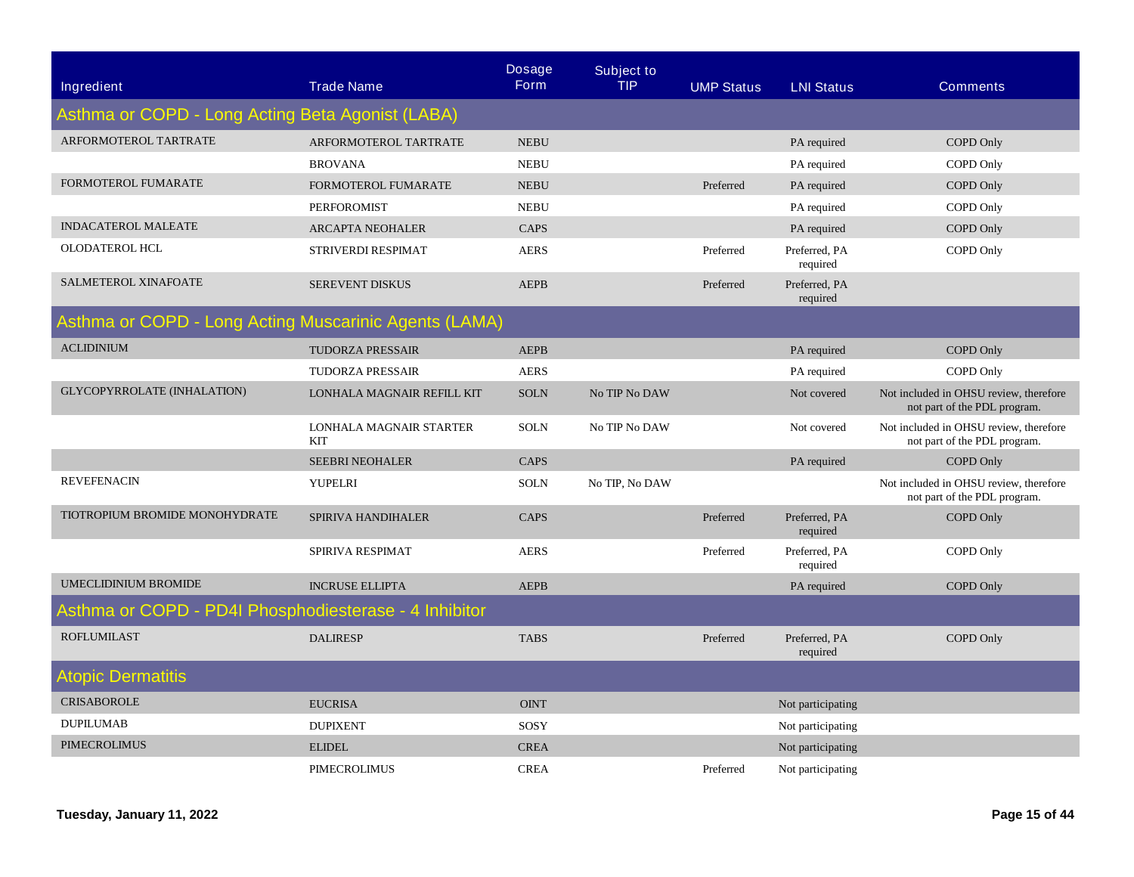| <b>Ingredient</b>                                     | <b>Trade Name</b>                     | <b>Dosage</b><br><b>Form</b> | <b>Subject to</b><br><b>TIP</b> | <b>UMP Status</b> | <b>LNI Status</b>         | <b>Comments</b>                                                        |
|-------------------------------------------------------|---------------------------------------|------------------------------|---------------------------------|-------------------|---------------------------|------------------------------------------------------------------------|
| Asthma or COPD - Long Acting Beta Agonist (LABA)      |                                       |                              |                                 |                   |                           |                                                                        |
| ARFORMOTEROL TARTRATE                                 | ARFORMOTEROL TARTRATE                 | <b>NEBU</b>                  |                                 |                   | PA required               | COPD Only                                                              |
|                                                       | <b>BROVANA</b>                        | <b>NEBU</b>                  |                                 |                   | PA required               | COPD Only                                                              |
| FORMOTEROL FUMARATE                                   | FORMOTEROL FUMARATE                   | <b>NEBU</b>                  |                                 | Preferred         | PA required               | COPD Only                                                              |
|                                                       | <b>PERFOROMIST</b>                    | <b>NEBU</b>                  |                                 |                   | PA required               | COPD Only                                                              |
| <b>INDACATEROL MALEATE</b>                            | <b>ARCAPTA NEOHALER</b>               | CAPS                         |                                 |                   | PA required               | COPD Only                                                              |
| OLODATEROL HCL                                        | STRIVERDI RESPIMAT                    | <b>AERS</b>                  |                                 | Preferred         | Preferred, PA<br>required | COPD Only                                                              |
| SALMETEROL XINAFOATE                                  | <b>SEREVENT DISKUS</b>                | <b>AEPB</b>                  |                                 | Preferred         | Preferred, PA<br>required |                                                                        |
| Asthma or COPD - Long Acting Muscarinic Agents (LAMA) |                                       |                              |                                 |                   |                           |                                                                        |
| <b>ACLIDINIUM</b>                                     | TUDORZA PRESSAIR                      | <b>AEPB</b>                  |                                 |                   | PA required               | COPD Only                                                              |
|                                                       | <b>TUDORZA PRESSAIR</b>               | <b>AERS</b>                  |                                 |                   | PA required               | COPD Only                                                              |
| GLYCOPYRROLATE (INHALATION)                           | LONHALA MAGNAIR REFILL KIT            | <b>SOLN</b>                  | No TIP No DAW                   |                   | Not covered               | Not included in OHSU review, therefore<br>not part of the PDL program. |
|                                                       | LONHALA MAGNAIR STARTER<br><b>KIT</b> | <b>SOLN</b>                  | No TIP No DAW                   |                   | Not covered               | Not included in OHSU review, therefore<br>not part of the PDL program. |
|                                                       | <b>SEEBRI NEOHALER</b>                | <b>CAPS</b>                  |                                 |                   | PA required               | COPD Only                                                              |
| <b>REVEFENACIN</b>                                    | YUPELRI                               | <b>SOLN</b>                  | No TIP, No DAW                  |                   |                           | Not included in OHSU review, therefore<br>not part of the PDL program. |
| TIOTROPIUM BROMIDE MONOHYDRATE                        | SPIRIVA HANDIHALER                    | CAPS                         |                                 | Preferred         | Preferred, PA<br>required | COPD Only                                                              |
|                                                       | SPIRIVA RESPIMAT                      | <b>AERS</b>                  |                                 | Preferred         | Preferred, PA<br>required | COPD Only                                                              |
| <b>UMECLIDINIUM BROMIDE</b>                           | <b>INCRUSE ELLIPTA</b>                | <b>AEPB</b>                  |                                 |                   | PA required               | <b>COPD Only</b>                                                       |
| Asthma or COPD - PD4I Phosphodiesterase - 4 Inhibitor |                                       |                              |                                 |                   |                           |                                                                        |
| <b>ROFLUMILAST</b>                                    | <b>DALIRESP</b>                       | <b>TABS</b>                  |                                 | Preferred         | Preferred, PA<br>required | COPD Only                                                              |
| <b>Atopic Dermatitis</b>                              |                                       |                              |                                 |                   |                           |                                                                        |
| <b>CRISABOROLE</b>                                    | <b>EUCRISA</b>                        | <b>OINT</b>                  |                                 |                   | Not participating         |                                                                        |
| <b>DUPILUMAB</b>                                      | <b>DUPIXENT</b>                       | SOSY                         |                                 |                   | Not participating         |                                                                        |
| <b>PIMECROLIMUS</b>                                   | <b>ELIDEL</b>                         | <b>CREA</b>                  |                                 |                   | Not participating         |                                                                        |
|                                                       | <b>PIMECROLIMUS</b>                   | <b>CREA</b>                  |                                 | Preferred         | Not participating         |                                                                        |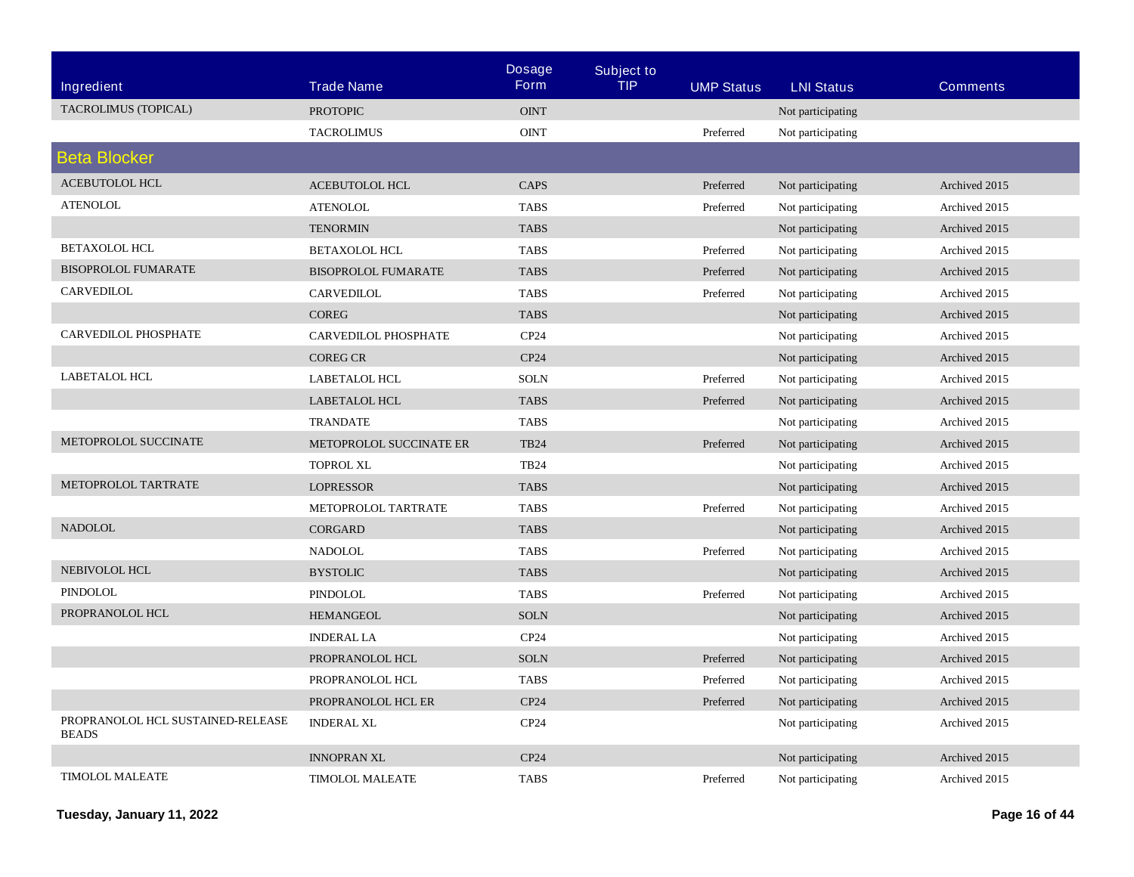|                                                   |                                | <b>Dosage</b>    | <b>Subject to</b> |                   |                   |                 |
|---------------------------------------------------|--------------------------------|------------------|-------------------|-------------------|-------------------|-----------------|
| <b>Ingredient</b>                                 | <b>Trade Name</b>              | <b>Form</b>      | <b>TIP</b>        | <b>UMP Status</b> | <b>LNI Status</b> | <b>Comments</b> |
| TACROLIMUS (TOPICAL)                              | <b>PROTOPIC</b>                | <b>OINT</b>      |                   |                   | Not participating |                 |
|                                                   | <b>TACROLIMUS</b>              | <b>OINT</b>      |                   | Preferred         | Not participating |                 |
| <b>Beta Blocker</b>                               |                                |                  |                   |                   |                   |                 |
| ACEBUTOLOL HCL                                    | <b>ACEBUTOLOL HCL</b>          | <b>CAPS</b>      |                   | Preferred         | Not participating | Archived 2015   |
| <b>ATENOLOL</b>                                   | <b>ATENOLOL</b>                | <b>TABS</b>      |                   | Preferred         | Not participating | Archived 2015   |
|                                                   | <b>TENORMIN</b>                | <b>TABS</b>      |                   |                   | Not participating | Archived 2015   |
| BETAXOLOL HCL                                     | <b>BETAXOLOL HCL</b>           | <b>TABS</b>      |                   | Preferred         | Not participating | Archived 2015   |
| <b>BISOPROLOL FUMARATE</b>                        | <b>BISOPROLOL FUMARATE</b>     | <b>TABS</b>      |                   | Preferred         | Not participating | Archived 2015   |
| CARVEDILOL                                        | CARVEDILOL                     | <b>TABS</b>      |                   | Preferred         | Not participating | Archived 2015   |
|                                                   | <b>COREG</b>                   | <b>TABS</b>      |                   |                   | Not participating | Archived 2015   |
| CARVEDILOL PHOSPHATE                              | CARVEDILOL PHOSPHATE           | CP24             |                   |                   | Not participating | Archived 2015   |
|                                                   | <b>COREG CR</b>                | CP24             |                   |                   | Not participating | Archived 2015   |
| <b>LABETALOL HCL</b>                              | <b>LABETALOL HCL</b>           | <b>SOLN</b>      |                   | Preferred         | Not participating | Archived 2015   |
|                                                   | <b>LABETALOL HCL</b>           | <b>TABS</b>      |                   | Preferred         | Not participating | Archived 2015   |
|                                                   | <b>TRANDATE</b>                | <b>TABS</b>      |                   |                   | Not participating | Archived 2015   |
| METOPROLOL SUCCINATE                              | <b>METOPROLOL SUCCINATE ER</b> | <b>TB24</b>      |                   | Preferred         | Not participating | Archived 2015   |
|                                                   | <b>TOPROL XL</b>               | <b>TB24</b>      |                   |                   | Not participating | Archived 2015   |
| METOPROLOL TARTRATE                               | <b>LOPRESSOR</b>               | <b>TABS</b>      |                   |                   | Not participating | Archived 2015   |
|                                                   | METOPROLOL TARTRATE            | <b>TABS</b>      |                   | Preferred         | Not participating | Archived 2015   |
| <b>NADOLOL</b>                                    | <b>CORGARD</b>                 | <b>TABS</b>      |                   |                   | Not participating | Archived 2015   |
|                                                   | <b>NADOLOL</b>                 | <b>TABS</b>      |                   | Preferred         | Not participating | Archived 2015   |
| NEBIVOLOL HCL                                     | <b>BYSTOLIC</b>                | <b>TABS</b>      |                   |                   | Not participating | Archived 2015   |
| PINDOLOL                                          | <b>PINDOLOL</b>                | <b>TABS</b>      |                   | Preferred         | Not participating | Archived 2015   |
| PROPRANOLOL HCL                                   | <b>HEMANGEOL</b>               | <b>SOLN</b>      |                   |                   | Not participating | Archived 2015   |
|                                                   | <b>INDERAL LA</b>              | CP <sub>24</sub> |                   |                   | Not participating | Archived 2015   |
|                                                   | PROPRANOLOL HCL                | <b>SOLN</b>      |                   | Preferred         | Not participating | Archived 2015   |
|                                                   | PROPRANOLOL HCL                | <b>TABS</b>      |                   | Preferred         | Not participating | Archived 2015   |
|                                                   | PROPRANOLOL HCL ER             | CP24             |                   | Preferred         | Not participating | Archived 2015   |
| PROPRANOLOL HCL SUSTAINED-RELEASE<br><b>BEADS</b> | <b>INDERAL XL</b>              | CP24             |                   |                   | Not participating | Archived 2015   |
|                                                   | <b>INNOPRAN XL</b>             | CP24             |                   |                   | Not participating | Archived 2015   |
| <b>TIMOLOL MALEATE</b>                            | <b>TIMOLOL MALEATE</b>         | <b>TABS</b>      |                   | Preferred         | Not participating | Archived 2015   |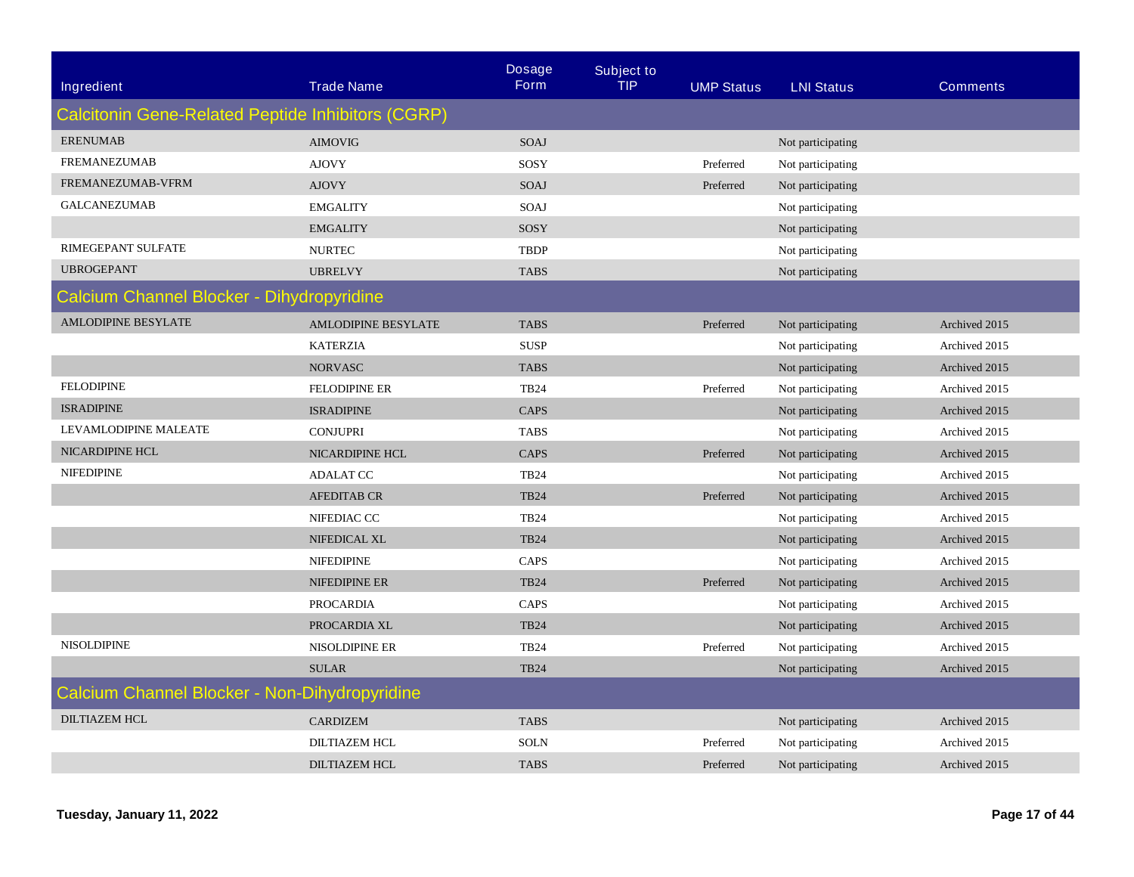| Ingredient                                        | <b>Trade Name</b>                         | <b>Dosage</b><br><b>Form</b> | <b>Subject to</b><br><b>TIP</b> |                   |                   | <b>Comments</b> |  |  |  |
|---------------------------------------------------|-------------------------------------------|------------------------------|---------------------------------|-------------------|-------------------|-----------------|--|--|--|
|                                                   |                                           |                              |                                 | <b>UMP Status</b> | <b>LNI Status</b> |                 |  |  |  |
| Calcitonin Gene-Related Peptide Inhibitors (CGRP) |                                           |                              |                                 |                   |                   |                 |  |  |  |
| <b>ERENUMAB</b>                                   | <b>AIMOVIG</b>                            | <b>SOAJ</b>                  |                                 |                   | Not participating |                 |  |  |  |
| <b>FREMANEZUMAB</b>                               | <b>AJOVY</b>                              | SOSY                         |                                 | Preferred         | Not participating |                 |  |  |  |
| FREMANEZUMAB-VFRM                                 | <b>AJOVY</b>                              | SOAJ                         |                                 | Preferred         | Not participating |                 |  |  |  |
| <b>GALCANEZUMAB</b>                               | <b>EMGALITY</b>                           | SOAJ                         |                                 |                   | Not participating |                 |  |  |  |
|                                                   | <b>EMGALITY</b>                           | SOSY                         |                                 |                   | Not participating |                 |  |  |  |
| RIMEGEPANT SULFATE                                | <b>NURTEC</b>                             | <b>TBDP</b>                  |                                 |                   | Not participating |                 |  |  |  |
| <b>UBROGEPANT</b>                                 | <b>UBRELVY</b>                            | <b>TABS</b>                  |                                 |                   | Not participating |                 |  |  |  |
|                                                   | Calcium Channel Blocker - Dihydropyridine |                              |                                 |                   |                   |                 |  |  |  |
| <b>AMLODIPINE BESYLATE</b>                        | <b>AMLODIPINE BESYLATE</b>                | <b>TABS</b>                  |                                 | Preferred         | Not participating | Archived 2015   |  |  |  |
|                                                   | <b>KATERZIA</b>                           | <b>SUSP</b>                  |                                 |                   | Not participating | Archived 2015   |  |  |  |
|                                                   | <b>NORVASC</b>                            | <b>TABS</b>                  |                                 |                   | Not participating | Archived 2015   |  |  |  |
| <b>FELODIPINE</b>                                 | <b>FELODIPINE ER</b>                      | <b>TB24</b>                  |                                 | Preferred         | Not participating | Archived 2015   |  |  |  |
| <b>ISRADIPINE</b>                                 | <b>ISRADIPINE</b>                         | <b>CAPS</b>                  |                                 |                   | Not participating | Archived 2015   |  |  |  |
| LEVAMLODIPINE MALEATE                             | <b>CONJUPRI</b>                           | <b>TABS</b>                  |                                 |                   | Not participating | Archived 2015   |  |  |  |
| NICARDIPINE HCL                                   | NICARDIPINE HCL                           | <b>CAPS</b>                  |                                 | Preferred         | Not participating | Archived 2015   |  |  |  |
| <b>NIFEDIPINE</b>                                 | <b>ADALAT CC</b>                          | <b>TB24</b>                  |                                 |                   | Not participating | Archived 2015   |  |  |  |
|                                                   | <b>AFEDITAB CR</b>                        | <b>TB24</b>                  |                                 | Preferred         | Not participating | Archived 2015   |  |  |  |
|                                                   | NIFEDIAC CC                               | <b>TB24</b>                  |                                 |                   | Not participating | Archived 2015   |  |  |  |
|                                                   | NIFEDICAL XL                              | <b>TB24</b>                  |                                 |                   | Not participating | Archived 2015   |  |  |  |
|                                                   | <b>NIFEDIPINE</b>                         | CAPS                         |                                 |                   | Not participating | Archived 2015   |  |  |  |
|                                                   | NIFEDIPINE ER                             | <b>TB24</b>                  |                                 | Preferred         | Not participating | Archived 2015   |  |  |  |
|                                                   | <b>PROCARDIA</b>                          | CAPS                         |                                 |                   | Not participating | Archived 2015   |  |  |  |
|                                                   | PROCARDIA XL                              | <b>TB24</b>                  |                                 |                   | Not participating | Archived 2015   |  |  |  |
| <b>NISOLDIPINE</b>                                | NISOLDIPINE ER                            | <b>TB24</b>                  |                                 | Preferred         | Not participating | Archived 2015   |  |  |  |
|                                                   | <b>SULAR</b>                              | <b>TB24</b>                  |                                 |                   | Not participating | Archived 2015   |  |  |  |
| Calcium Channel Blocker - Non-Dihydropyridine     |                                           |                              |                                 |                   |                   |                 |  |  |  |
| <b>DILTIAZEM HCL</b>                              | <b>CARDIZEM</b>                           | <b>TABS</b>                  |                                 |                   | Not participating | Archived 2015   |  |  |  |
|                                                   | <b>DILTIAZEM HCL</b>                      | <b>SOLN</b>                  |                                 | Preferred         | Not participating | Archived 2015   |  |  |  |
|                                                   | <b>DILTIAZEM HCL</b>                      | <b>TABS</b>                  |                                 | Preferred         | Not participating | Archived 2015   |  |  |  |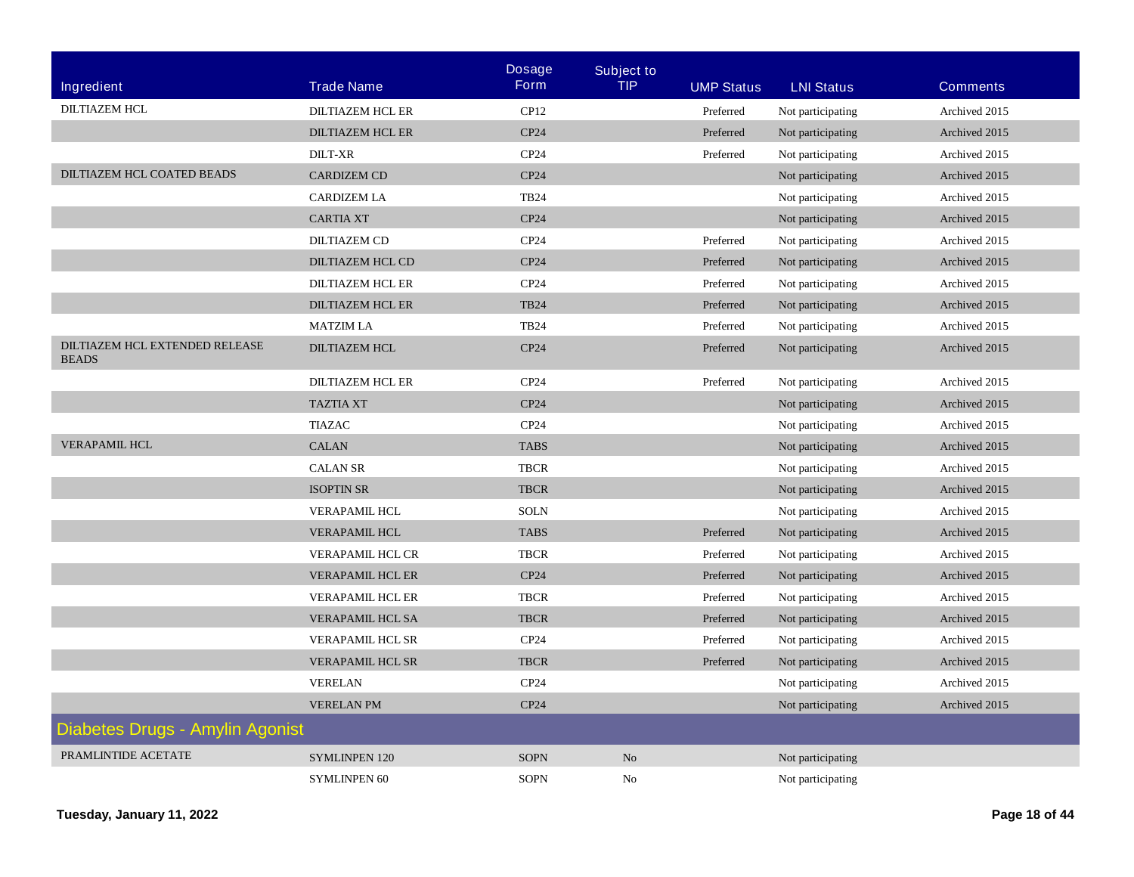|                                                |                         | <b>Dosage</b>    | <b>Subject to</b> |                   |                   |                 |
|------------------------------------------------|-------------------------|------------------|-------------------|-------------------|-------------------|-----------------|
| Ingredient                                     | <b>Trade Name</b>       | <b>Form</b>      | <b>TIP</b>        | <b>UMP Status</b> | <b>LNI Status</b> | <b>Comments</b> |
| <b>DILTIAZEM HCL</b>                           | <b>DILTIAZEM HCL ER</b> | CP12             |                   | Preferred         | Not participating | Archived 2015   |
|                                                | <b>DILTIAZEM HCL ER</b> | CP24             |                   | Preferred         | Not participating | Archived 2015   |
|                                                | <b>DILT-XR</b>          | CP <sub>24</sub> |                   | Preferred         | Not participating | Archived 2015   |
| DILTIAZEM HCL COATED BEADS                     | <b>CARDIZEM CD</b>      | CP24             |                   |                   | Not participating | Archived 2015   |
|                                                | <b>CARDIZEM LA</b>      | <b>TB24</b>      |                   |                   | Not participating | Archived 2015   |
|                                                | <b>CARTIA XT</b>        | CP24             |                   |                   | Not participating | Archived 2015   |
|                                                | <b>DILTIAZEM CD</b>     | CP24             |                   | Preferred         | Not participating | Archived 2015   |
|                                                | DILTIAZEM HCL CD        | CP24             |                   | Preferred         | Not participating | Archived 2015   |
|                                                | <b>DILTIAZEM HCL ER</b> | CP24             |                   | Preferred         | Not participating | Archived 2015   |
|                                                | <b>DILTIAZEM HCL ER</b> | <b>TB24</b>      |                   | Preferred         | Not participating | Archived 2015   |
|                                                | <b>MATZIM LA</b>        | <b>TB24</b>      |                   | Preferred         | Not participating | Archived 2015   |
| DILTIAZEM HCL EXTENDED RELEASE<br><b>BEADS</b> | <b>DILTIAZEM HCL</b>    | CP24             |                   | Preferred         | Not participating | Archived 2015   |
|                                                | <b>DILTIAZEM HCL ER</b> | CP24             |                   | Preferred         | Not participating | Archived 2015   |
|                                                | <b>TAZTIA XT</b>        | CP24             |                   |                   | Not participating | Archived 2015   |
|                                                | <b>TIAZAC</b>           | CP24             |                   |                   | Not participating | Archived 2015   |
| <b>VERAPAMIL HCL</b>                           | <b>CALAN</b>            | <b>TABS</b>      |                   |                   | Not participating | Archived 2015   |
|                                                | <b>CALAN SR</b>         | <b>TBCR</b>      |                   |                   | Not participating | Archived 2015   |
|                                                | <b>ISOPTIN SR</b>       | <b>TBCR</b>      |                   |                   | Not participating | Archived 2015   |
|                                                | <b>VERAPAMIL HCL</b>    | <b>SOLN</b>      |                   |                   | Not participating | Archived 2015   |
|                                                | <b>VERAPAMIL HCL</b>    | <b>TABS</b>      |                   | Preferred         | Not participating | Archived 2015   |
|                                                | <b>VERAPAMIL HCL CR</b> | <b>TBCR</b>      |                   | Preferred         | Not participating | Archived 2015   |
|                                                | <b>VERAPAMIL HCL ER</b> | CP24             |                   | Preferred         | Not participating | Archived 2015   |
|                                                | <b>VERAPAMIL HCL ER</b> | <b>TBCR</b>      |                   | Preferred         | Not participating | Archived 2015   |
|                                                | VERAPAMIL HCL SA        | <b>TBCR</b>      |                   | Preferred         | Not participating | Archived 2015   |
|                                                | <b>VERAPAMIL HCL SR</b> | CP24             |                   | Preferred         | Not participating | Archived 2015   |
|                                                | <b>VERAPAMIL HCL SR</b> | <b>TBCR</b>      |                   | Preferred         | Not participating | Archived 2015   |
|                                                | <b>VERELAN</b>          | CP24             |                   |                   | Not participating | Archived 2015   |
|                                                | <b>VERELAN PM</b>       | CP24             |                   |                   | Not participating | Archived 2015   |
| Diabetes Drugs - Amylin Agonist                |                         |                  |                   |                   |                   |                 |
| PRAMLINTIDE ACETATE                            | <b>SYMLINPEN 120</b>    | <b>SOPN</b>      | N <sub>o</sub>    |                   | Not participating |                 |
|                                                | <b>SYMLINPEN 60</b>     | <b>SOPN</b>      | No                |                   | Not participating |                 |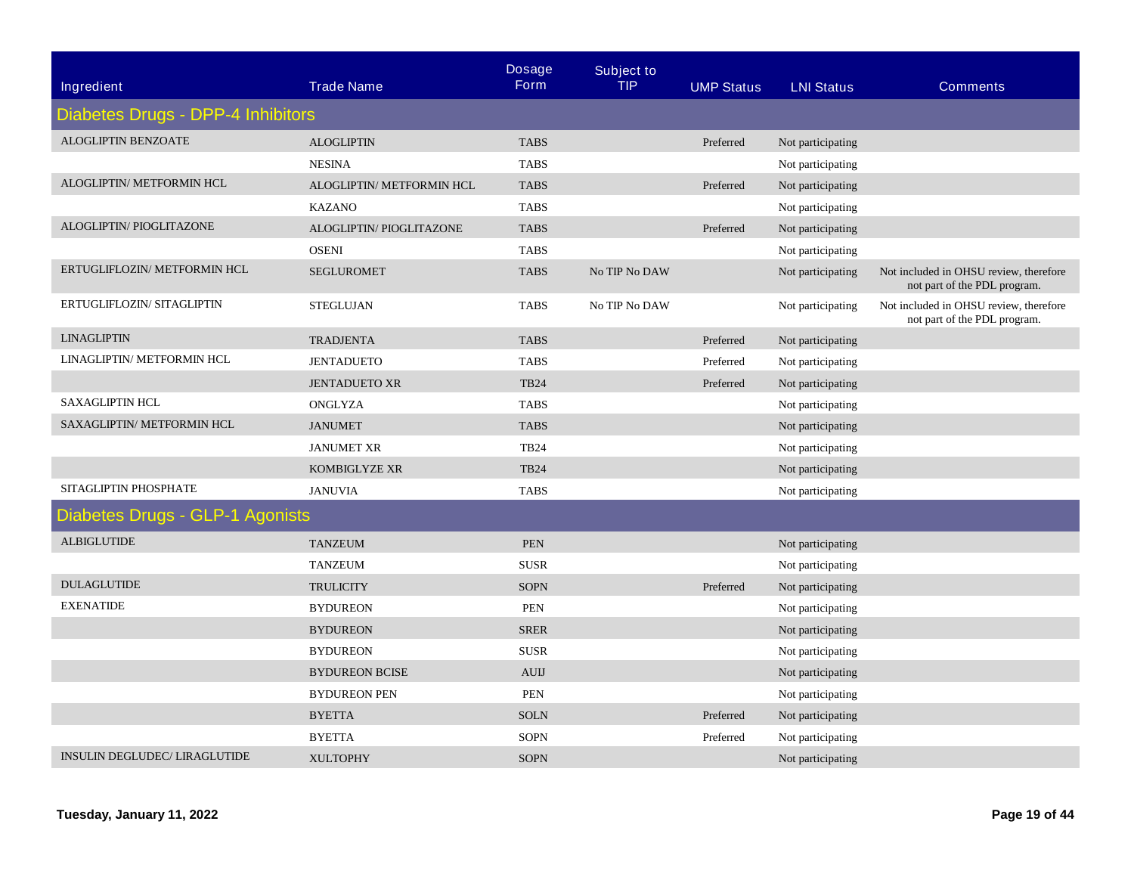| Ingredient                        | <b>Trade Name</b>         | <b>Dosage</b><br><b>Form</b> | <b>Subject to</b><br><b>TIP</b> | <b>UMP Status</b> | <b>LNI Status</b> | <b>Comments</b>                                                        |
|-----------------------------------|---------------------------|------------------------------|---------------------------------|-------------------|-------------------|------------------------------------------------------------------------|
| Diabetes Drugs - DPP-4 Inhibitors |                           |                              |                                 |                   |                   |                                                                        |
| ALOGLIPTIN BENZOATE               | <b>ALOGLIPTIN</b>         | <b>TABS</b>                  |                                 | Preferred         | Not participating |                                                                        |
|                                   | <b>NESINA</b>             | <b>TABS</b>                  |                                 |                   | Not participating |                                                                        |
| ALOGLIPTIN/ METFORMIN HCL         | ALOGLIPTIN/ METFORMIN HCL | <b>TABS</b>                  |                                 | Preferred         | Not participating |                                                                        |
|                                   | <b>KAZANO</b>             | <b>TABS</b>                  |                                 |                   | Not participating |                                                                        |
| ALOGLIPTIN/ PIOGLITAZONE          | ALOGLIPTIN/ PIOGLITAZONE  | <b>TABS</b>                  |                                 | Preferred         | Not participating |                                                                        |
|                                   | <b>OSENI</b>              | <b>TABS</b>                  |                                 |                   | Not participating |                                                                        |
| ERTUGLIFLOZIN/ METFORMIN HCL      | <b>SEGLUROMET</b>         | <b>TABS</b>                  | No TIP No DAW                   |                   | Not participating | Not included in OHSU review, therefore<br>not part of the PDL program. |
| ERTUGLIFLOZIN/ SITAGLIPTIN        | STEGLUJAN                 | <b>TABS</b>                  | No TIP No DAW                   |                   | Not participating | Not included in OHSU review, therefore<br>not part of the PDL program. |
| <b>LINAGLIPTIN</b>                | <b>TRADJENTA</b>          | <b>TABS</b>                  |                                 | Preferred         | Not participating |                                                                        |
| LINAGLIPTIN/ METFORMIN HCL        | <b>JENTADUETO</b>         | <b>TABS</b>                  |                                 | Preferred         | Not participating |                                                                        |
|                                   | <b>JENTADUETO XR</b>      | <b>TB24</b>                  |                                 | Preferred         | Not participating |                                                                        |
| <b>SAXAGLIPTIN HCL</b>            | ONGLYZA                   | <b>TABS</b>                  |                                 |                   | Not participating |                                                                        |
| SAXAGLIPTIN/ METFORMIN HCL        | <b>JANUMET</b>            | <b>TABS</b>                  |                                 |                   | Not participating |                                                                        |
|                                   | <b>JANUMET XR</b>         | <b>TB24</b>                  |                                 |                   | Not participating |                                                                        |
|                                   | KOMBIGLYZE XR             | <b>TB24</b>                  |                                 |                   | Not participating |                                                                        |
| SITAGLIPTIN PHOSPHATE             | <b>JANUVIA</b>            | <b>TABS</b>                  |                                 |                   | Not participating |                                                                        |
| Diabetes Drugs - GLP-1 Agonists   |                           |                              |                                 |                   |                   |                                                                        |
| <b>ALBIGLUTIDE</b>                | <b>TANZEUM</b>            | <b>PEN</b>                   |                                 |                   | Not participating |                                                                        |
|                                   | <b>TANZEUM</b>            | <b>SUSR</b>                  |                                 |                   | Not participating |                                                                        |
| <b>DULAGLUTIDE</b>                | <b>TRULICITY</b>          | <b>SOPN</b>                  |                                 | Preferred         | Not participating |                                                                        |
| <b>EXENATIDE</b>                  | <b>BYDUREON</b>           | <b>PEN</b>                   |                                 |                   | Not participating |                                                                        |
|                                   | <b>BYDUREON</b>           | <b>SRER</b>                  |                                 |                   | Not participating |                                                                        |
|                                   | <b>BYDUREON</b>           | <b>SUSR</b>                  |                                 |                   | Not participating |                                                                        |
|                                   | <b>BYDUREON BCISE</b>     | <b>AUIJ</b>                  |                                 |                   | Not participating |                                                                        |
|                                   | <b>BYDUREON PEN</b>       | PEN                          |                                 |                   | Not participating |                                                                        |
|                                   | <b>BYETTA</b>             | <b>SOLN</b>                  |                                 | Preferred         | Not participating |                                                                        |
|                                   | <b>BYETTA</b>             | <b>SOPN</b>                  |                                 | Preferred         | Not participating |                                                                        |
| INSULIN DEGLUDEC/ LIRAGLUTIDE     | <b>XULTOPHY</b>           | <b>SOPN</b>                  |                                 |                   | Not participating |                                                                        |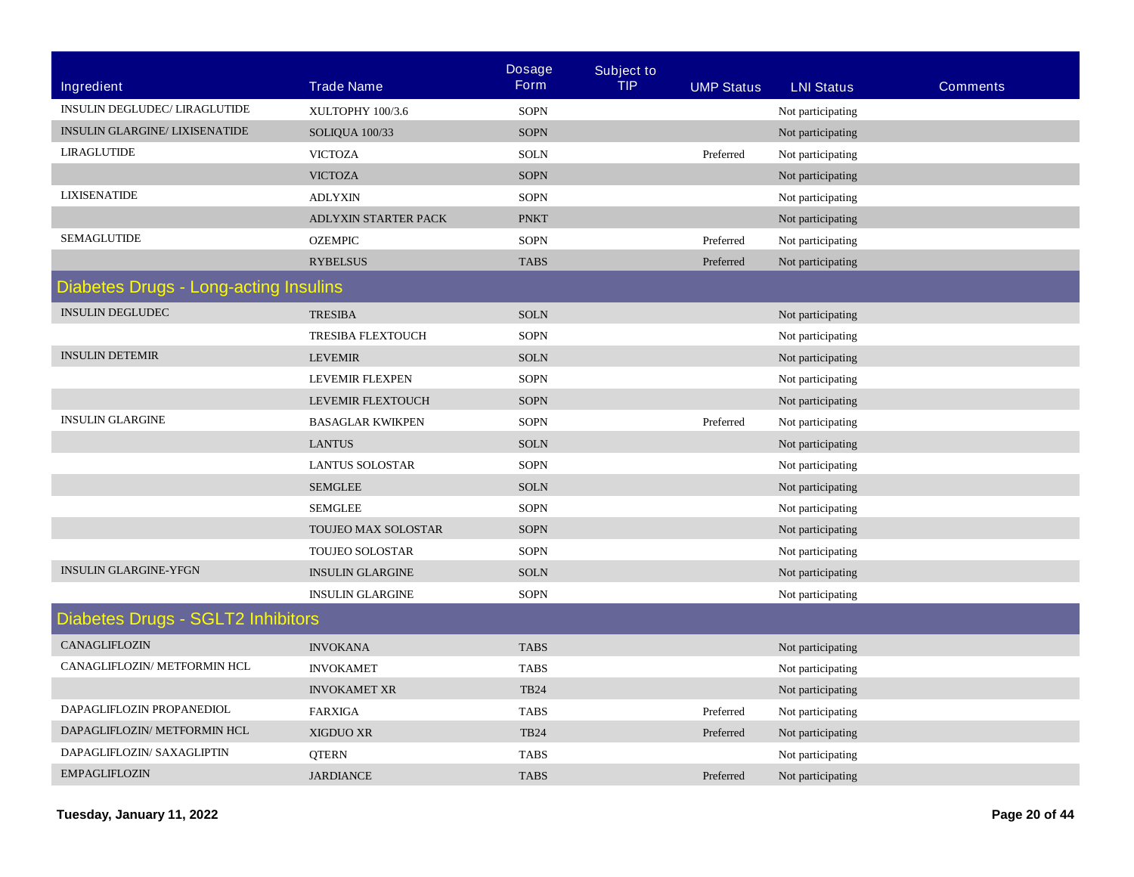|                                              |                         | <b>Dosage</b> | <b>Subject to</b> |                   |                   |                 |
|----------------------------------------------|-------------------------|---------------|-------------------|-------------------|-------------------|-----------------|
| Ingredient                                   | <b>Trade Name</b>       | <b>Form</b>   | <b>TIP</b>        | <b>UMP Status</b> | <b>LNI Status</b> | <b>Comments</b> |
| INSULIN DEGLUDEC/ LIRAGLUTIDE                | XULTOPHY 100/3.6        | <b>SOPN</b>   |                   |                   | Not participating |                 |
| <b>INSULIN GLARGINE/ LIXISENATIDE</b>        | SOLIQUA 100/33          | <b>SOPN</b>   |                   |                   | Not participating |                 |
| LIRAGLUTIDE                                  | <b>VICTOZA</b>          | <b>SOLN</b>   |                   | Preferred         | Not participating |                 |
|                                              | <b>VICTOZA</b>          | <b>SOPN</b>   |                   |                   | Not participating |                 |
| <b>LIXISENATIDE</b>                          | <b>ADLYXIN</b>          | <b>SOPN</b>   |                   |                   | Not participating |                 |
|                                              | ADLYXIN STARTER PACK    | <b>PNKT</b>   |                   |                   | Not participating |                 |
| <b>SEMAGLUTIDE</b>                           | <b>OZEMPIC</b>          | <b>SOPN</b>   |                   | Preferred         | Not participating |                 |
|                                              | <b>RYBELSUS</b>         | <b>TABS</b>   |                   | Preferred         | Not participating |                 |
| <b>Diabetes Drugs - Long-acting Insulins</b> |                         |               |                   |                   |                   |                 |
| <b>INSULIN DEGLUDEC</b>                      | <b>TRESIBA</b>          | <b>SOLN</b>   |                   |                   | Not participating |                 |
|                                              | TRESIBA FLEXTOUCH       | <b>SOPN</b>   |                   |                   | Not participating |                 |
| <b>INSULIN DETEMIR</b>                       | <b>LEVEMIR</b>          | <b>SOLN</b>   |                   |                   | Not participating |                 |
|                                              | LEVEMIR FLEXPEN         | <b>SOPN</b>   |                   |                   | Not participating |                 |
|                                              | LEVEMIR FLEXTOUCH       | <b>SOPN</b>   |                   |                   | Not participating |                 |
| <b>INSULIN GLARGINE</b>                      | <b>BASAGLAR KWIKPEN</b> | SOPN          |                   | Preferred         | Not participating |                 |
|                                              | <b>LANTUS</b>           | <b>SOLN</b>   |                   |                   | Not participating |                 |
|                                              | <b>LANTUS SOLOSTAR</b>  | <b>SOPN</b>   |                   |                   | Not participating |                 |
|                                              | <b>SEMGLEE</b>          | <b>SOLN</b>   |                   |                   | Not participating |                 |
|                                              | <b>SEMGLEE</b>          | <b>SOPN</b>   |                   |                   | Not participating |                 |
|                                              | TOUJEO MAX SOLOSTAR     | <b>SOPN</b>   |                   |                   | Not participating |                 |
|                                              | <b>TOUJEO SOLOSTAR</b>  | <b>SOPN</b>   |                   |                   | Not participating |                 |
| <b>INSULIN GLARGINE-YFGN</b>                 | <b>INSULIN GLARGINE</b> | <b>SOLN</b>   |                   |                   | Not participating |                 |
|                                              | <b>INSULIN GLARGINE</b> | <b>SOPN</b>   |                   |                   | Not participating |                 |
| Diabetes Drugs - SGLT2 Inhibitors            |                         |               |                   |                   |                   |                 |
| CANAGLIFLOZIN                                | <b>INVOKANA</b>         | <b>TABS</b>   |                   |                   | Not participating |                 |
| CANAGLIFLOZIN/ METFORMIN HCL                 | <b>INVOKAMET</b>        | <b>TABS</b>   |                   |                   | Not participating |                 |
|                                              | <b>INVOKAMET XR</b>     | <b>TB24</b>   |                   |                   | Not participating |                 |
| DAPAGLIFLOZIN PROPANEDIOL                    | <b>FARXIGA</b>          | <b>TABS</b>   |                   | Preferred         | Not participating |                 |
| DAPAGLIFLOZIN/ METFORMIN HCL                 | <b>XIGDUO XR</b>        | <b>TB24</b>   |                   | Preferred         | Not participating |                 |
| DAPAGLIFLOZIN/ SAXAGLIPTIN                   | <b>QTERN</b>            | <b>TABS</b>   |                   |                   | Not participating |                 |
| <b>EMPAGLIFLOZIN</b>                         | <b>JARDIANCE</b>        | <b>TABS</b>   |                   | Preferred         | Not participating |                 |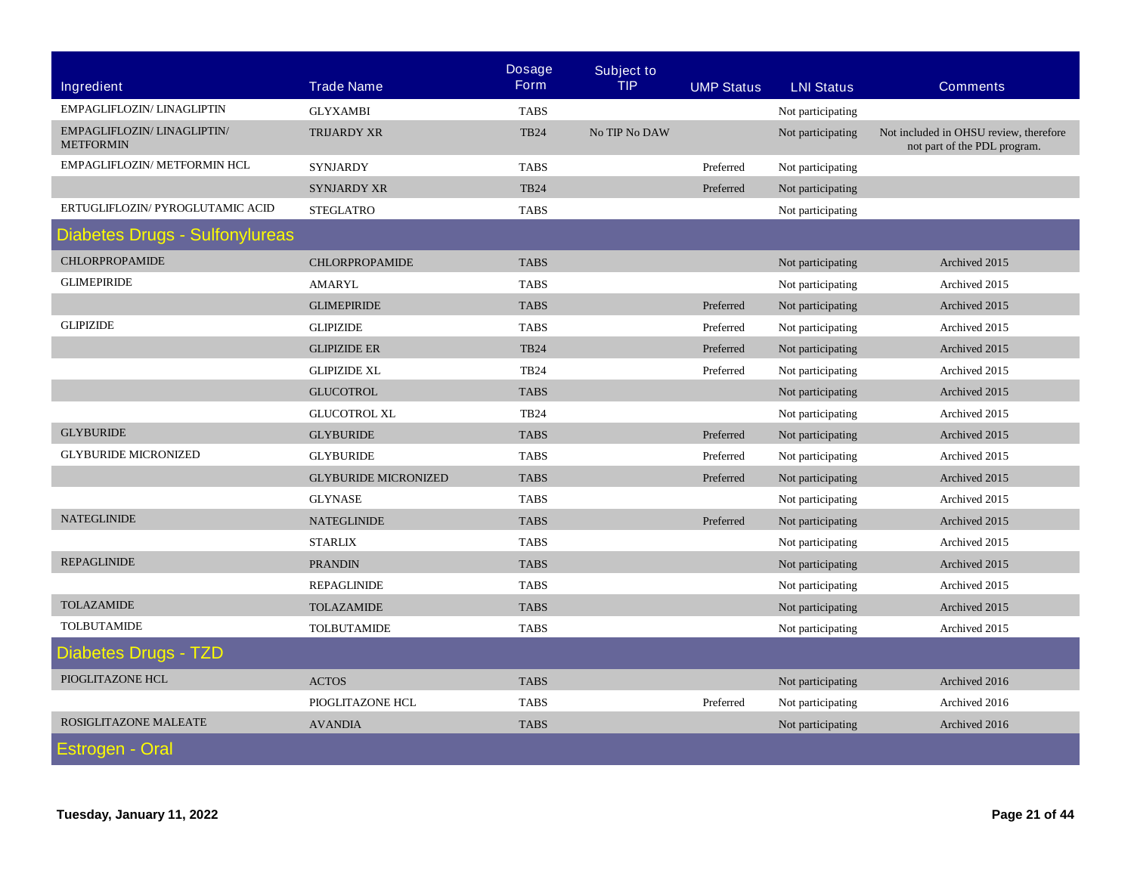|                                                |                             | <b>Dosage</b> | <b>Subject to</b> |                   |                   |                                                                        |
|------------------------------------------------|-----------------------------|---------------|-------------------|-------------------|-------------------|------------------------------------------------------------------------|
| <b>Ingredient</b>                              | <b>Trade Name</b>           | <b>Form</b>   | <b>TIP</b>        | <b>UMP Status</b> | <b>LNI Status</b> | <b>Comments</b>                                                        |
| EMPAGLIFLOZIN/ LINAGLIPTIN                     | <b>GLYXAMBI</b>             | <b>TABS</b>   |                   |                   | Not participating |                                                                        |
| EMPAGLIFLOZIN/LINAGLIPTIN/<br><b>METFORMIN</b> | <b>TRIJARDY XR</b>          | <b>TB24</b>   | No TIP No DAW     |                   | Not participating | Not included in OHSU review, therefore<br>not part of the PDL program. |
| EMPAGLIFLOZIN/ METFORMIN HCL                   | <b>SYNJARDY</b>             | <b>TABS</b>   |                   | Preferred         | Not participating |                                                                        |
|                                                | <b>SYNJARDY XR</b>          | <b>TB24</b>   |                   | Preferred         | Not participating |                                                                        |
| ERTUGLIFLOZIN/ PYROGLUTAMIC ACID               | <b>STEGLATRO</b>            | <b>TABS</b>   |                   |                   | Not participating |                                                                        |
| <b>Diabetes Drugs - Sulfonylureas</b>          |                             |               |                   |                   |                   |                                                                        |
| <b>CHLORPROPAMIDE</b>                          | <b>CHLORPROPAMIDE</b>       | <b>TABS</b>   |                   |                   | Not participating | Archived 2015                                                          |
| <b>GLIMEPIRIDE</b>                             | <b>AMARYL</b>               | <b>TABS</b>   |                   |                   | Not participating | Archived 2015                                                          |
|                                                | <b>GLIMEPIRIDE</b>          | <b>TABS</b>   |                   | Preferred         | Not participating | Archived 2015                                                          |
| <b>GLIPIZIDE</b>                               | <b>GLIPIZIDE</b>            | <b>TABS</b>   |                   | Preferred         | Not participating | Archived 2015                                                          |
|                                                | <b>GLIPIZIDE ER</b>         | <b>TB24</b>   |                   | Preferred         | Not participating | Archived 2015                                                          |
|                                                | <b>GLIPIZIDE XL</b>         | <b>TB24</b>   |                   | Preferred         | Not participating | Archived 2015                                                          |
|                                                | <b>GLUCOTROL</b>            | <b>TABS</b>   |                   |                   | Not participating | Archived 2015                                                          |
|                                                | <b>GLUCOTROL XL</b>         | <b>TB24</b>   |                   |                   | Not participating | Archived 2015                                                          |
| <b>GLYBURIDE</b>                               | <b>GLYBURIDE</b>            | <b>TABS</b>   |                   | Preferred         | Not participating | Archived 2015                                                          |
| <b>GLYBURIDE MICRONIZED</b>                    | <b>GLYBURIDE</b>            | <b>TABS</b>   |                   | Preferred         | Not participating | Archived 2015                                                          |
|                                                | <b>GLYBURIDE MICRONIZED</b> | <b>TABS</b>   |                   | Preferred         | Not participating | Archived 2015                                                          |
|                                                | <b>GLYNASE</b>              | <b>TABS</b>   |                   |                   | Not participating | Archived 2015                                                          |
| <b>NATEGLINIDE</b>                             | <b>NATEGLINIDE</b>          | <b>TABS</b>   |                   | Preferred         | Not participating | Archived 2015                                                          |
|                                                | <b>STARLIX</b>              | <b>TABS</b>   |                   |                   | Not participating | Archived 2015                                                          |
| <b>REPAGLINIDE</b>                             | <b>PRANDIN</b>              | <b>TABS</b>   |                   |                   | Not participating | Archived 2015                                                          |
|                                                | <b>REPAGLINIDE</b>          | <b>TABS</b>   |                   |                   | Not participating | Archived 2015                                                          |
| <b>TOLAZAMIDE</b>                              | <b>TOLAZAMIDE</b>           | <b>TABS</b>   |                   |                   | Not participating | Archived 2015                                                          |
| <b>TOLBUTAMIDE</b>                             | <b>TOLBUTAMIDE</b>          | <b>TABS</b>   |                   |                   | Not participating | Archived 2015                                                          |
| Diabetes Drugs - TZD                           |                             |               |                   |                   |                   |                                                                        |
| PIOGLITAZONE HCL                               | <b>ACTOS</b>                | <b>TABS</b>   |                   |                   | Not participating | Archived 2016                                                          |
|                                                | PIOGLITAZONE HCL            | <b>TABS</b>   |                   | Preferred         | Not participating | Archived 2016                                                          |
| ROSIGLITAZONE MALEATE                          | <b>AVANDIA</b>              | <b>TABS</b>   |                   |                   | Not participating | Archived 2016                                                          |
| Estrogen - Oral                                |                             |               |                   |                   |                   |                                                                        |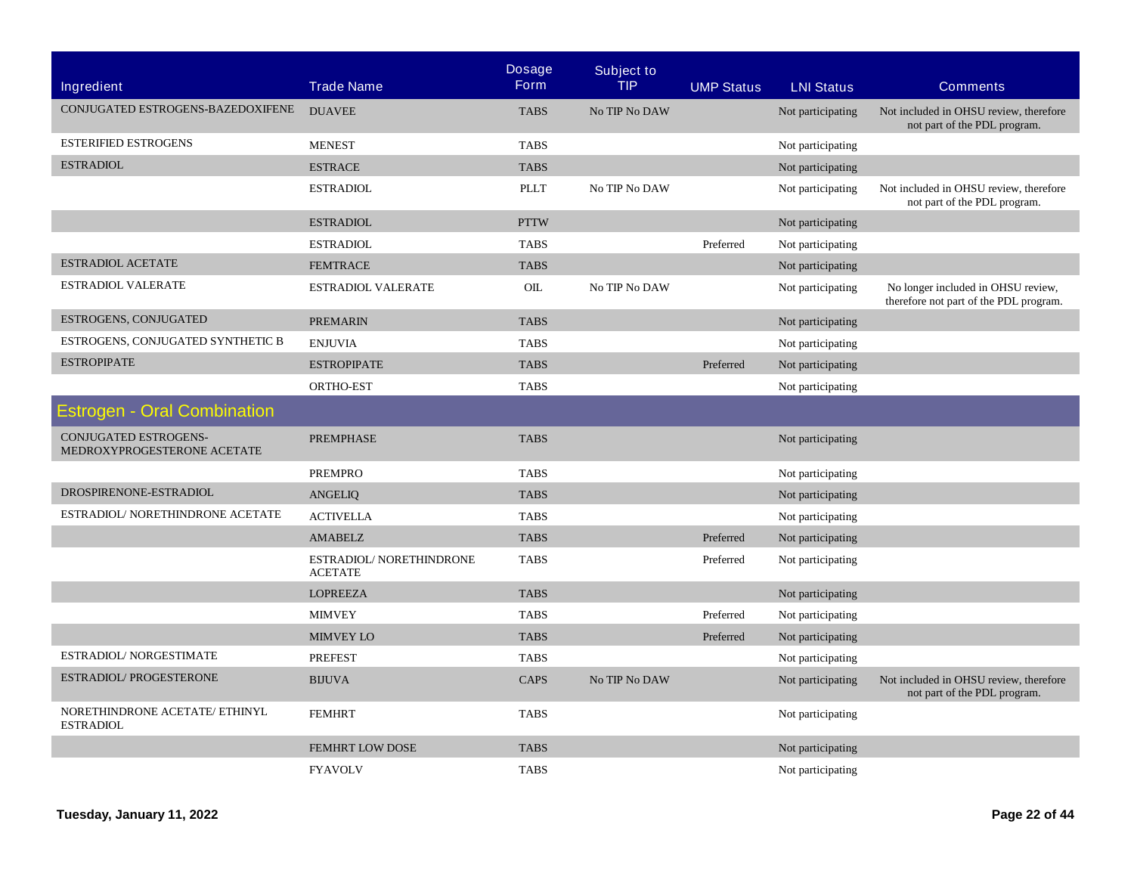|                                                      |                                            | <b>Dosage</b> | <b>Subject to</b> |                   |                   |                                                                              |
|------------------------------------------------------|--------------------------------------------|---------------|-------------------|-------------------|-------------------|------------------------------------------------------------------------------|
| Ingredient                                           | <b>Trade Name</b>                          | <b>Form</b>   | <b>TIP</b>        | <b>UMP Status</b> | <b>LNI Status</b> | <b>Comments</b>                                                              |
| CONJUGATED ESTROGENS-BAZEDOXIFENE                    | <b>DUAVEE</b>                              | <b>TABS</b>   | No TIP No DAW     |                   | Not participating | Not included in OHSU review, therefore<br>not part of the PDL program.       |
| <b>ESTERIFIED ESTROGENS</b>                          | <b>MENEST</b>                              | <b>TABS</b>   |                   |                   | Not participating |                                                                              |
| <b>ESTRADIOL</b>                                     | <b>ESTRACE</b>                             | <b>TABS</b>   |                   |                   | Not participating |                                                                              |
|                                                      | <b>ESTRADIOL</b>                           | PLLT          | No TIP No DAW     |                   | Not participating | Not included in OHSU review, therefore<br>not part of the PDL program.       |
|                                                      | <b>ESTRADIOL</b>                           | <b>PTTW</b>   |                   |                   | Not participating |                                                                              |
|                                                      | <b>ESTRADIOL</b>                           | <b>TABS</b>   |                   | Preferred         | Not participating |                                                                              |
| <b>ESTRADIOL ACETATE</b>                             | <b>FEMTRACE</b>                            | <b>TABS</b>   |                   |                   | Not participating |                                                                              |
| <b>ESTRADIOL VALERATE</b>                            | ESTRADIOL VALERATE                         | OIL           | No TIP No DAW     |                   | Not participating | No longer included in OHSU review,<br>therefore not part of the PDL program. |
| ESTROGENS, CONJUGATED                                | <b>PREMARIN</b>                            | <b>TABS</b>   |                   |                   | Not participating |                                                                              |
| ESTROGENS, CONJUGATED SYNTHETIC B                    | <b>ENJUVIA</b>                             | <b>TABS</b>   |                   |                   | Not participating |                                                                              |
| <b>ESTROPIPATE</b>                                   | <b>ESTROPIPATE</b>                         | <b>TABS</b>   |                   | Preferred         | Not participating |                                                                              |
|                                                      | ORTHO-EST                                  | <b>TABS</b>   |                   |                   | Not participating |                                                                              |
| <b>Estrogen - Oral Combination</b>                   |                                            |               |                   |                   |                   |                                                                              |
| CONJUGATED ESTROGENS-<br>MEDROXYPROGESTERONE ACETATE | <b>PREMPHASE</b>                           | <b>TABS</b>   |                   |                   | Not participating |                                                                              |
|                                                      | <b>PREMPRO</b>                             | <b>TABS</b>   |                   |                   | Not participating |                                                                              |
| DROSPIRENONE-ESTRADIOL                               | <b>ANGELIQ</b>                             | <b>TABS</b>   |                   |                   | Not participating |                                                                              |
| ESTRADIOL/ NORETHINDRONE ACETATE                     | <b>ACTIVELLA</b>                           | <b>TABS</b>   |                   |                   | Not participating |                                                                              |
|                                                      | <b>AMABELZ</b>                             | <b>TABS</b>   |                   | Preferred         | Not participating |                                                                              |
|                                                      | ESTRADIOL/ NORETHINDRONE<br><b>ACETATE</b> | <b>TABS</b>   |                   | Preferred         | Not participating |                                                                              |
|                                                      | <b>LOPREEZA</b>                            | <b>TABS</b>   |                   |                   | Not participating |                                                                              |
|                                                      | <b>MIMVEY</b>                              | <b>TABS</b>   |                   | Preferred         | Not participating |                                                                              |
|                                                      | <b>MIMVEY LO</b>                           | <b>TABS</b>   |                   | Preferred         | Not participating |                                                                              |
| ESTRADIOL/ NORGESTIMATE                              | <b>PREFEST</b>                             | <b>TABS</b>   |                   |                   | Not participating |                                                                              |
| <b>ESTRADIOL/PROGESTERONE</b>                        | <b>BIJUVA</b>                              | CAPS          | No TIP No DAW     |                   | Not participating | Not included in OHSU review, therefore<br>not part of the PDL program.       |
| NORETHINDRONE ACETATE/ ETHINYL<br><b>ESTRADIOL</b>   | <b>FEMHRT</b>                              | <b>TABS</b>   |                   |                   | Not participating |                                                                              |
|                                                      | <b>FEMHRT LOW DOSE</b>                     | <b>TABS</b>   |                   |                   | Not participating |                                                                              |
|                                                      | <b>FYAVOLV</b>                             | <b>TABS</b>   |                   |                   | Not participating |                                                                              |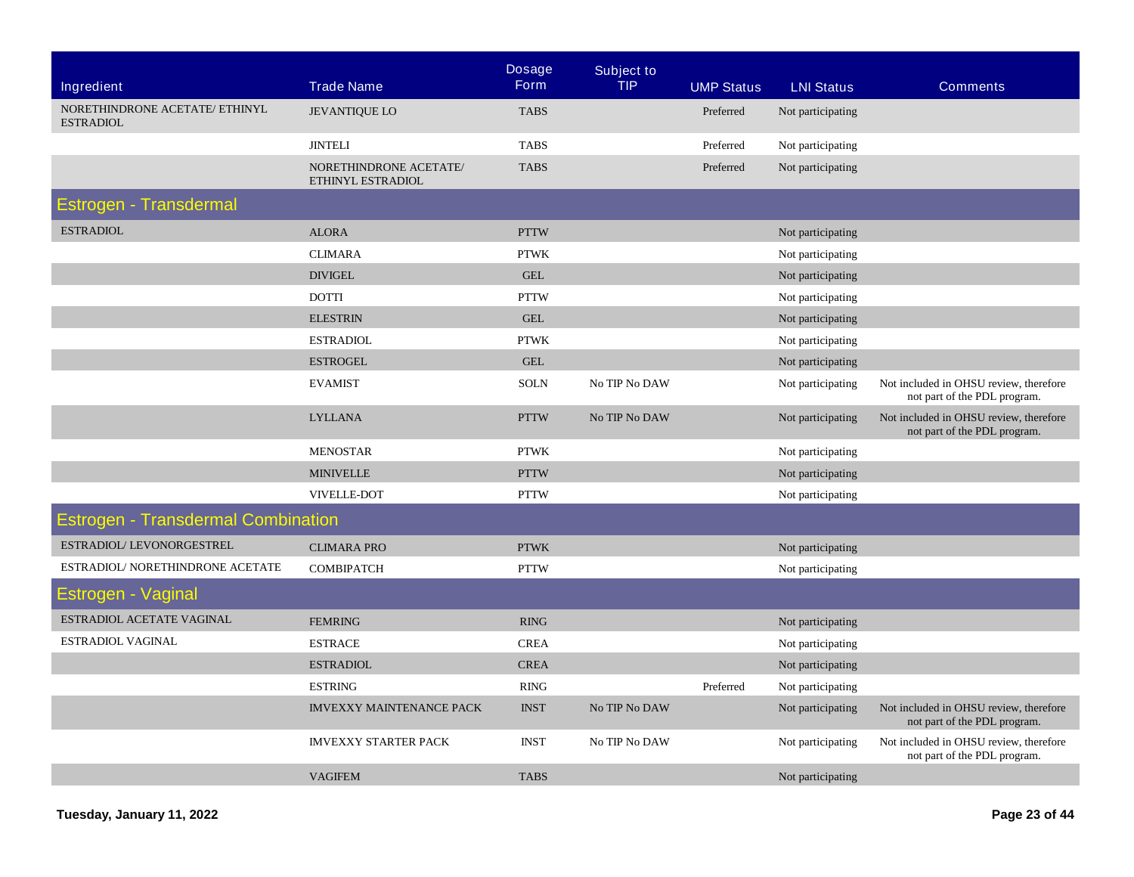| Ingredient                                         | <b>Trade Name</b>                           | <b>Dosage</b><br><b>Form</b> | <b>Subject to</b><br><b>TIP</b> | <b>UMP Status</b> | <b>LNI Status</b> | <b>Comments</b>                                                        |
|----------------------------------------------------|---------------------------------------------|------------------------------|---------------------------------|-------------------|-------------------|------------------------------------------------------------------------|
| NORETHINDRONE ACETATE/ ETHINYL<br><b>ESTRADIOL</b> | <b>JEVANTIQUE LO</b>                        | <b>TABS</b>                  |                                 | Preferred         | Not participating |                                                                        |
|                                                    | <b>JINTELI</b>                              | <b>TABS</b>                  |                                 | Preferred         | Not participating |                                                                        |
|                                                    | NORETHINDRONE ACETATE/<br>ETHINYL ESTRADIOL | <b>TABS</b>                  |                                 | Preferred         | Not participating |                                                                        |
| Estrogen - Transdermal                             |                                             |                              |                                 |                   |                   |                                                                        |
| <b>ESTRADIOL</b>                                   | <b>ALORA</b>                                | <b>PTTW</b>                  |                                 |                   | Not participating |                                                                        |
|                                                    | <b>CLIMARA</b>                              | <b>PTWK</b>                  |                                 |                   | Not participating |                                                                        |
|                                                    | <b>DIVIGEL</b>                              | <b>GEL</b>                   |                                 |                   | Not participating |                                                                        |
|                                                    | <b>DOTTI</b>                                | <b>PTTW</b>                  |                                 |                   | Not participating |                                                                        |
|                                                    | <b>ELESTRIN</b>                             | <b>GEL</b>                   |                                 |                   | Not participating |                                                                        |
|                                                    | <b>ESTRADIOL</b>                            | <b>PTWK</b>                  |                                 |                   | Not participating |                                                                        |
|                                                    | <b>ESTROGEL</b>                             | <b>GEL</b>                   |                                 |                   | Not participating |                                                                        |
|                                                    | <b>EVAMIST</b>                              | <b>SOLN</b>                  | No TIP No DAW                   |                   | Not participating | Not included in OHSU review, therefore<br>not part of the PDL program. |
|                                                    | <b>LYLLANA</b>                              | <b>PTTW</b>                  | No TIP No DAW                   |                   | Not participating | Not included in OHSU review, therefore<br>not part of the PDL program. |
|                                                    | <b>MENOSTAR</b>                             | <b>PTWK</b>                  |                                 |                   | Not participating |                                                                        |
|                                                    | <b>MINIVELLE</b>                            | <b>PTTW</b>                  |                                 |                   | Not participating |                                                                        |
|                                                    | VIVELLE-DOT                                 | <b>PTTW</b>                  |                                 |                   | Not participating |                                                                        |
| <b>Estrogen - Transdermal Combination</b>          |                                             |                              |                                 |                   |                   |                                                                        |
| ESTRADIOL/LEVONORGESTREL                           | <b>CLIMARA PRO</b>                          | <b>PTWK</b>                  |                                 |                   | Not participating |                                                                        |
| ESTRADIOL/ NORETHINDRONE ACETATE                   | <b>COMBIPATCH</b>                           | <b>PTTW</b>                  |                                 |                   | Not participating |                                                                        |
| Estrogen - Vaginal                                 |                                             |                              |                                 |                   |                   |                                                                        |
| ESTRADIOL ACETATE VAGINAL                          | <b>FEMRING</b>                              | <b>RING</b>                  |                                 |                   | Not participating |                                                                        |
| <b>ESTRADIOL VAGINAL</b>                           | <b>ESTRACE</b>                              | <b>CREA</b>                  |                                 |                   | Not participating |                                                                        |
|                                                    | <b>ESTRADIOL</b>                            | <b>CREA</b>                  |                                 |                   | Not participating |                                                                        |
|                                                    | <b>ESTRING</b>                              | <b>RING</b>                  |                                 | Preferred         | Not participating |                                                                        |
|                                                    | <b>IMVEXXY MAINTENANCE PACK</b>             | <b>INST</b>                  | No TIP No DAW                   |                   | Not participating | Not included in OHSU review, therefore<br>not part of the PDL program. |
|                                                    | <b>IMVEXXY STARTER PACK</b>                 | <b>INST</b>                  | No TIP No DAW                   |                   | Not participating | Not included in OHSU review, therefore<br>not part of the PDL program. |
|                                                    | <b>VAGIFEM</b>                              | <b>TABS</b>                  |                                 |                   | Not participating |                                                                        |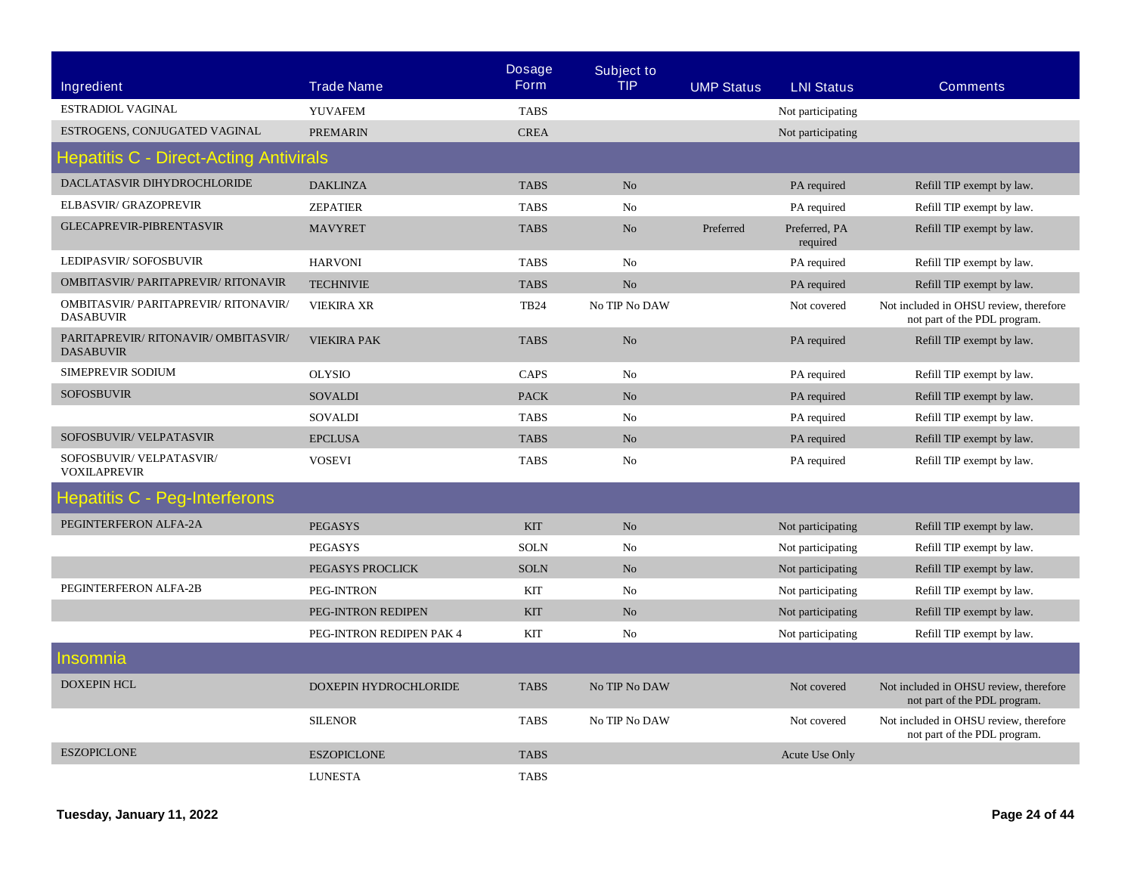| Ingredient                                                      | <b>Trade Name</b>        | <b>Dosage</b><br><b>Form</b> | <b>Subject to</b><br><b>TIP</b> | <b>UMP Status</b> | <b>LNI Status</b>         | <b>Comments</b>                                                        |
|-----------------------------------------------------------------|--------------------------|------------------------------|---------------------------------|-------------------|---------------------------|------------------------------------------------------------------------|
| ESTRADIOL VAGINAL                                               | <b>YUVAFEM</b>           | <b>TABS</b>                  |                                 |                   | Not participating         |                                                                        |
| ESTROGENS, CONJUGATED VAGINAL                                   | <b>PREMARIN</b>          | <b>CREA</b>                  |                                 |                   | Not participating         |                                                                        |
| <b>Hepatitis C - Direct-Acting Antivirals</b>                   |                          |                              |                                 |                   |                           |                                                                        |
| DACLATASVIR DIHYDROCHLORIDE                                     | <b>DAKLINZA</b>          | <b>TABS</b>                  | No                              |                   | PA required               | Refill TIP exempt by law.                                              |
| ELBASVIR/ GRAZOPREVIR                                           | <b>ZEPATIER</b>          | <b>TABS</b>                  | No                              |                   | PA required               | Refill TIP exempt by law.                                              |
| <b>GLECAPREVIR-PIBRENTASVIR</b>                                 | <b>MAVYRET</b>           | <b>TABS</b>                  | No                              | Preferred         | Preferred, PA<br>required | Refill TIP exempt by law.                                              |
| LEDIPASVIR/SOFOSBUVIR                                           | <b>HARVONI</b>           | <b>TABS</b>                  | N <sub>0</sub>                  |                   | PA required               | Refill TIP exempt by law.                                              |
| <b>OMBITASVIR/ PARITAPREVIR/ RITONAVIR</b>                      | <b>TECHNIVIE</b>         | <b>TABS</b>                  | No                              |                   | PA required               | Refill TIP exempt by law.                                              |
| <b>OMBITASVIR/ PARITAPREVIR/ RITONAVIR/</b><br><b>DASABUVIR</b> | <b>VIEKIRA XR</b>        | <b>TB24</b>                  | No TIP No DAW                   |                   | Not covered               | Not included in OHSU review, therefore<br>not part of the PDL program. |
| PARITAPREVIR/RITONAVIR/OMBITASVIR/<br><b>DASABUVIR</b>          | <b>VIEKIRA PAK</b>       | <b>TABS</b>                  | No                              |                   | PA required               | Refill TIP exempt by law.                                              |
| SIMEPREVIR SODIUM                                               | <b>OLYSIO</b>            | CAPS                         | N <sub>o</sub>                  |                   | PA required               | Refill TIP exempt by law.                                              |
| <b>SOFOSBUVIR</b>                                               | <b>SOVALDI</b>           | <b>PACK</b>                  | No                              |                   | PA required               | Refill TIP exempt by law.                                              |
|                                                                 | <b>SOVALDI</b>           | <b>TABS</b>                  | No                              |                   | PA required               | Refill TIP exempt by law.                                              |
| SOFOSBUVIR/ VELPATASVIR                                         | <b>EPCLUSA</b>           | <b>TABS</b>                  | No                              |                   | PA required               | Refill TIP exempt by law.                                              |
| SOFOSBUVIR/VELPATASVIR/<br><b>VOXILAPREVIR</b>                  | <b>VOSEVI</b>            | <b>TABS</b>                  | N <sub>0</sub>                  |                   | PA required               | Refill TIP exempt by law.                                              |
| <b>Hepatitis C - Peg-Interferons</b>                            |                          |                              |                                 |                   |                           |                                                                        |
| PEGINTERFERON ALFA-2A                                           | <b>PEGASYS</b>           | <b>KIT</b>                   | No                              |                   | Not participating         | Refill TIP exempt by law.                                              |
|                                                                 | <b>PEGASYS</b>           | <b>SOLN</b>                  | No                              |                   | Not participating         | Refill TIP exempt by law.                                              |
|                                                                 | PEGASYS PROCLICK         | <b>SOLN</b>                  | No                              |                   | Not participating         | Refill TIP exempt by law.                                              |
| PEGINTERFERON ALFA-2B                                           | PEG-INTRON               | <b>KIT</b>                   | No                              |                   | Not participating         | Refill TIP exempt by law.                                              |
|                                                                 | PEG-INTRON REDIPEN       | <b>KIT</b>                   | N <sub>o</sub>                  |                   | Not participating         | Refill TIP exempt by law.                                              |
|                                                                 | PEG-INTRON REDIPEN PAK 4 | <b>KIT</b>                   | N <sub>0</sub>                  |                   | Not participating         | Refill TIP exempt by law.                                              |
| Insomnia                                                        |                          |                              |                                 |                   |                           |                                                                        |
| <b>DOXEPIN HCL</b>                                              | DOXEPIN HYDROCHLORIDE    | <b>TABS</b>                  | No TIP No DAW                   |                   | Not covered               | Not included in OHSU review, therefore<br>not part of the PDL program. |
|                                                                 | <b>SILENOR</b>           | <b>TABS</b>                  | No TIP No DAW                   |                   | Not covered               | Not included in OHSU review, therefore<br>not part of the PDL program. |
| <b>ESZOPICLONE</b>                                              | <b>ESZOPICLONE</b>       | <b>TABS</b>                  |                                 |                   | <b>Acute Use Only</b>     |                                                                        |
|                                                                 | <b>LUNESTA</b>           | <b>TABS</b>                  |                                 |                   |                           |                                                                        |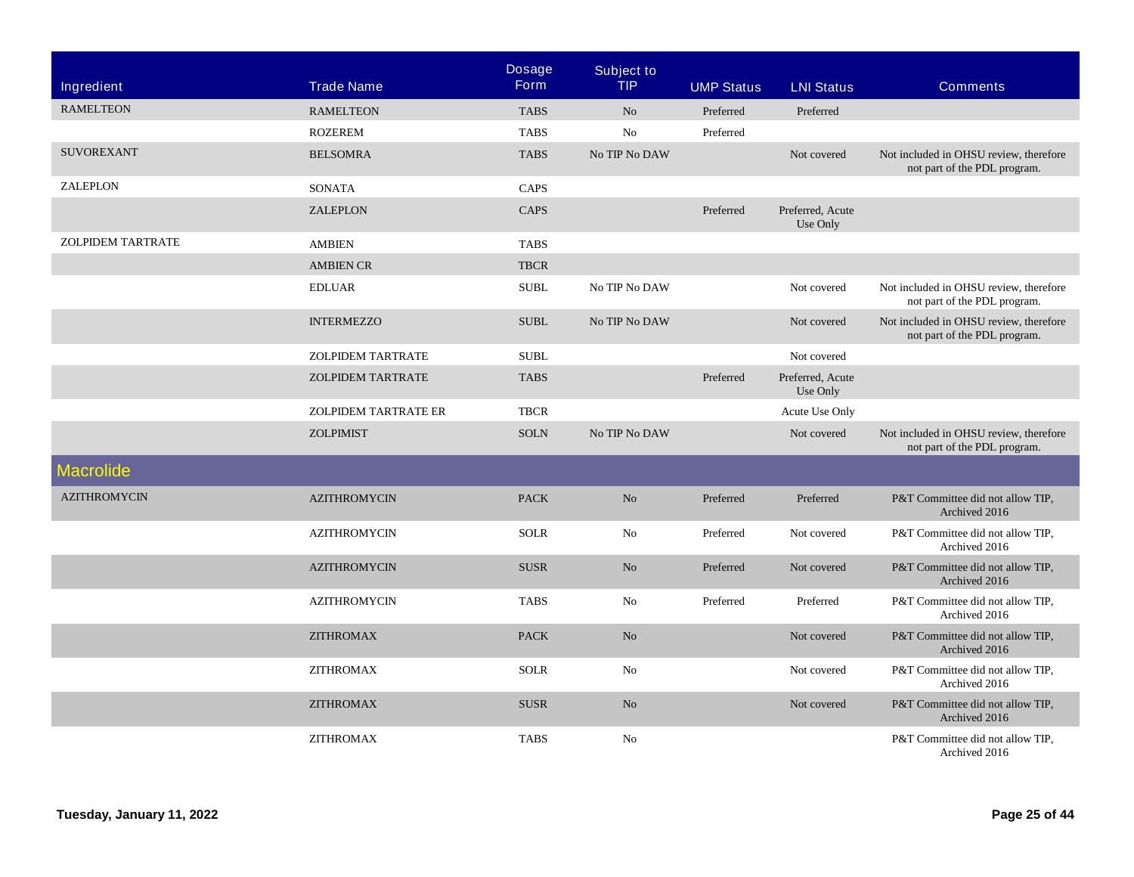| Ingredient          | <b>Trade Name</b>           | <b>Dosage</b><br><b>Form</b> | <b>Subject to</b><br><b>TIP</b> | <b>UMP Status</b> | <b>LNI Status</b>            | <b>Comments</b>                                                        |
|---------------------|-----------------------------|------------------------------|---------------------------------|-------------------|------------------------------|------------------------------------------------------------------------|
|                     |                             |                              |                                 |                   |                              |                                                                        |
| <b>RAMELTEON</b>    | <b>RAMELTEON</b>            | <b>TABS</b>                  | No                              | Preferred         | Preferred                    |                                                                        |
|                     | <b>ROZEREM</b>              | <b>TABS</b>                  | No                              | Preferred         |                              |                                                                        |
| <b>SUVOREXANT</b>   | <b>BELSOMRA</b>             | <b>TABS</b>                  | No TIP No DAW                   |                   | Not covered                  | Not included in OHSU review, therefore<br>not part of the PDL program. |
| ZALEPLON            | <b>SONATA</b>               | CAPS                         |                                 |                   |                              |                                                                        |
|                     | ZALEPLON                    | CAPS                         |                                 | Preferred         | Preferred, Acute<br>Use Only |                                                                        |
| ZOLPIDEM TARTRATE   | <b>AMBIEN</b>               | <b>TABS</b>                  |                                 |                   |                              |                                                                        |
|                     | <b>AMBIEN CR</b>            | <b>TBCR</b>                  |                                 |                   |                              |                                                                        |
|                     | <b>EDLUAR</b>               | <b>SUBL</b>                  | No TIP No DAW                   |                   | Not covered                  | Not included in OHSU review, therefore<br>not part of the PDL program. |
|                     | <b>INTERMEZZO</b>           | <b>SUBL</b>                  | No TIP No DAW                   |                   | Not covered                  | Not included in OHSU review, therefore<br>not part of the PDL program. |
|                     | <b>ZOLPIDEM TARTRATE</b>    | <b>SUBL</b>                  |                                 |                   | Not covered                  |                                                                        |
|                     | <b>ZOLPIDEM TARTRATE</b>    | <b>TABS</b>                  |                                 | Preferred         | Preferred, Acute<br>Use Only |                                                                        |
|                     | <b>ZOLPIDEM TARTRATE ER</b> | <b>TBCR</b>                  |                                 |                   | Acute Use Only               |                                                                        |
|                     | <b>ZOLPIMIST</b>            | <b>SOLN</b>                  | No TIP No DAW                   |                   | Not covered                  | Not included in OHSU review, therefore<br>not part of the PDL program. |
| <b>Macrolide</b>    |                             |                              |                                 |                   |                              |                                                                        |
| <b>AZITHROMYCIN</b> | <b>AZITHROMYCIN</b>         | <b>PACK</b>                  | N <sub>o</sub>                  | Preferred         | Preferred                    | P&T Committee did not allow TIP.<br>Archived 2016                      |
|                     | <b>AZITHROMYCIN</b>         | <b>SOLR</b>                  | No                              | Preferred         | Not covered                  | P&T Committee did not allow TIP,<br>Archived 2016                      |
|                     | <b>AZITHROMYCIN</b>         | <b>SUSR</b>                  | N <sub>o</sub>                  | Preferred         | Not covered                  | P&T Committee did not allow TIP,<br>Archived 2016                      |
|                     | <b>AZITHROMYCIN</b>         | <b>TABS</b>                  | No                              | Preferred         | Preferred                    | P&T Committee did not allow TIP,<br>Archived 2016                      |
|                     | <b>ZITHROMAX</b>            | <b>PACK</b>                  | N <sub>o</sub>                  |                   | Not covered                  | P&T Committee did not allow TIP,<br>Archived 2016                      |
|                     | <b>ZITHROMAX</b>            | <b>SOLR</b>                  | No                              |                   | Not covered                  | P&T Committee did not allow TIP,<br>Archived 2016                      |
|                     | <b>ZITHROMAX</b>            | <b>SUSR</b>                  | No                              |                   | Not covered                  | P&T Committee did not allow TIP,<br>Archived 2016                      |
|                     | <b>ZITHROMAX</b>            | <b>TABS</b>                  | No                              |                   |                              | P&T Committee did not allow TIP,<br>Archived 2016                      |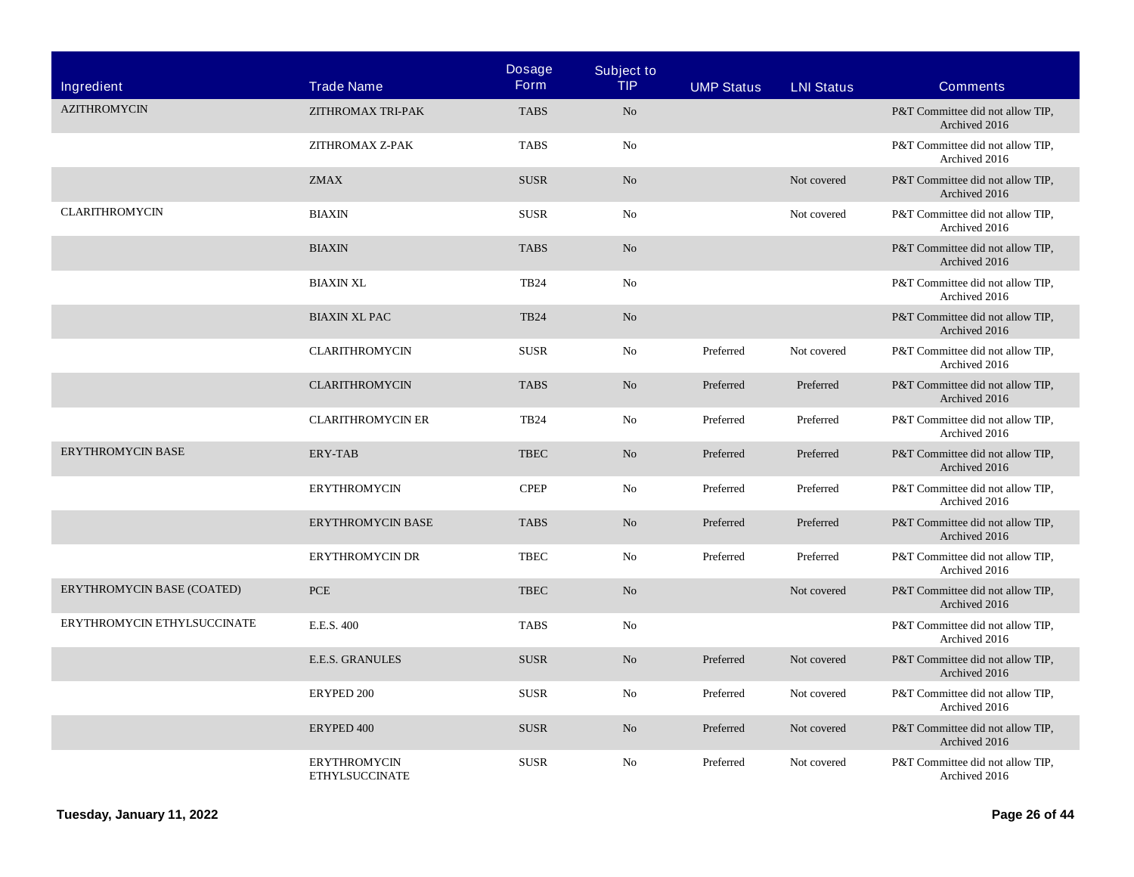| Ingredient                  | <b>Trade Name</b>                            | <b>Dosage</b><br><b>Form</b> | <b>Subject to</b><br><b>TIP</b> | <b>UMP Status</b> | <b>LNI Status</b> | <b>Comments</b>                                   |
|-----------------------------|----------------------------------------------|------------------------------|---------------------------------|-------------------|-------------------|---------------------------------------------------|
| <b>AZITHROMYCIN</b>         | ZITHROMAX TRI-PAK                            | <b>TABS</b>                  | No                              |                   |                   | P&T Committee did not allow TIP,<br>Archived 2016 |
|                             | ZITHROMAX Z-PAK                              | <b>TABS</b>                  | No                              |                   |                   | P&T Committee did not allow TIP,<br>Archived 2016 |
|                             | <b>ZMAX</b>                                  | <b>SUSR</b>                  | N <sub>o</sub>                  |                   | Not covered       | P&T Committee did not allow TIP,<br>Archived 2016 |
| <b>CLARITHROMYCIN</b>       | <b>BIAXIN</b>                                | <b>SUSR</b>                  | No                              |                   | Not covered       | P&T Committee did not allow TIP,<br>Archived 2016 |
|                             | <b>BIAXIN</b>                                | <b>TABS</b>                  | N <sub>o</sub>                  |                   |                   | P&T Committee did not allow TIP,<br>Archived 2016 |
|                             | <b>BIAXIN XL</b>                             | <b>TB24</b>                  | No                              |                   |                   | P&T Committee did not allow TIP,<br>Archived 2016 |
|                             | <b>BIAXIN XL PAC</b>                         | <b>TB24</b>                  | $\rm No$                        |                   |                   | P&T Committee did not allow TIP,<br>Archived 2016 |
|                             | <b>CLARITHROMYCIN</b>                        | <b>SUSR</b>                  | No                              | Preferred         | Not covered       | P&T Committee did not allow TIP,<br>Archived 2016 |
|                             | <b>CLARITHROMYCIN</b>                        | <b>TABS</b>                  | N <sub>o</sub>                  | Preferred         | Preferred         | P&T Committee did not allow TIP,<br>Archived 2016 |
|                             | <b>CLARITHROMYCIN ER</b>                     | <b>TB24</b>                  | No                              | Preferred         | Preferred         | P&T Committee did not allow TIP,<br>Archived 2016 |
| <b>ERYTHROMYCIN BASE</b>    | ERY-TAB                                      | <b>TBEC</b>                  | N <sub>o</sub>                  | Preferred         | Preferred         | P&T Committee did not allow TIP,<br>Archived 2016 |
|                             | <b>ERYTHROMYCIN</b>                          | <b>CPEP</b>                  | No                              | Preferred         | Preferred         | P&T Committee did not allow TIP,<br>Archived 2016 |
|                             | <b>ERYTHROMYCIN BASE</b>                     | <b>TABS</b>                  | N <sub>o</sub>                  | Preferred         | Preferred         | P&T Committee did not allow TIP,<br>Archived 2016 |
|                             | <b>ERYTHROMYCIN DR</b>                       | <b>TBEC</b>                  | N <sub>o</sub>                  | Preferred         | Preferred         | P&T Committee did not allow TIP,<br>Archived 2016 |
| ERYTHROMYCIN BASE (COATED)  | <b>PCE</b>                                   | <b>TBEC</b>                  | N <sub>o</sub>                  |                   | Not covered       | P&T Committee did not allow TIP,<br>Archived 2016 |
| ERYTHROMYCIN ETHYLSUCCINATE | E.E.S. 400                                   | <b>TABS</b>                  | No                              |                   |                   | P&T Committee did not allow TIP,<br>Archived 2016 |
|                             | <b>E.E.S. GRANULES</b>                       | <b>SUSR</b>                  | N <sub>o</sub>                  | Preferred         | Not covered       | P&T Committee did not allow TIP,<br>Archived 2016 |
|                             | ERYPED 200                                   | <b>SUSR</b>                  | No                              | Preferred         | Not covered       | P&T Committee did not allow TIP,<br>Archived 2016 |
|                             | ERYPED 400                                   | <b>SUSR</b>                  | No                              | Preferred         | Not covered       | P&T Committee did not allow TIP,<br>Archived 2016 |
|                             | <b>ERYTHROMYCIN</b><br><b>ETHYLSUCCINATE</b> | <b>SUSR</b>                  | N <sub>o</sub>                  | Preferred         | Not covered       | P&T Committee did not allow TIP,<br>Archived 2016 |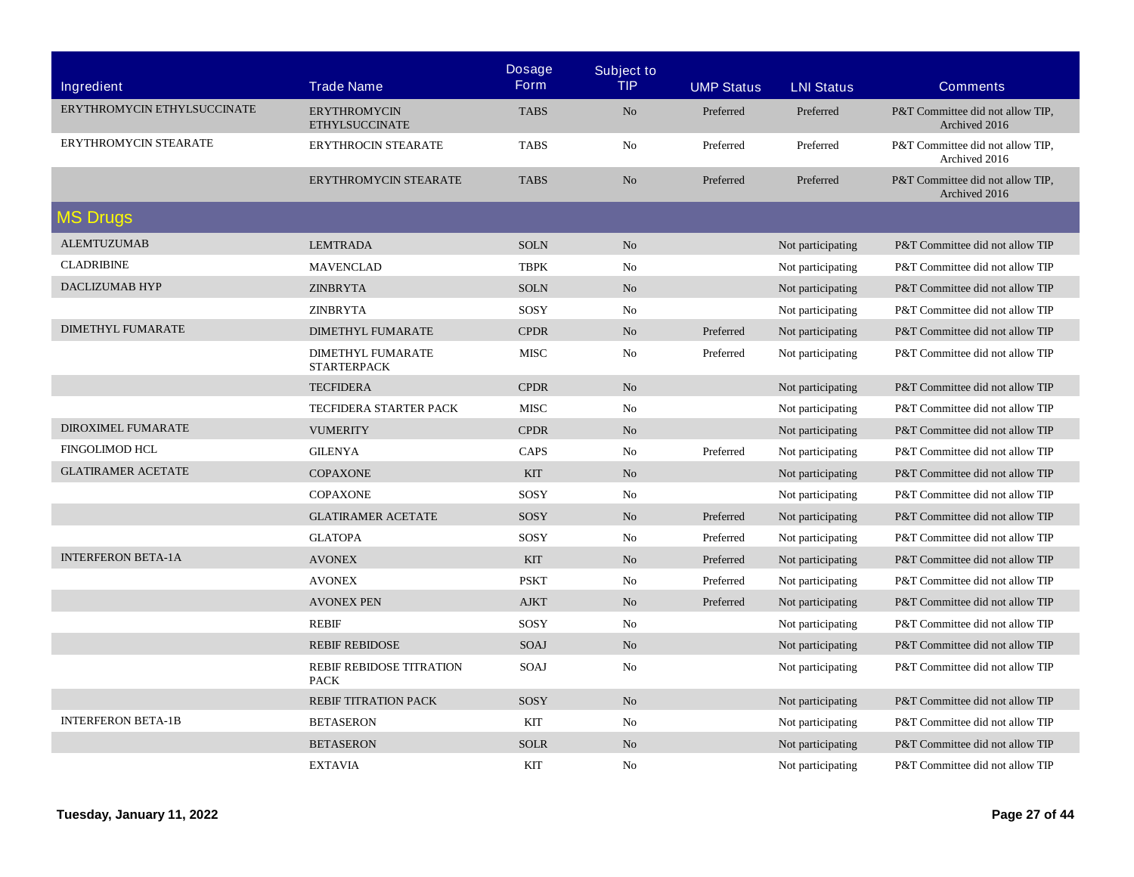|                             |                                                | <b>Dosage</b> | <b>Subject to</b> |                   |                   |                                                   |
|-----------------------------|------------------------------------------------|---------------|-------------------|-------------------|-------------------|---------------------------------------------------|
| Ingredient                  | <b>Trade Name</b>                              | <b>Form</b>   | <b>TIP</b>        | <b>UMP Status</b> | <b>LNI Status</b> | <b>Comments</b>                                   |
| ERYTHROMYCIN ETHYLSUCCINATE | <b>ERYTHROMYCIN</b><br><b>ETHYLSUCCINATE</b>   | <b>TABS</b>   | No                | Preferred         | Preferred         | P&T Committee did not allow TIP.<br>Archived 2016 |
| ERYTHROMYCIN STEARATE       | <b>ERYTHROCIN STEARATE</b>                     | <b>TABS</b>   | No                | Preferred         | Preferred         | P&T Committee did not allow TIP,<br>Archived 2016 |
|                             | ERYTHROMYCIN STEARATE                          | <b>TABS</b>   | No                | Preferred         | Preferred         | P&T Committee did not allow TIP,<br>Archived 2016 |
| <b>MS Drugs</b>             |                                                |               |                   |                   |                   |                                                   |
| <b>ALEMTUZUMAB</b>          | <b>LEMTRADA</b>                                | <b>SOLN</b>   | N <sub>o</sub>    |                   | Not participating | P&T Committee did not allow TIP                   |
| <b>CLADRIBINE</b>           | <b>MAVENCLAD</b>                               | <b>TBPK</b>   | No                |                   | Not participating | P&T Committee did not allow TIP                   |
| DACLIZUMAB HYP              | <b>ZINBRYTA</b>                                | <b>SOLN</b>   | N <sub>o</sub>    |                   | Not participating | P&T Committee did not allow TIP                   |
|                             | <b>ZINBRYTA</b>                                | SOSY          | No                |                   | Not participating | P&T Committee did not allow TIP                   |
| <b>DIMETHYL FUMARATE</b>    | <b>DIMETHYL FUMARATE</b>                       | <b>CPDR</b>   | N <sub>o</sub>    | Preferred         | Not participating | P&T Committee did not allow TIP                   |
|                             | <b>DIMETHYL FUMARATE</b><br><b>STARTERPACK</b> | <b>MISC</b>   | No                | Preferred         | Not participating | P&T Committee did not allow TIP                   |
|                             | <b>TECFIDERA</b>                               | <b>CPDR</b>   | N <sub>o</sub>    |                   | Not participating | P&T Committee did not allow TIP                   |
|                             | <b>TECFIDERA STARTER PACK</b>                  | <b>MISC</b>   | No                |                   | Not participating | P&T Committee did not allow TIP                   |
| DIROXIMEL FUMARATE          | <b>VUMERITY</b>                                | <b>CPDR</b>   | No                |                   | Not participating | P&T Committee did not allow TIP                   |
| <b>FINGOLIMOD HCL</b>       | <b>GILENYA</b>                                 | CAPS          | N <sub>0</sub>    | Preferred         | Not participating | P&T Committee did not allow TIP                   |
| <b>GLATIRAMER ACETATE</b>   | <b>COPAXONE</b>                                | <b>KIT</b>    | No                |                   | Not participating | P&T Committee did not allow TIP                   |
|                             | <b>COPAXONE</b>                                | SOSY          | N <sub>0</sub>    |                   | Not participating | P&T Committee did not allow TIP                   |
|                             | <b>GLATIRAMER ACETATE</b>                      | SOSY          | No                | Preferred         | Not participating | P&T Committee did not allow TIP                   |
|                             | <b>GLATOPA</b>                                 | SOSY          | No                | Preferred         | Not participating | P&T Committee did not allow TIP                   |
| <b>INTERFERON BETA-1A</b>   | <b>AVONEX</b>                                  | <b>KIT</b>    | No                | Preferred         | Not participating | P&T Committee did not allow TIP                   |
|                             | <b>AVONEX</b>                                  | <b>PSKT</b>   | No                | Preferred         | Not participating | P&T Committee did not allow TIP                   |
|                             | <b>AVONEX PEN</b>                              | <b>AJKT</b>   | No                | Preferred         | Not participating | P&T Committee did not allow TIP                   |
|                             | <b>REBIF</b>                                   | SOSY          | No                |                   | Not participating | P&T Committee did not allow TIP                   |
|                             | <b>REBIF REBIDOSE</b>                          | <b>SOAJ</b>   | No                |                   | Not participating | P&T Committee did not allow TIP                   |
|                             | REBIF REBIDOSE TITRATION<br><b>PACK</b>        | SOAJ          | No                |                   | Not participating | P&T Committee did not allow TIP                   |
|                             | REBIF TITRATION PACK                           | SOSY          | No                |                   | Not participating | P&T Committee did not allow TIP                   |
| <b>INTERFERON BETA-1B</b>   | <b>BETASERON</b>                               | <b>KIT</b>    | No                |                   | Not participating | P&T Committee did not allow TIP                   |
|                             | <b>BETASERON</b>                               | <b>SOLR</b>   | No                |                   | Not participating | P&T Committee did not allow TIP                   |
|                             | <b>EXTAVIA</b>                                 | <b>KIT</b>    | No                |                   | Not participating | P&T Committee did not allow TIP                   |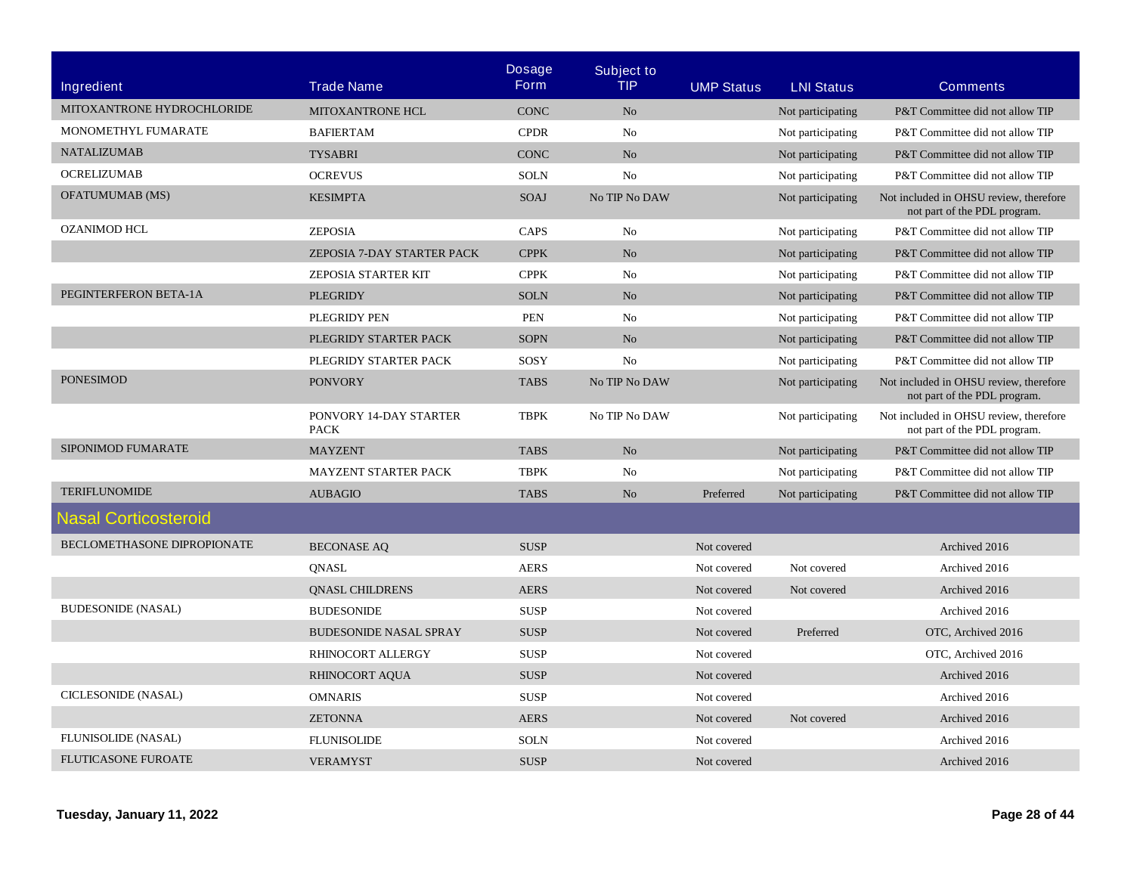| Ingredient                  | <b>Trade Name</b>                     | <b>Dosage</b><br><b>Form</b> | <b>Subject to</b><br><b>TIP</b> | <b>UMP Status</b> | <b>LNI Status</b> | <b>Comments</b>                                                        |
|-----------------------------|---------------------------------------|------------------------------|---------------------------------|-------------------|-------------------|------------------------------------------------------------------------|
| MITOXANTRONE HYDROCHLORIDE  | <b>MITOXANTRONE HCL</b>               | <b>CONC</b>                  | N <sub>o</sub>                  |                   | Not participating | P&T Committee did not allow TIP                                        |
| MONOMETHYL FUMARATE         | <b>BAFIERTAM</b>                      | <b>CPDR</b>                  | No                              |                   | Not participating | P&T Committee did not allow TIP                                        |
| <b>NATALIZUMAB</b>          | <b>TYSABRI</b>                        | <b>CONC</b>                  | No                              |                   | Not participating | P&T Committee did not allow TIP                                        |
| <b>OCRELIZUMAB</b>          | <b>OCREVUS</b>                        | <b>SOLN</b>                  | N <sub>o</sub>                  |                   | Not participating | P&T Committee did not allow TIP                                        |
| OFATUMUMAB (MS)             | <b>KESIMPTA</b>                       | <b>SOAJ</b>                  | No TIP No DAW                   |                   | Not participating | Not included in OHSU review, therefore<br>not part of the PDL program. |
| <b>OZANIMOD HCL</b>         | <b>ZEPOSIA</b>                        | CAPS                         | N <sub>0</sub>                  |                   | Not participating | P&T Committee did not allow TIP                                        |
|                             | ZEPOSIA 7-DAY STARTER PACK            | <b>CPPK</b>                  | No                              |                   | Not participating | P&T Committee did not allow TIP                                        |
|                             | ZEPOSIA STARTER KIT                   | <b>CPPK</b>                  | N <sub>0</sub>                  |                   | Not participating | P&T Committee did not allow TIP                                        |
| PEGINTERFERON BETA-1A       | <b>PLEGRIDY</b>                       | <b>SOLN</b>                  | No                              |                   | Not participating | P&T Committee did not allow TIP                                        |
|                             | PLEGRIDY PEN                          | <b>PEN</b>                   | N <sub>0</sub>                  |                   | Not participating | P&T Committee did not allow TIP                                        |
|                             | PLEGRIDY STARTER PACK                 | <b>SOPN</b>                  | No                              |                   | Not participating | P&T Committee did not allow TIP                                        |
|                             | PLEGRIDY STARTER PACK                 | SOSY                         | N <sub>o</sub>                  |                   | Not participating | P&T Committee did not allow TIP                                        |
| <b>PONESIMOD</b>            | <b>PONVORY</b>                        | <b>TABS</b>                  | No TIP No DAW                   |                   | Not participating | Not included in OHSU review, therefore<br>not part of the PDL program. |
|                             | PONVORY 14-DAY STARTER<br><b>PACK</b> | <b>TBPK</b>                  | No TIP No DAW                   |                   | Not participating | Not included in OHSU review, therefore<br>not part of the PDL program. |
| SIPONIMOD FUMARATE          | <b>MAYZENT</b>                        | <b>TABS</b>                  | No                              |                   | Not participating | P&T Committee did not allow TIP                                        |
|                             | <b>MAYZENT STARTER PACK</b>           | <b>TBPK</b>                  | No                              |                   | Not participating | P&T Committee did not allow TIP                                        |
| <b>TERIFLUNOMIDE</b>        | <b>AUBAGIO</b>                        | <b>TABS</b>                  | No                              | Preferred         | Not participating | P&T Committee did not allow TIP                                        |
| <b>Nasal Corticosteroid</b> |                                       |                              |                                 |                   |                   |                                                                        |
| BECLOMETHASONE DIPROPIONATE | <b>BECONASE AQ</b>                    | <b>SUSP</b>                  |                                 | Not covered       |                   | Archived 2016                                                          |
|                             | <b>QNASL</b>                          | <b>AERS</b>                  |                                 | Not covered       | Not covered       | Archived 2016                                                          |
|                             | <b>QNASL CHILDRENS</b>                | <b>AERS</b>                  |                                 | Not covered       | Not covered       | Archived 2016                                                          |
| <b>BUDESONIDE (NASAL)</b>   | <b>BUDESONIDE</b>                     | <b>SUSP</b>                  |                                 | Not covered       |                   | Archived 2016                                                          |
|                             | <b>BUDESONIDE NASAL SPRAY</b>         | <b>SUSP</b>                  |                                 | Not covered       | Preferred         | OTC, Archived 2016                                                     |
|                             | <b>RHINOCORT ALLERGY</b>              | <b>SUSP</b>                  |                                 | Not covered       |                   | OTC. Archived 2016                                                     |
|                             | <b>RHINOCORT AQUA</b>                 | <b>SUSP</b>                  |                                 | Not covered       |                   | Archived 2016                                                          |
| CICLESONIDE (NASAL)         | <b>OMNARIS</b>                        | <b>SUSP</b>                  |                                 | Not covered       |                   | Archived 2016                                                          |
|                             | <b>ZETONNA</b>                        | <b>AERS</b>                  |                                 | Not covered       | Not covered       | Archived 2016                                                          |
| FLUNISOLIDE (NASAL)         | <b>FLUNISOLIDE</b>                    | <b>SOLN</b>                  |                                 | Not covered       |                   | Archived 2016                                                          |
| <b>FLUTICASONE FUROATE</b>  | <b>VERAMYST</b>                       | <b>SUSP</b>                  |                                 | Not covered       |                   | Archived 2016                                                          |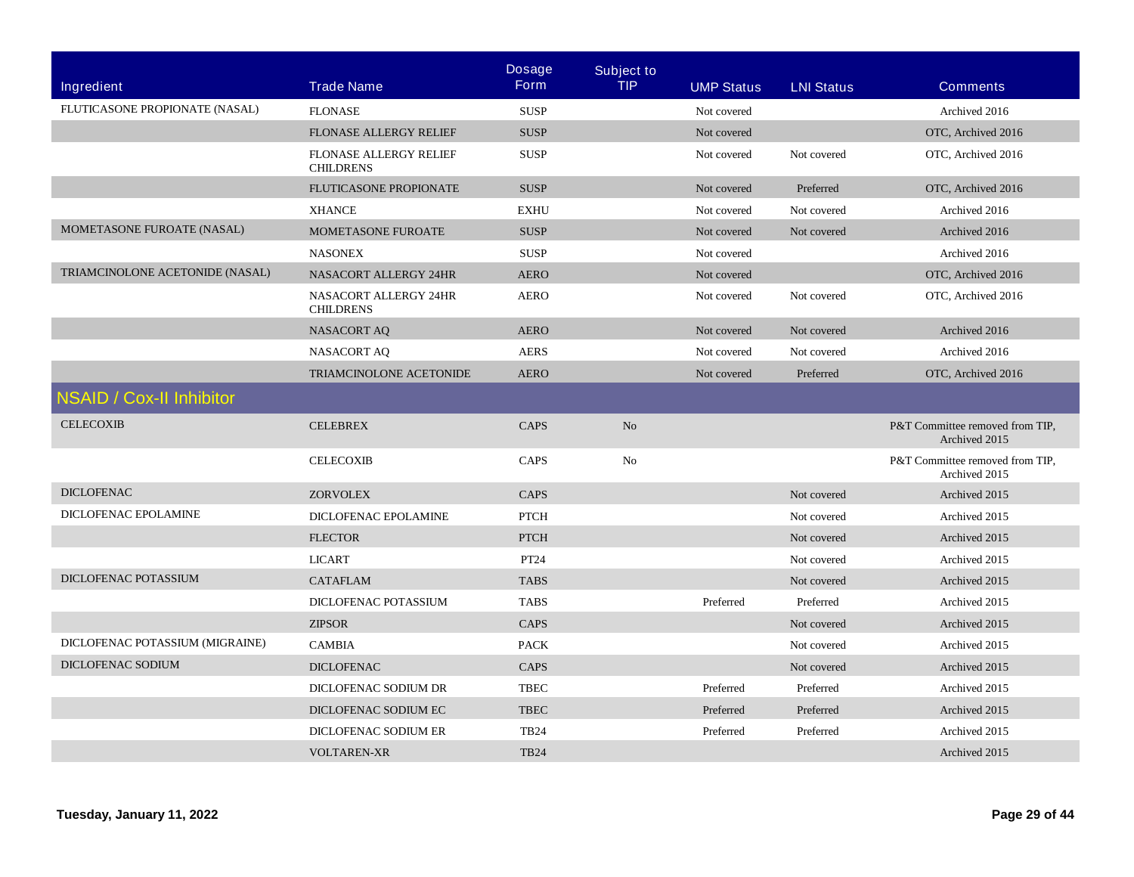|                                 |                                                   | <b>Dosage</b> | <b>Subject to</b> |                   |                   |                                                  |
|---------------------------------|---------------------------------------------------|---------------|-------------------|-------------------|-------------------|--------------------------------------------------|
| Ingredient                      | <b>Trade Name</b>                                 | <b>Form</b>   | <b>TIP</b>        | <b>UMP Status</b> | <b>LNI Status</b> | <b>Comments</b>                                  |
| FLUTICASONE PROPIONATE (NASAL)  | <b>FLONASE</b>                                    | <b>SUSP</b>   |                   | Not covered       |                   | Archived 2016                                    |
|                                 | FLONASE ALLERGY RELIEF                            | <b>SUSP</b>   |                   | Not covered       |                   | OTC, Archived 2016                               |
|                                 | <b>FLONASE ALLERGY RELIEF</b><br><b>CHILDRENS</b> | <b>SUSP</b>   |                   | Not covered       | Not covered       | OTC, Archived 2016                               |
|                                 | FLUTICASONE PROPIONATE                            | <b>SUSP</b>   |                   | Not covered       | Preferred         | OTC, Archived 2016                               |
|                                 | <b>XHANCE</b>                                     | <b>EXHU</b>   |                   | Not covered       | Not covered       | Archived 2016                                    |
| MOMETASONE FUROATE (NASAL)      | <b>MOMETASONE FUROATE</b>                         | <b>SUSP</b>   |                   | Not covered       | Not covered       | Archived 2016                                    |
|                                 | <b>NASONEX</b>                                    | <b>SUSP</b>   |                   | Not covered       |                   | Archived 2016                                    |
| TRIAMCINOLONE ACETONIDE (NASAL) | NASACORT ALLERGY 24HR                             | <b>AERO</b>   |                   | Not covered       |                   | OTC, Archived 2016                               |
|                                 | NASACORT ALLERGY 24HR<br><b>CHILDRENS</b>         | <b>AERO</b>   |                   | Not covered       | Not covered       | OTC, Archived 2016                               |
|                                 | <b>NASACORT AQ</b>                                | <b>AERO</b>   |                   | Not covered       | Not covered       | Archived 2016                                    |
|                                 | <b>NASACORT AQ</b>                                | <b>AERS</b>   |                   | Not covered       | Not covered       | Archived 2016                                    |
|                                 | <b>TRIAMCINOLONE ACETONIDE</b>                    | <b>AERO</b>   |                   | Not covered       | Preferred         | OTC. Archived 2016                               |
| NSAID / Cox-II Inhibitor        |                                                   |               |                   |                   |                   |                                                  |
| <b>CELECOXIB</b>                | <b>CELEBREX</b>                                   | <b>CAPS</b>   | N <sub>o</sub>    |                   |                   | P&T Committee removed from TIP,<br>Archived 2015 |
|                                 | <b>CELECOXIB</b>                                  | <b>CAPS</b>   | No                |                   |                   | P&T Committee removed from TIP,<br>Archived 2015 |
| <b>DICLOFENAC</b>               | <b>ZORVOLEX</b>                                   | <b>CAPS</b>   |                   |                   | Not covered       | Archived 2015                                    |
| DICLOFENAC EPOLAMINE            | DICLOFENAC EPOLAMINE                              | <b>PTCH</b>   |                   |                   | Not covered       | Archived 2015                                    |
|                                 | <b>FLECTOR</b>                                    | <b>PTCH</b>   |                   |                   | Not covered       | Archived 2015                                    |
|                                 | <b>LICART</b>                                     | PT24          |                   |                   | Not covered       | Archived 2015                                    |
| DICLOFENAC POTASSIUM            | <b>CATAFLAM</b>                                   | <b>TABS</b>   |                   |                   | Not covered       | Archived 2015                                    |
|                                 | DICLOFENAC POTASSIUM                              | <b>TABS</b>   |                   | Preferred         | Preferred         | Archived 2015                                    |
|                                 | <b>ZIPSOR</b>                                     | <b>CAPS</b>   |                   |                   | Not covered       | Archived 2015                                    |
| DICLOFENAC POTASSIUM (MIGRAINE) | <b>CAMBIA</b>                                     | <b>PACK</b>   |                   |                   | Not covered       | Archived 2015                                    |
| DICLOFENAC SODIUM               | <b>DICLOFENAC</b>                                 | <b>CAPS</b>   |                   |                   | Not covered       | Archived 2015                                    |
|                                 | DICLOFENAC SODIUM DR                              | <b>TBEC</b>   |                   | Preferred         | Preferred         | Archived 2015                                    |
|                                 | DICLOFENAC SODIUM EC                              | <b>TBEC</b>   |                   | Preferred         | Preferred         | Archived 2015                                    |
|                                 | DICLOFENAC SODIUM ER                              | <b>TB24</b>   |                   | Preferred         | Preferred         | Archived 2015                                    |
|                                 | <b>VOLTAREN-XR</b>                                | <b>TB24</b>   |                   |                   |                   | Archived 2015                                    |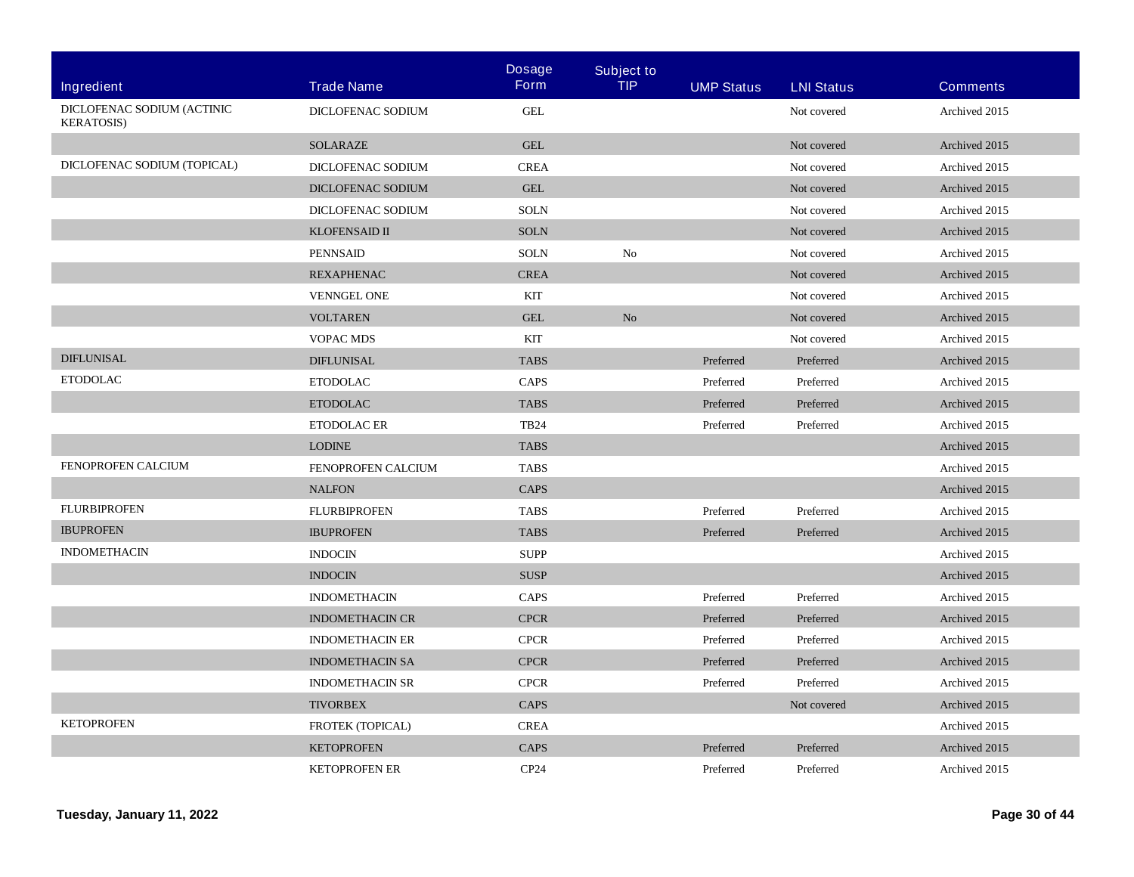|                                                  |                         | <b>Dosage</b> | <b>Subject to</b> |                   |                   |                 |
|--------------------------------------------------|-------------------------|---------------|-------------------|-------------------|-------------------|-----------------|
| Ingredient                                       | <b>Trade Name</b>       | <b>Form</b>   | <b>TIP</b>        | <b>UMP Status</b> | <b>LNI Status</b> | <b>Comments</b> |
| DICLOFENAC SODIUM (ACTINIC<br><b>KERATOSIS</b> ) | DICLOFENAC SODIUM       | <b>GEL</b>    |                   |                   | Not covered       | Archived 2015   |
|                                                  | <b>SOLARAZE</b>         | <b>GEL</b>    |                   |                   | Not covered       | Archived 2015   |
| DICLOFENAC SODIUM (TOPICAL)                      | DICLOFENAC SODIUM       | <b>CREA</b>   |                   |                   | Not covered       | Archived 2015   |
|                                                  | DICLOFENAC SODIUM       | <b>GEL</b>    |                   |                   | Not covered       | Archived 2015   |
|                                                  | DICLOFENAC SODIUM       | <b>SOLN</b>   |                   |                   | Not covered       | Archived 2015   |
|                                                  | <b>KLOFENSAID II</b>    | <b>SOLN</b>   |                   |                   | Not covered       | Archived 2015   |
|                                                  | <b>PENNSAID</b>         | <b>SOLN</b>   | N <sub>o</sub>    |                   | Not covered       | Archived 2015   |
|                                                  | <b>REXAPHENAC</b>       | <b>CREA</b>   |                   |                   | Not covered       | Archived 2015   |
|                                                  | <b>VENNGEL ONE</b>      | KIT           |                   |                   | Not covered       | Archived 2015   |
|                                                  | <b>VOLTAREN</b>         | <b>GEL</b>    | No                |                   | Not covered       | Archived 2015   |
|                                                  | <b>VOPAC MDS</b>        | <b>KIT</b>    |                   |                   | Not covered       | Archived 2015   |
| <b>DIFLUNISAL</b>                                | <b>DIFLUNISAL</b>       | <b>TABS</b>   |                   | Preferred         | Preferred         | Archived 2015   |
| <b>ETODOLAC</b>                                  | <b>ETODOLAC</b>         | CAPS          |                   | Preferred         | Preferred         | Archived 2015   |
|                                                  | <b>ETODOLAC</b>         | <b>TABS</b>   |                   | Preferred         | Preferred         | Archived 2015   |
|                                                  | <b>ETODOLAC ER</b>      | <b>TB24</b>   |                   | Preferred         | Preferred         | Archived 2015   |
|                                                  | <b>LODINE</b>           | <b>TABS</b>   |                   |                   |                   | Archived 2015   |
| FENOPROFEN CALCIUM                               | FENOPROFEN CALCIUM      | <b>TABS</b>   |                   |                   |                   | Archived 2015   |
|                                                  | <b>NALFON</b>           | CAPS          |                   |                   |                   | Archived 2015   |
| <b>FLURBIPROFEN</b>                              | <b>FLURBIPROFEN</b>     | <b>TABS</b>   |                   | Preferred         | Preferred         | Archived 2015   |
| <b>IBUPROFEN</b>                                 | <b>IBUPROFEN</b>        | <b>TABS</b>   |                   | Preferred         | Preferred         | Archived 2015   |
| <b>INDOMETHACIN</b>                              | <b>INDOCIN</b>          | <b>SUPP</b>   |                   |                   |                   | Archived 2015   |
|                                                  | <b>INDOCIN</b>          | <b>SUSP</b>   |                   |                   |                   | Archived 2015   |
|                                                  | <b>INDOMETHACIN</b>     | CAPS          |                   | Preferred         | Preferred         | Archived 2015   |
|                                                  | <b>INDOMETHACIN CR</b>  | <b>CPCR</b>   |                   | Preferred         | Preferred         | Archived 2015   |
|                                                  | <b>INDOMETHACIN ER</b>  | <b>CPCR</b>   |                   | Preferred         | Preferred         | Archived 2015   |
|                                                  | <b>INDOMETHACIN SA</b>  | <b>CPCR</b>   |                   | Preferred         | Preferred         | Archived 2015   |
|                                                  | <b>INDOMETHACIN SR</b>  | <b>CPCR</b>   |                   | Preferred         | Preferred         | Archived 2015   |
|                                                  | <b>TIVORBEX</b>         | CAPS          |                   |                   | Not covered       | Archived 2015   |
| <b>KETOPROFEN</b>                                | <b>FROTEK (TOPICAL)</b> | <b>CREA</b>   |                   |                   |                   | Archived 2015   |
|                                                  | <b>KETOPROFEN</b>       | CAPS          |                   | Preferred         | Preferred         | Archived 2015   |
|                                                  | <b>KETOPROFEN ER</b>    | CP24          |                   | Preferred         | Preferred         | Archived 2015   |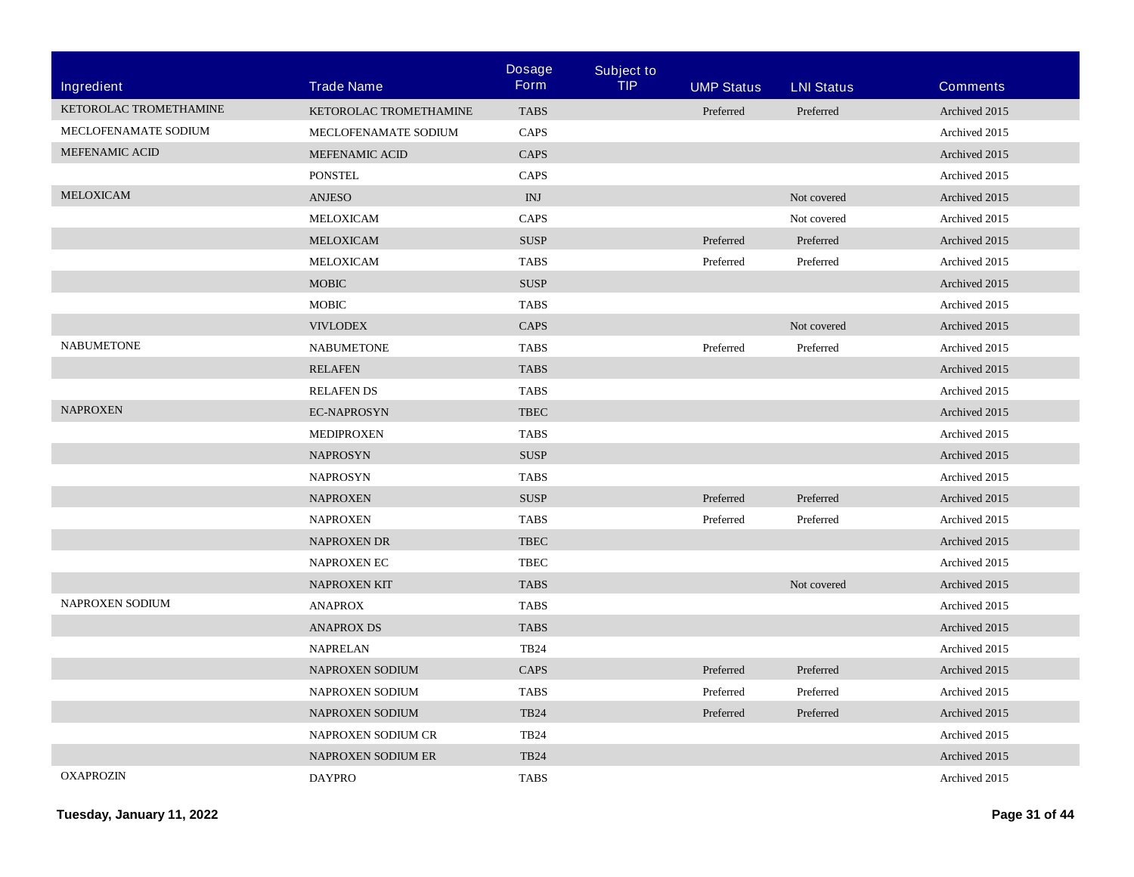| Ingredient             | <b>Trade Name</b>      | <b>Dosage</b><br><b>Form</b> | <b>Subject to</b><br><b>TIP</b> | <b>UMP Status</b> | <b>LNI Status</b> | <b>Comments</b> |
|------------------------|------------------------|------------------------------|---------------------------------|-------------------|-------------------|-----------------|
| KETOROLAC TROMETHAMINE | KETOROLAC TROMETHAMINE | <b>TABS</b>                  |                                 | Preferred         | Preferred         | Archived 2015   |
| MECLOFENAMATE SODIUM   | MECLOFENAMATE SODIUM   | CAPS                         |                                 |                   |                   | Archived 2015   |
| MEFENAMIC ACID         | <b>MEFENAMIC ACID</b>  | <b>CAPS</b>                  |                                 |                   |                   | Archived 2015   |
|                        | <b>PONSTEL</b>         | <b>CAPS</b>                  |                                 |                   |                   | Archived 2015   |
| MELOXICAM              | <b>ANJESO</b>          | INJ                          |                                 |                   | Not covered       | Archived 2015   |
|                        | MELOXICAM              | <b>CAPS</b>                  |                                 |                   | Not covered       | Archived 2015   |
|                        | MELOXICAM              | <b>SUSP</b>                  |                                 | Preferred         | Preferred         | Archived 2015   |
|                        | MELOXICAM              | <b>TABS</b>                  |                                 | Preferred         | Preferred         | Archived 2015   |
|                        | <b>MOBIC</b>           | <b>SUSP</b>                  |                                 |                   |                   | Archived 2015   |
|                        | <b>MOBIC</b>           | <b>TABS</b>                  |                                 |                   |                   | Archived 2015   |
|                        | <b>VIVLODEX</b>        | CAPS                         |                                 |                   | Not covered       | Archived 2015   |
| <b>NABUMETONE</b>      | <b>NABUMETONE</b>      | <b>TABS</b>                  |                                 | Preferred         | Preferred         | Archived 2015   |
|                        | <b>RELAFEN</b>         | <b>TABS</b>                  |                                 |                   |                   | Archived 2015   |
|                        | <b>RELAFENDS</b>       | <b>TABS</b>                  |                                 |                   |                   | Archived 2015   |
| <b>NAPROXEN</b>        |                        |                              |                                 |                   |                   |                 |
|                        | <b>EC-NAPROSYN</b>     | ${\tt TBEC}$                 |                                 |                   |                   | Archived 2015   |
|                        | <b>MEDIPROXEN</b>      | <b>TABS</b>                  |                                 |                   |                   | Archived 2015   |
|                        | <b>NAPROSYN</b>        | ${\bf SUSP}$                 |                                 |                   |                   | Archived 2015   |
|                        | <b>NAPROSYN</b>        | <b>TABS</b>                  |                                 |                   |                   | Archived 2015   |
|                        | <b>NAPROXEN</b>        | <b>SUSP</b>                  |                                 | Preferred         | Preferred         | Archived 2015   |
|                        | <b>NAPROXEN</b>        | <b>TABS</b>                  |                                 | Preferred         | Preferred         | Archived 2015   |
|                        | <b>NAPROXEN DR</b>     | <b>TBEC</b>                  |                                 |                   |                   | Archived 2015   |
|                        | NAPROXEN EC            | <b>TBEC</b>                  |                                 |                   |                   | Archived 2015   |
|                        | NAPROXEN KIT           | <b>TABS</b>                  |                                 |                   | Not covered       | Archived 2015   |
| NAPROXEN SODIUM        | <b>ANAPROX</b>         | <b>TABS</b>                  |                                 |                   |                   | Archived 2015   |
|                        | <b>ANAPROX DS</b>      | <b>TABS</b>                  |                                 |                   |                   | Archived 2015   |
|                        | <b>NAPRELAN</b>        | <b>TB24</b>                  |                                 |                   |                   | Archived 2015   |
|                        | <b>NAPROXEN SODIUM</b> | <b>CAPS</b>                  |                                 | Preferred         | Preferred         | Archived 2015   |
|                        | NAPROXEN SODIUM        | <b>TABS</b>                  |                                 | Preferred         | Preferred         | Archived 2015   |
|                        | NAPROXEN SODIUM        | <b>TB24</b>                  |                                 | Preferred         | Preferred         | Archived 2015   |
|                        | NAPROXEN SODIUM CR     | <b>TB24</b>                  |                                 |                   |                   | Archived 2015   |
|                        | NAPROXEN SODIUM ER     | <b>TB24</b>                  |                                 |                   |                   | Archived 2015   |
| <b>OXAPROZIN</b>       | <b>DAYPRO</b>          | <b>TABS</b>                  |                                 |                   |                   | Archived 2015   |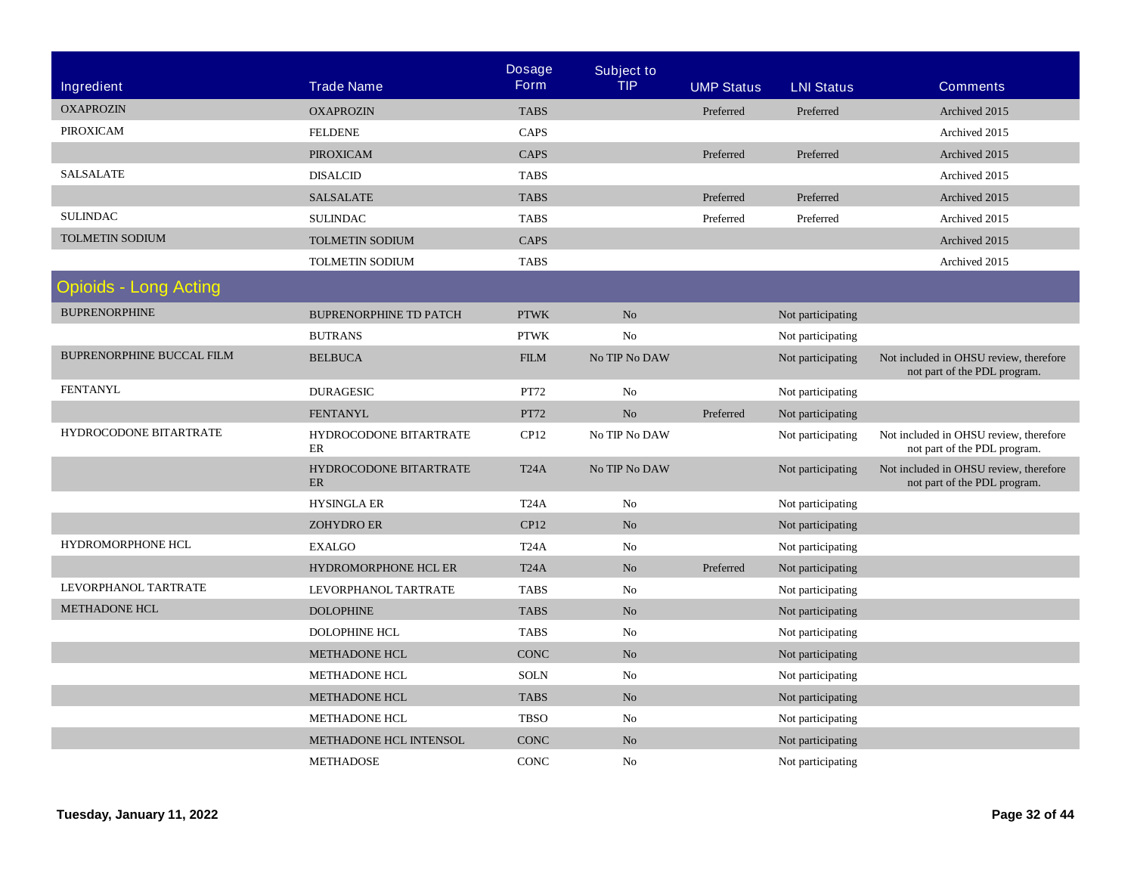| <b>Ingredient</b>                | <b>Trade Name</b>                   | <b>Dosage</b><br><b>Form</b> | <b>Subject to</b><br><b>TIP</b> | <b>UMP Status</b> | <b>LNI Status</b> | <b>Comments</b>                                                        |
|----------------------------------|-------------------------------------|------------------------------|---------------------------------|-------------------|-------------------|------------------------------------------------------------------------|
| <b>OXAPROZIN</b>                 | <b>OXAPROZIN</b>                    | <b>TABS</b>                  |                                 | Preferred         | Preferred         | Archived 2015                                                          |
| <b>PIROXICAM</b>                 | <b>FELDENE</b>                      | CAPS                         |                                 |                   |                   | Archived 2015                                                          |
|                                  | PIROXICAM                           | CAPS                         |                                 | Preferred         | Preferred         | Archived 2015                                                          |
| <b>SALSALATE</b>                 | <b>DISALCID</b>                     | <b>TABS</b>                  |                                 |                   |                   | Archived 2015                                                          |
|                                  | <b>SALSALATE</b>                    | <b>TABS</b>                  |                                 | Preferred         | Preferred         | Archived 2015                                                          |
| <b>SULINDAC</b>                  | <b>SULINDAC</b>                     | <b>TABS</b>                  |                                 | Preferred         | Preferred         | Archived 2015                                                          |
| <b>TOLMETIN SODIUM</b>           | <b>TOLMETIN SODIUM</b>              | CAPS                         |                                 |                   |                   | Archived 2015                                                          |
|                                  | <b>TOLMETIN SODIUM</b>              | <b>TABS</b>                  |                                 |                   |                   | Archived 2015                                                          |
| <b>Opioids - Long Acting</b>     |                                     |                              |                                 |                   |                   |                                                                        |
| <b>BUPRENORPHINE</b>             | <b>BUPRENORPHINE TD PATCH</b>       | <b>PTWK</b>                  | No                              |                   | Not participating |                                                                        |
|                                  | <b>BUTRANS</b>                      | <b>PTWK</b>                  | N <sub>0</sub>                  |                   | Not participating |                                                                        |
| <b>BUPRENORPHINE BUCCAL FILM</b> | <b>BELBUCA</b>                      | <b>FILM</b>                  | No TIP No DAW                   |                   | Not participating | Not included in OHSU review, therefore<br>not part of the PDL program. |
| <b>FENTANYL</b>                  | <b>DURAGESIC</b>                    | PT72                         | N <sub>0</sub>                  |                   | Not participating |                                                                        |
|                                  | <b>FENTANYL</b>                     | PT72                         | No                              | Preferred         | Not participating |                                                                        |
| HYDROCODONE BITARTRATE           | HYDROCODONE BITARTRATE<br>ER        | CP12                         | No TIP No DAW                   |                   | Not participating | Not included in OHSU review, therefore<br>not part of the PDL program. |
|                                  | HYDROCODONE BITARTRATE<br><b>ER</b> | T <sub>24</sub> A            | No TIP No DAW                   |                   | Not participating | Not included in OHSU review, therefore<br>not part of the PDL program. |
|                                  | <b>HYSINGLA ER</b>                  | T <sub>24</sub> A            | No                              |                   | Not participating |                                                                        |
|                                  | <b>ZOHYDRO ER</b>                   | <b>CP12</b>                  | No                              |                   | Not participating |                                                                        |
| HYDROMORPHONE HCL                | <b>EXALGO</b>                       | T <sub>24</sub> A            | No                              |                   | Not participating |                                                                        |
|                                  | HYDROMORPHONE HCL ER                | T <sub>24</sub> A            | $\rm No$                        | Preferred         | Not participating |                                                                        |
| LEVORPHANOL TARTRATE             | LEVORPHANOL TARTRATE                | <b>TABS</b>                  | No                              |                   | Not participating |                                                                        |
| METHADONE HCL                    | <b>DOLOPHINE</b>                    | <b>TABS</b>                  | No                              |                   | Not participating |                                                                        |
|                                  | DOLOPHINE HCL                       | <b>TABS</b>                  | No                              |                   | Not participating |                                                                        |
|                                  | <b>METHADONE HCL</b>                | <b>CONC</b>                  | No                              |                   | Not participating |                                                                        |
|                                  | <b>METHADONE HCL</b>                | <b>SOLN</b>                  | No                              |                   | Not participating |                                                                        |
|                                  | <b>METHADONE HCL</b>                | <b>TABS</b>                  | No                              |                   | Not participating |                                                                        |
|                                  | <b>METHADONE HCL</b>                | <b>TBSO</b>                  | No                              |                   | Not participating |                                                                        |
|                                  | METHADONE HCL INTENSOL              | <b>CONC</b>                  | No                              |                   | Not participating |                                                                        |
|                                  | <b>METHADOSE</b>                    | <b>CONC</b>                  | No                              |                   | Not participating |                                                                        |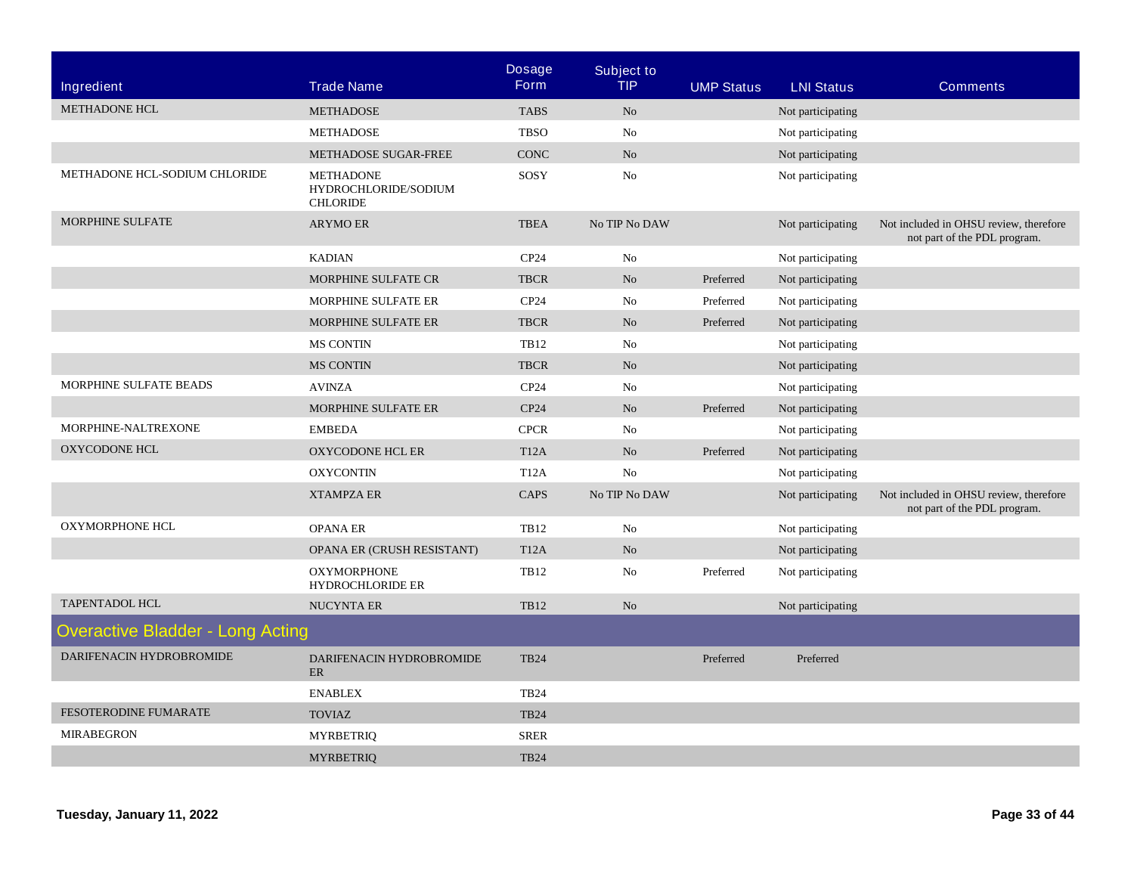|                                         |                                                             | <b>Dosage</b>     | <b>Subject to</b> |                   |                   |                                                                        |
|-----------------------------------------|-------------------------------------------------------------|-------------------|-------------------|-------------------|-------------------|------------------------------------------------------------------------|
| Ingredient                              | <b>Trade Name</b>                                           | <b>Form</b>       | <b>TIP</b>        | <b>UMP Status</b> | <b>LNI Status</b> | <b>Comments</b>                                                        |
| <b>METHADONE HCL</b>                    | <b>METHADOSE</b>                                            | <b>TABS</b>       | N <sub>o</sub>    |                   | Not participating |                                                                        |
|                                         | <b>METHADOSE</b>                                            | <b>TBSO</b>       | N <sub>0</sub>    |                   | Not participating |                                                                        |
|                                         | METHADOSE SUGAR-FREE                                        | <b>CONC</b>       | No                |                   | Not participating |                                                                        |
| METHADONE HCL-SODIUM CHLORIDE           | <b>METHADONE</b><br>HYDROCHLORIDE/SODIUM<br><b>CHLORIDE</b> | SOSY              | No                |                   | Not participating |                                                                        |
| MORPHINE SULFATE                        | <b>ARYMO ER</b>                                             | <b>TBEA</b>       | No TIP No DAW     |                   | Not participating | Not included in OHSU review, therefore<br>not part of the PDL program. |
|                                         | <b>KADIAN</b>                                               | CP24              | No                |                   | Not participating |                                                                        |
|                                         | MORPHINE SULFATE CR                                         | <b>TBCR</b>       | No                | Preferred         | Not participating |                                                                        |
|                                         | MORPHINE SULFATE ER                                         | CP24              | No                | Preferred         | Not participating |                                                                        |
|                                         | MORPHINE SULFATE ER                                         | <b>TBCR</b>       | No                | Preferred         | Not participating |                                                                        |
|                                         | <b>MS CONTIN</b>                                            | <b>TB12</b>       | No                |                   | Not participating |                                                                        |
|                                         | <b>MS CONTIN</b>                                            | <b>TBCR</b>       | No                |                   | Not participating |                                                                        |
| MORPHINE SULFATE BEADS                  | <b>AVINZA</b>                                               | CP24              | No                |                   | Not participating |                                                                        |
|                                         | MORPHINE SULFATE ER                                         | CP24              | No                | Preferred         | Not participating |                                                                        |
| MORPHINE-NALTREXONE                     | <b>EMBEDA</b>                                               | <b>CPCR</b>       | No                |                   | Not participating |                                                                        |
| OXYCODONE HCL                           | <b>OXYCODONE HCL ER</b>                                     | <b>T12A</b>       | No                | Preferred         | Not participating |                                                                        |
|                                         | <b>OXYCONTIN</b>                                            | <b>T12A</b>       | N <sub>o</sub>    |                   | Not participating |                                                                        |
|                                         | <b>XTAMPZA ER</b>                                           | <b>CAPS</b>       | No TIP No DAW     |                   | Not participating | Not included in OHSU review, therefore<br>not part of the PDL program. |
| <b>OXYMORPHONE HCL</b>                  | <b>OPANA ER</b>                                             | <b>TB12</b>       | No                |                   | Not participating |                                                                        |
|                                         | OPANA ER (CRUSH RESISTANT)                                  | T <sub>12</sub> A | No                |                   | Not participating |                                                                        |
|                                         | <b>OXYMORPHONE</b><br><b>HYDROCHLORIDE ER</b>               | <b>TB12</b>       | No                | Preferred         | Not participating |                                                                        |
| <b>TAPENTADOL HCL</b>                   | <b>NUCYNTA ER</b>                                           | <b>TB12</b>       | No                |                   | Not participating |                                                                        |
| <b>Overactive Bladder - Long Acting</b> |                                                             |                   |                   |                   |                   |                                                                        |
| DARIFENACIN HYDROBROMIDE                | DARIFENACIN HYDROBROMIDE<br>ER                              | <b>TB24</b>       |                   | Preferred         | Preferred         |                                                                        |
|                                         | <b>ENABLEX</b>                                              | <b>TB24</b>       |                   |                   |                   |                                                                        |
| <b>FESOTERODINE FUMARATE</b>            | <b>TOVIAZ</b>                                               | <b>TB24</b>       |                   |                   |                   |                                                                        |
| <b>MIRABEGRON</b>                       | <b>MYRBETRIQ</b>                                            | <b>SRER</b>       |                   |                   |                   |                                                                        |
|                                         | <b>MYRBETRIQ</b>                                            | <b>TB24</b>       |                   |                   |                   |                                                                        |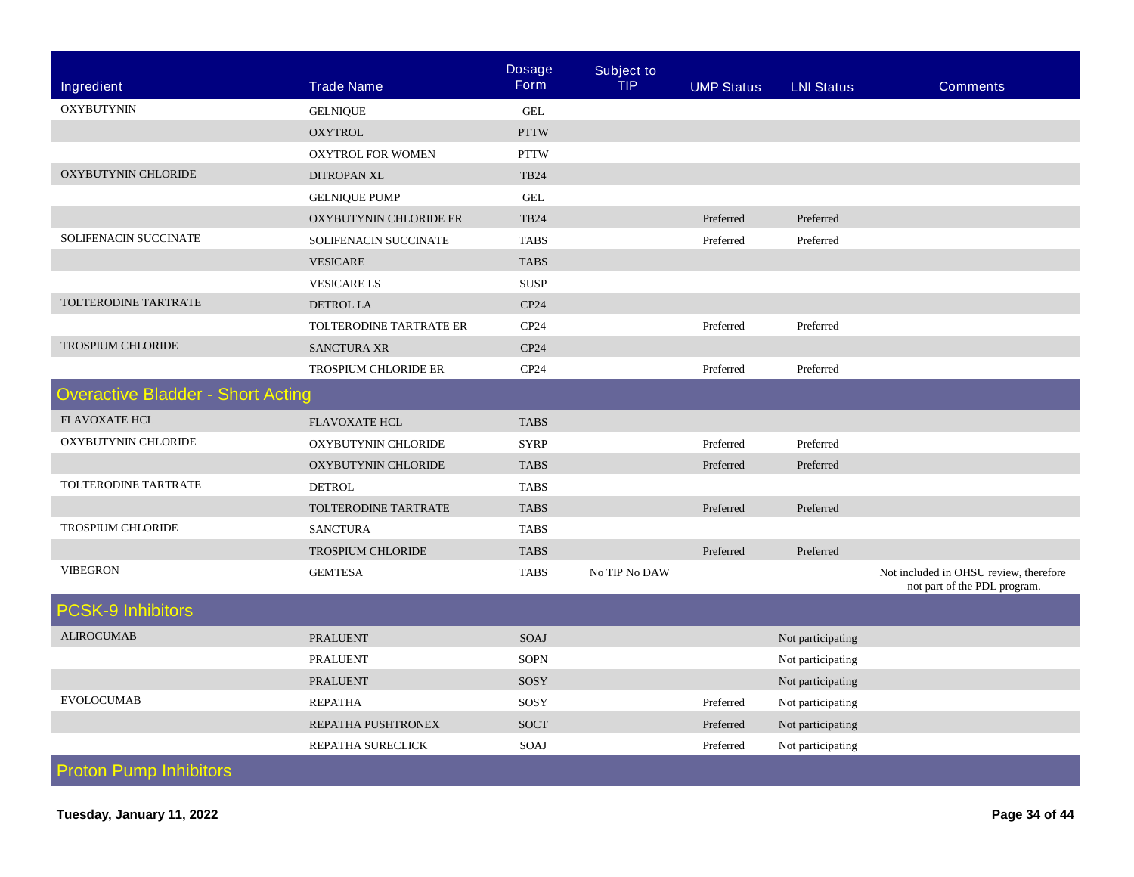|                                          |                             | <b>Dosage</b>    | <b>Subject to</b> |                   |                   |                                                                        |
|------------------------------------------|-----------------------------|------------------|-------------------|-------------------|-------------------|------------------------------------------------------------------------|
| <b>Ingredient</b>                        | <b>Trade Name</b>           | <b>Form</b>      | <b>TIP</b>        | <b>UMP Status</b> | <b>LNI Status</b> | <b>Comments</b>                                                        |
| <b>OXYBUTYNIN</b>                        | <b>GELNIQUE</b>             | <b>GEL</b>       |                   |                   |                   |                                                                        |
|                                          | <b>OXYTROL</b>              | <b>PTTW</b>      |                   |                   |                   |                                                                        |
|                                          | <b>OXYTROL FOR WOMEN</b>    | <b>PTTW</b>      |                   |                   |                   |                                                                        |
| <b>OXYBUTYNIN CHLORIDE</b>               | DITROPAN XL                 | <b>TB24</b>      |                   |                   |                   |                                                                        |
|                                          | <b>GELNIQUE PUMP</b>        | <b>GEL</b>       |                   |                   |                   |                                                                        |
|                                          | OXYBUTYNIN CHLORIDE ER      | <b>TB24</b>      |                   | Preferred         | Preferred         |                                                                        |
| SOLIFENACIN SUCCINATE                    | SOLIFENACIN SUCCINATE       | <b>TABS</b>      |                   | Preferred         | Preferred         |                                                                        |
|                                          | <b>VESICARE</b>             | <b>TABS</b>      |                   |                   |                   |                                                                        |
|                                          | <b>VESICARE LS</b>          | <b>SUSP</b>      |                   |                   |                   |                                                                        |
| TOLTERODINE TARTRATE                     | <b>DETROL LA</b>            | CP24             |                   |                   |                   |                                                                        |
|                                          | TOLTERODINE TARTRATE ER     | CP24             |                   | Preferred         | Preferred         |                                                                        |
| <b>TROSPIUM CHLORIDE</b>                 | <b>SANCTURA XR</b>          | CP <sub>24</sub> |                   |                   |                   |                                                                        |
|                                          | <b>TROSPIUM CHLORIDE ER</b> | CP24             |                   | Preferred         | Preferred         |                                                                        |
| <b>Overactive Bladder - Short Acting</b> |                             |                  |                   |                   |                   |                                                                        |
| <b>FLAVOXATE HCL</b>                     | <b>FLAVOXATE HCL</b>        | <b>TABS</b>      |                   |                   |                   |                                                                        |
| OXYBUTYNIN CHLORIDE                      | OXYBUTYNIN CHLORIDE         | <b>SYRP</b>      |                   | Preferred         | Preferred         |                                                                        |
|                                          | OXYBUTYNIN CHLORIDE         | <b>TABS</b>      |                   | Preferred         | Preferred         |                                                                        |
| TOLTERODINE TARTRATE                     | <b>DETROL</b>               | <b>TABS</b>      |                   |                   |                   |                                                                        |
|                                          | TOLTERODINE TARTRATE        | <b>TABS</b>      |                   | Preferred         | Preferred         |                                                                        |
| TROSPIUM CHLORIDE                        | <b>SANCTURA</b>             | <b>TABS</b>      |                   |                   |                   |                                                                        |
|                                          | <b>TROSPIUM CHLORIDE</b>    | <b>TABS</b>      |                   | Preferred         | Preferred         |                                                                        |
| <b>VIBEGRON</b>                          | <b>GEMTESA</b>              | <b>TABS</b>      | No TIP No DAW     |                   |                   | Not included in OHSU review, therefore<br>not part of the PDL program. |
| <b>PCSK-9 Inhibitors</b>                 |                             |                  |                   |                   |                   |                                                                        |
| <b>ALIROCUMAB</b>                        | <b>PRALUENT</b>             | SOAJ             |                   |                   | Not participating |                                                                        |
|                                          | <b>PRALUENT</b>             | <b>SOPN</b>      |                   |                   | Not participating |                                                                        |
|                                          | <b>PRALUENT</b>             | SOSY             |                   |                   | Not participating |                                                                        |
| <b>EVOLOCUMAB</b>                        | <b>REPATHA</b>              | SOSY             |                   | Preferred         | Not participating |                                                                        |
|                                          | REPATHA PUSHTRONEX          | <b>SOCT</b>      |                   | Preferred         | Not participating |                                                                        |
|                                          | REPATHA SURECLICK           | SOAJ             |                   | Preferred         | Not participating |                                                                        |
| <b>Proton Pump Inhibitors</b>            |                             |                  |                   |                   |                   |                                                                        |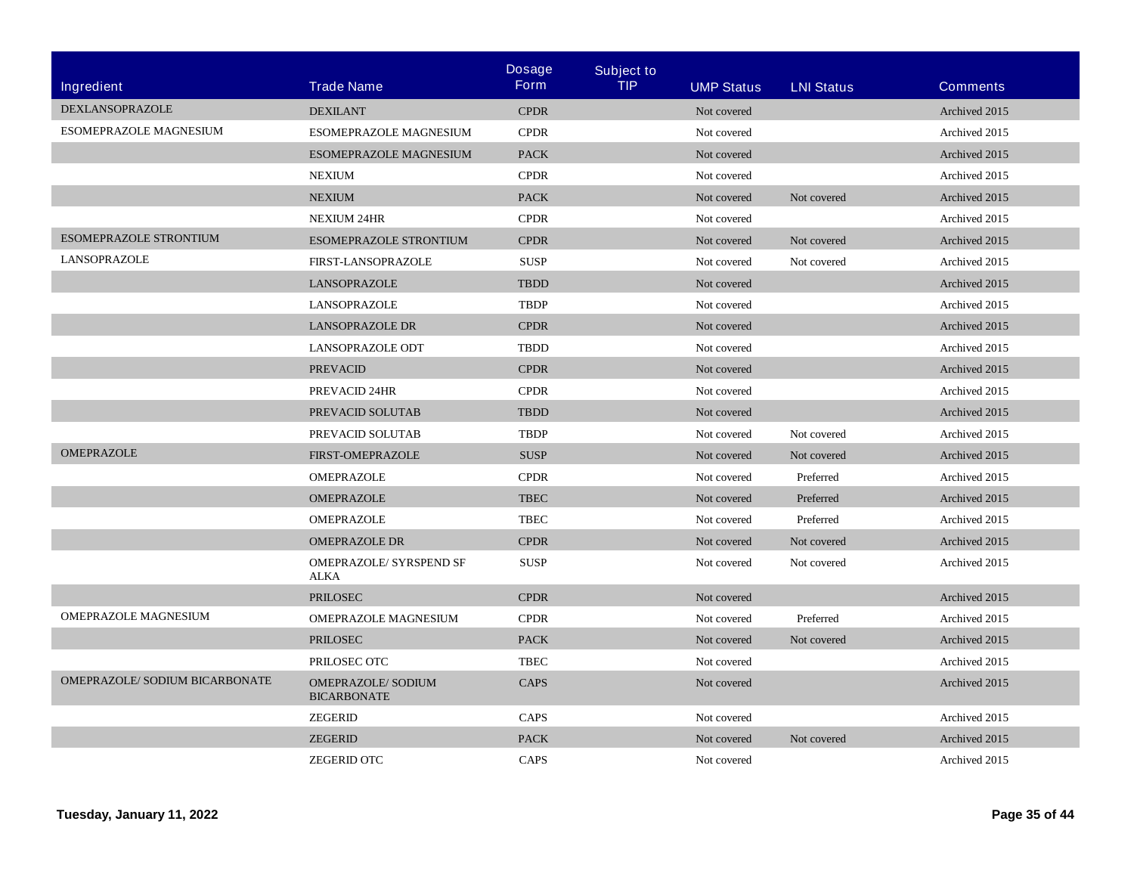| Ingredient                     | <b>Trade Name</b>                               | <b>Dosage</b><br><b>Form</b> | <b>Subject to</b><br><b>TIP</b> | <b>UMP Status</b> | <b>LNI Status</b> | <b>Comments</b> |
|--------------------------------|-------------------------------------------------|------------------------------|---------------------------------|-------------------|-------------------|-----------------|
| DEXLANSOPRAZOLE                | <b>DEXILANT</b>                                 | <b>CPDR</b>                  |                                 | Not covered       |                   | Archived 2015   |
| ESOMEPRAZOLE MAGNESIUM         | <b>ESOMEPRAZOLE MAGNESIUM</b>                   | <b>CPDR</b>                  |                                 | Not covered       |                   | Archived 2015   |
|                                | ESOMEPRAZOLE MAGNESIUM                          | <b>PACK</b>                  |                                 | Not covered       |                   | Archived 2015   |
|                                | <b>NEXIUM</b>                                   | <b>CPDR</b>                  |                                 | Not covered       |                   | Archived 2015   |
|                                | <b>NEXIUM</b>                                   | <b>PACK</b>                  |                                 | Not covered       | Not covered       | Archived 2015   |
|                                | <b>NEXIUM 24HR</b>                              | <b>CPDR</b>                  |                                 | Not covered       |                   | Archived 2015   |
| ESOMEPRAZOLE STRONTIUM         | <b>ESOMEPRAZOLE STRONTIUM</b>                   | <b>CPDR</b>                  |                                 | Not covered       | Not covered       | Archived 2015   |
| LANSOPRAZOLE                   | FIRST-LANSOPRAZOLE                              | <b>SUSP</b>                  |                                 | Not covered       | Not covered       | Archived 2015   |
|                                | LANSOPRAZOLE                                    | <b>TBDD</b>                  |                                 | Not covered       |                   | Archived 2015   |
|                                | LANSOPRAZOLE                                    | <b>TBDP</b>                  |                                 | Not covered       |                   | Archived 2015   |
|                                | <b>LANSOPRAZOLE DR</b>                          | <b>CPDR</b>                  |                                 | Not covered       |                   | Archived 2015   |
|                                | <b>LANSOPRAZOLE ODT</b>                         | <b>TBDD</b>                  |                                 | Not covered       |                   | Archived 2015   |
|                                | <b>PREVACID</b>                                 | <b>CPDR</b>                  |                                 | Not covered       |                   | Archived 2015   |
|                                | PREVACID 24HR                                   | <b>CPDR</b>                  |                                 | Not covered       |                   | Archived 2015   |
|                                | PREVACID SOLUTAB                                | <b>TBDD</b>                  |                                 | Not covered       |                   | Archived 2015   |
|                                | PREVACID SOLUTAB                                | <b>TBDP</b>                  |                                 | Not covered       | Not covered       | Archived 2015   |
| <b>OMEPRAZOLE</b>              | <b>FIRST-OMEPRAZOLE</b>                         | <b>SUSP</b>                  |                                 | Not covered       | Not covered       | Archived 2015   |
|                                | <b>OMEPRAZOLE</b>                               | <b>CPDR</b>                  |                                 | Not covered       | Preferred         | Archived 2015   |
|                                | OMEPRAZOLE                                      | <b>TBEC</b>                  |                                 | Not covered       | Preferred         | Archived 2015   |
|                                | <b>OMEPRAZOLE</b>                               | <b>TBEC</b>                  |                                 | Not covered       | Preferred         | Archived 2015   |
|                                | <b>OMEPRAZOLE DR</b>                            | <b>CPDR</b>                  |                                 | Not covered       | Not covered       | Archived 2015   |
|                                | <b>OMEPRAZOLE/ SYRSPEND SF</b><br><b>ALKA</b>   | <b>SUSP</b>                  |                                 | Not covered       | Not covered       | Archived 2015   |
|                                | <b>PRILOSEC</b>                                 | <b>CPDR</b>                  |                                 | Not covered       |                   | Archived 2015   |
| OMEPRAZOLE MAGNESIUM           | OMEPRAZOLE MAGNESIUM                            | <b>CPDR</b>                  |                                 | Not covered       | Preferred         | Archived 2015   |
|                                | <b>PRILOSEC</b>                                 | <b>PACK</b>                  |                                 | Not covered       | Not covered       | Archived 2015   |
|                                | PRILOSEC OTC                                    | <b>TBEC</b>                  |                                 | Not covered       |                   | Archived 2015   |
| OMEPRAZOLE/ SODIUM BICARBONATE | <b>OMEPRAZOLE/ SODIUM</b><br><b>BICARBONATE</b> | <b>CAPS</b>                  |                                 | Not covered       |                   | Archived 2015   |
|                                | ZEGERID                                         | CAPS                         |                                 | Not covered       |                   | Archived 2015   |
|                                | <b>ZEGERID</b>                                  | <b>PACK</b>                  |                                 | Not covered       | Not covered       | Archived 2015   |
|                                | <b>ZEGERID OTC</b>                              | CAPS                         |                                 | Not covered       |                   | Archived 2015   |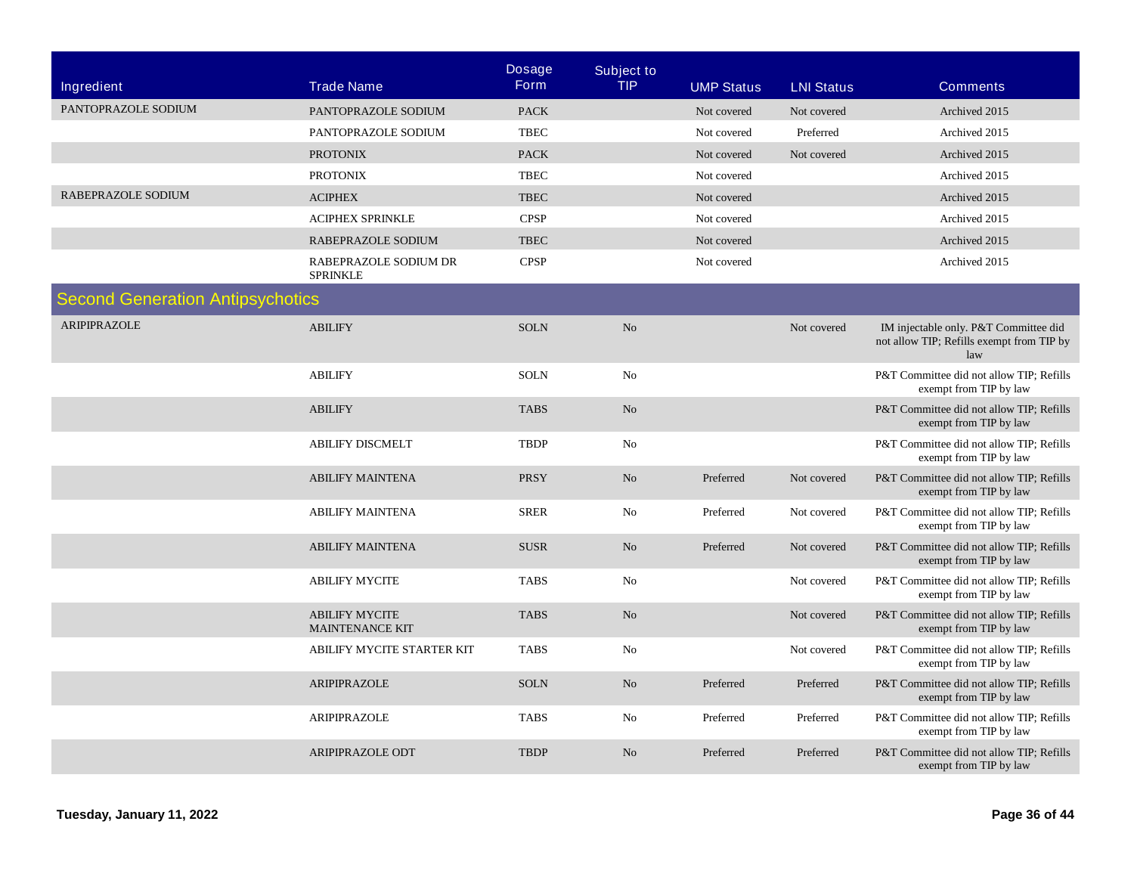| Ingredient                              | <b>Trade Name</b>                               | <b>Dosage</b><br><b>Form</b> | <b>Subject to</b><br><b>TIP</b> | <b>UMP Status</b> | <b>LNI Status</b> | <b>Comments</b>                                                                           |
|-----------------------------------------|-------------------------------------------------|------------------------------|---------------------------------|-------------------|-------------------|-------------------------------------------------------------------------------------------|
| PANTOPRAZOLE SODIUM                     | PANTOPRAZOLE SODIUM                             | <b>PACK</b>                  |                                 | Not covered       | Not covered       | Archived 2015                                                                             |
|                                         | PANTOPRAZOLE SODIUM                             | <b>TBEC</b>                  |                                 | Not covered       | Preferred         | Archived 2015                                                                             |
|                                         | <b>PROTONIX</b>                                 | <b>PACK</b>                  |                                 | Not covered       | Not covered       | Archived 2015                                                                             |
|                                         | <b>PROTONIX</b>                                 | <b>TBEC</b>                  |                                 | Not covered       |                   | Archived 2015                                                                             |
| RABEPRAZOLE SODIUM                      | ${\bf ACIPHEX}$                                 | <b>TBEC</b>                  |                                 | Not covered       |                   | Archived 2015                                                                             |
|                                         | ACIPHEX SPRINKLE                                | <b>CPSP</b>                  |                                 | Not covered       |                   | Archived 2015                                                                             |
|                                         | RABEPRAZOLE SODIUM                              | <b>TBEC</b>                  |                                 | Not covered       |                   | Archived 2015                                                                             |
|                                         | RABEPRAZOLE SODIUM DR<br><b>SPRINKLE</b>        | <b>CPSP</b>                  |                                 | Not covered       |                   | Archived 2015                                                                             |
| <b>Second Generation Antipsychotics</b> |                                                 |                              |                                 |                   |                   |                                                                                           |
| <b>ARIPIPRAZOLE</b>                     | <b>ABILIFY</b>                                  | <b>SOLN</b>                  | N <sub>o</sub>                  |                   | Not covered       | IM injectable only. P&T Committee did<br>not allow TIP; Refills exempt from TIP by<br>law |
|                                         | <b>ABILIFY</b>                                  | <b>SOLN</b>                  | No                              |                   |                   | P&T Committee did not allow TIP; Refills<br>exempt from TIP by law                        |
|                                         | <b>ABILIFY</b>                                  | <b>TABS</b>                  | No                              |                   |                   | P&T Committee did not allow TIP; Refills<br>exempt from TIP by law                        |
|                                         | <b>ABILIFY DISCMELT</b>                         | <b>TBDP</b>                  | $\rm No$                        |                   |                   | P&T Committee did not allow TIP; Refills<br>exempt from TIP by law                        |
|                                         | <b>ABILIFY MAINTENA</b>                         | <b>PRSY</b>                  | $\rm No$                        | Preferred         | Not covered       | P&T Committee did not allow TIP; Refills<br>exempt from TIP by law                        |
|                                         | <b>ABILIFY MAINTENA</b>                         | <b>SRER</b>                  | No                              | Preferred         | Not covered       | P&T Committee did not allow TIP; Refills<br>exempt from TIP by law                        |
|                                         | <b>ABILIFY MAINTENA</b>                         | <b>SUSR</b>                  | N <sub>o</sub>                  | Preferred         | Not covered       | P&T Committee did not allow TIP; Refills<br>exempt from TIP by law                        |
|                                         | <b>ABILIFY MYCITE</b>                           | <b>TABS</b>                  | N <sub>o</sub>                  |                   | Not covered       | P&T Committee did not allow TIP; Refills<br>exempt from TIP by law                        |
|                                         | <b>ABILIFY MYCITE</b><br><b>MAINTENANCE KIT</b> | <b>TABS</b>                  | No                              |                   | Not covered       | P&T Committee did not allow TIP; Refills<br>exempt from TIP by law                        |
|                                         | ABILIFY MYCITE STARTER KIT                      | <b>TABS</b>                  | No                              |                   | Not covered       | P&T Committee did not allow TIP; Refills<br>exempt from TIP by law                        |
|                                         | ARIPIPRAZOLE                                    | <b>SOLN</b>                  | No                              | Preferred         | Preferred         | P&T Committee did not allow TIP; Refills<br>exempt from TIP by law                        |
|                                         | ARIPIPRAZOLE                                    | <b>TABS</b>                  | No                              | Preferred         | Preferred         | P&T Committee did not allow TIP; Refills<br>exempt from TIP by law                        |
|                                         | <b>ARIPIPRAZOLE ODT</b>                         | <b>TBDP</b>                  | No                              | Preferred         | Preferred         | P&T Committee did not allow TIP; Refills<br>exempt from TIP by law                        |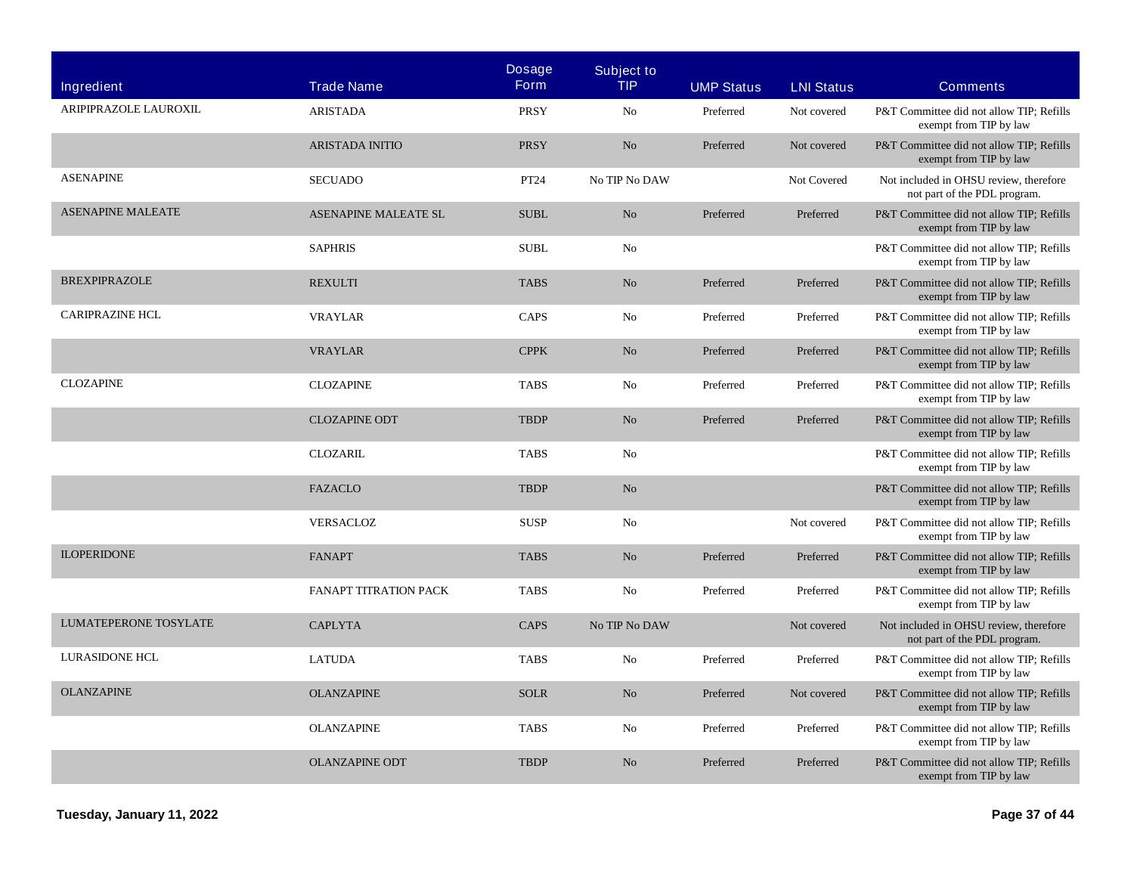| Ingredient               | <b>Trade Name</b>           | <b>Dosage</b><br><b>Form</b> | <b>Subject to</b><br><b>TIP</b> | <b>UMP Status</b> | <b>LNI Status</b> | <b>Comments</b>                                                        |
|--------------------------|-----------------------------|------------------------------|---------------------------------|-------------------|-------------------|------------------------------------------------------------------------|
| ARIPIPRAZOLE LAUROXIL    | <b>ARISTADA</b>             | <b>PRSY</b>                  | No                              | Preferred         | Not covered       | P&T Committee did not allow TIP; Refills<br>exempt from TIP by law     |
|                          | <b>ARISTADA INITIO</b>      | <b>PRSY</b>                  | No                              | Preferred         | Not covered       | P&T Committee did not allow TIP; Refills<br>exempt from TIP by law     |
| <b>ASENAPINE</b>         | <b>SECUADO</b>              | PT24                         | No TIP No DAW                   |                   | Not Covered       | Not included in OHSU review, therefore<br>not part of the PDL program. |
| <b>ASENAPINE MALEATE</b> | <b>ASENAPINE MALEATE SL</b> | <b>SUBL</b>                  | No                              | Preferred         | Preferred         | P&T Committee did not allow TIP; Refills<br>exempt from TIP by law     |
|                          | <b>SAPHRIS</b>              | <b>SUBL</b>                  | No                              |                   |                   | P&T Committee did not allow TIP: Refills<br>exempt from TIP by law     |
| <b>BREXPIPRAZOLE</b>     | <b>REXULTI</b>              | <b>TABS</b>                  | No                              | Preferred         | Preferred         | P&T Committee did not allow TIP; Refills<br>exempt from TIP by law     |
| <b>CARIPRAZINE HCL</b>   | <b>VRAYLAR</b>              | CAPS                         | No                              | Preferred         | Preferred         | P&T Committee did not allow TIP; Refills<br>exempt from TIP by law     |
|                          | <b>VRAYLAR</b>              | <b>CPPK</b>                  | No                              | Preferred         | Preferred         | P&T Committee did not allow TIP; Refills<br>exempt from TIP by law     |
| <b>CLOZAPINE</b>         | <b>CLOZAPINE</b>            | <b>TABS</b>                  | No                              | Preferred         | Preferred         | P&T Committee did not allow TIP; Refills<br>exempt from TIP by law     |
|                          | <b>CLOZAPINE ODT</b>        | <b>TBDP</b>                  | No                              | Preferred         | Preferred         | P&T Committee did not allow TIP; Refills<br>exempt from TIP by law     |
|                          | <b>CLOZARIL</b>             | <b>TABS</b>                  | No                              |                   |                   | P&T Committee did not allow TIP; Refills<br>exempt from TIP by law     |
|                          | <b>FAZACLO</b>              | <b>TBDP</b>                  | No                              |                   |                   | P&T Committee did not allow TIP; Refills<br>exempt from TIP by law     |
|                          | <b>VERSACLOZ</b>            | <b>SUSP</b>                  | No                              |                   | Not covered       | P&T Committee did not allow TIP; Refills<br>exempt from TIP by law     |
| <b>ILOPERIDONE</b>       | <b>FANAPT</b>               | <b>TABS</b>                  | No                              | Preferred         | Preferred         | P&T Committee did not allow TIP; Refills<br>exempt from TIP by law     |
|                          | FANAPT TITRATION PACK       | <b>TABS</b>                  | $\rm No$                        | Preferred         | Preferred         | P&T Committee did not allow TIP; Refills<br>exempt from TIP by law     |
| LUMATEPERONE TOSYLATE    | <b>CAPLYTA</b>              | <b>CAPS</b>                  | No TIP No DAW                   |                   | Not covered       | Not included in OHSU review, therefore<br>not part of the PDL program. |
| LURASIDONE HCL           | <b>LATUDA</b>               | <b>TABS</b>                  | No                              | Preferred         | Preferred         | P&T Committee did not allow TIP; Refills<br>exempt from TIP by law     |
| <b>OLANZAPINE</b>        | <b>OLANZAPINE</b>           | <b>SOLR</b>                  | No                              | Preferred         | Not covered       | P&T Committee did not allow TIP; Refills<br>exempt from TIP by law     |
|                          | <b>OLANZAPINE</b>           | <b>TABS</b>                  | No                              | Preferred         | Preferred         | P&T Committee did not allow TIP; Refills<br>exempt from TIP by law     |
|                          | <b>OLANZAPINE ODT</b>       | <b>TBDP</b>                  | No                              | Preferred         | Preferred         | P&T Committee did not allow TIP; Refills<br>exempt from TIP by law     |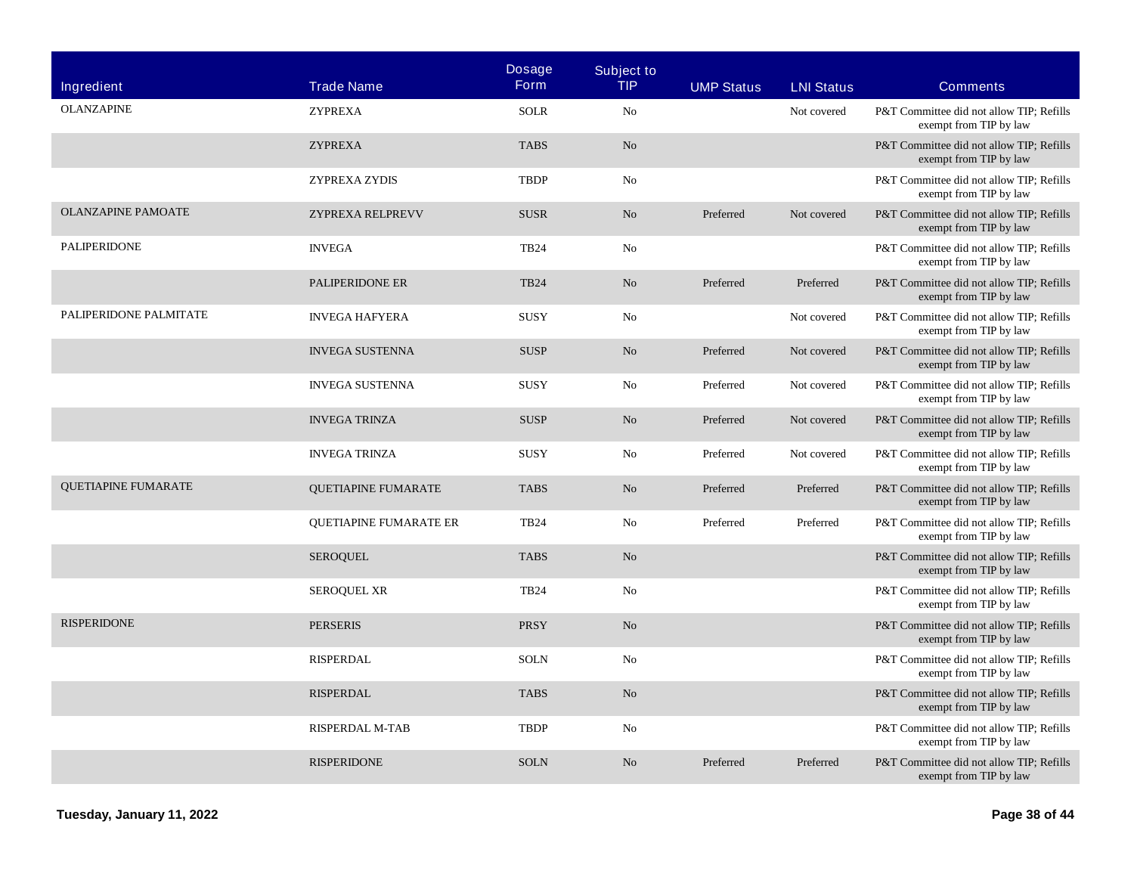| Ingredient                 | <b>Trade Name</b>             | <b>Dosage</b><br><b>Form</b> | <b>Subject to</b><br>TIP. | <b>UMP Status</b> | <b>LNI Status</b> | <b>Comments</b>                                                    |
|----------------------------|-------------------------------|------------------------------|---------------------------|-------------------|-------------------|--------------------------------------------------------------------|
| <b>OLANZAPINE</b>          | <b>ZYPREXA</b>                | <b>SOLR</b>                  | No                        |                   | Not covered       | P&T Committee did not allow TIP; Refills<br>exempt from TIP by law |
|                            | <b>ZYPREXA</b>                | <b>TABS</b>                  | $\rm No$                  |                   |                   | P&T Committee did not allow TIP; Refills<br>exempt from TIP by law |
|                            | ZYPREXA ZYDIS                 | <b>TBDP</b>                  | No                        |                   |                   | P&T Committee did not allow TIP; Refills<br>exempt from TIP by law |
| <b>OLANZAPINE PAMOATE</b>  | ZYPREXA RELPREVV              | <b>SUSR</b>                  | No                        | Preferred         | Not covered       | P&T Committee did not allow TIP; Refills<br>exempt from TIP by law |
| <b>PALIPERIDONE</b>        | <b>INVEGA</b>                 | <b>TB24</b>                  | No                        |                   |                   | P&T Committee did not allow TIP; Refills<br>exempt from TIP by law |
|                            | PALIPERIDONE ER               | <b>TB24</b>                  | No                        | Preferred         | Preferred         | P&T Committee did not allow TIP; Refills<br>exempt from TIP by law |
| PALIPERIDONE PALMITATE     | <b>INVEGA HAFYERA</b>         | <b>SUSY</b>                  | No                        |                   | Not covered       | P&T Committee did not allow TIP; Refills<br>exempt from TIP by law |
|                            | <b>INVEGA SUSTENNA</b>        | <b>SUSP</b>                  | No                        | Preferred         | Not covered       | P&T Committee did not allow TIP; Refills<br>exempt from TIP by law |
|                            | <b>INVEGA SUSTENNA</b>        | <b>SUSY</b>                  | No                        | Preferred         | Not covered       | P&T Committee did not allow TIP; Refills<br>exempt from TIP by law |
|                            | <b>INVEGA TRINZA</b>          | <b>SUSP</b>                  | $\rm No$                  | Preferred         | Not covered       | P&T Committee did not allow TIP; Refills<br>exempt from TIP by law |
|                            | <b>INVEGA TRINZA</b>          | <b>SUSY</b>                  | No                        | Preferred         | Not covered       | P&T Committee did not allow TIP; Refills<br>exempt from TIP by law |
| <b>QUETIAPINE FUMARATE</b> | <b>OUETIAPINE FUMARATE</b>    | <b>TABS</b>                  | No                        | Preferred         | Preferred         | P&T Committee did not allow TIP; Refills<br>exempt from TIP by law |
|                            | <b>OUETIAPINE FUMARATE ER</b> | <b>TB24</b>                  | No                        | Preferred         | Preferred         | P&T Committee did not allow TIP; Refills<br>exempt from TIP by law |
|                            | <b>SEROOUEL</b>               | <b>TABS</b>                  | No                        |                   |                   | P&T Committee did not allow TIP; Refills<br>exempt from TIP by law |
|                            | <b>SEROQUEL XR</b>            | <b>TB24</b>                  | No                        |                   |                   | P&T Committee did not allow TIP; Refills<br>exempt from TIP by law |
| <b>RISPERIDONE</b>         | <b>PERSERIS</b>               | <b>PRSY</b>                  | No                        |                   |                   | P&T Committee did not allow TIP; Refills<br>exempt from TIP by law |
|                            | <b>RISPERDAL</b>              | <b>SOLN</b>                  | No                        |                   |                   | P&T Committee did not allow TIP; Refills<br>exempt from TIP by law |
|                            | <b>RISPERDAL</b>              | <b>TABS</b>                  | No                        |                   |                   | P&T Committee did not allow TIP; Refills<br>exempt from TIP by law |
|                            | <b>RISPERDAL M-TAB</b>        | <b>TBDP</b>                  | N <sub>o</sub>            |                   |                   | P&T Committee did not allow TIP; Refills<br>exempt from TIP by law |
|                            | <b>RISPERIDONE</b>            | <b>SOLN</b>                  | N <sub>o</sub>            | Preferred         | Preferred         | P&T Committee did not allow TIP; Refills<br>exempt from TIP by law |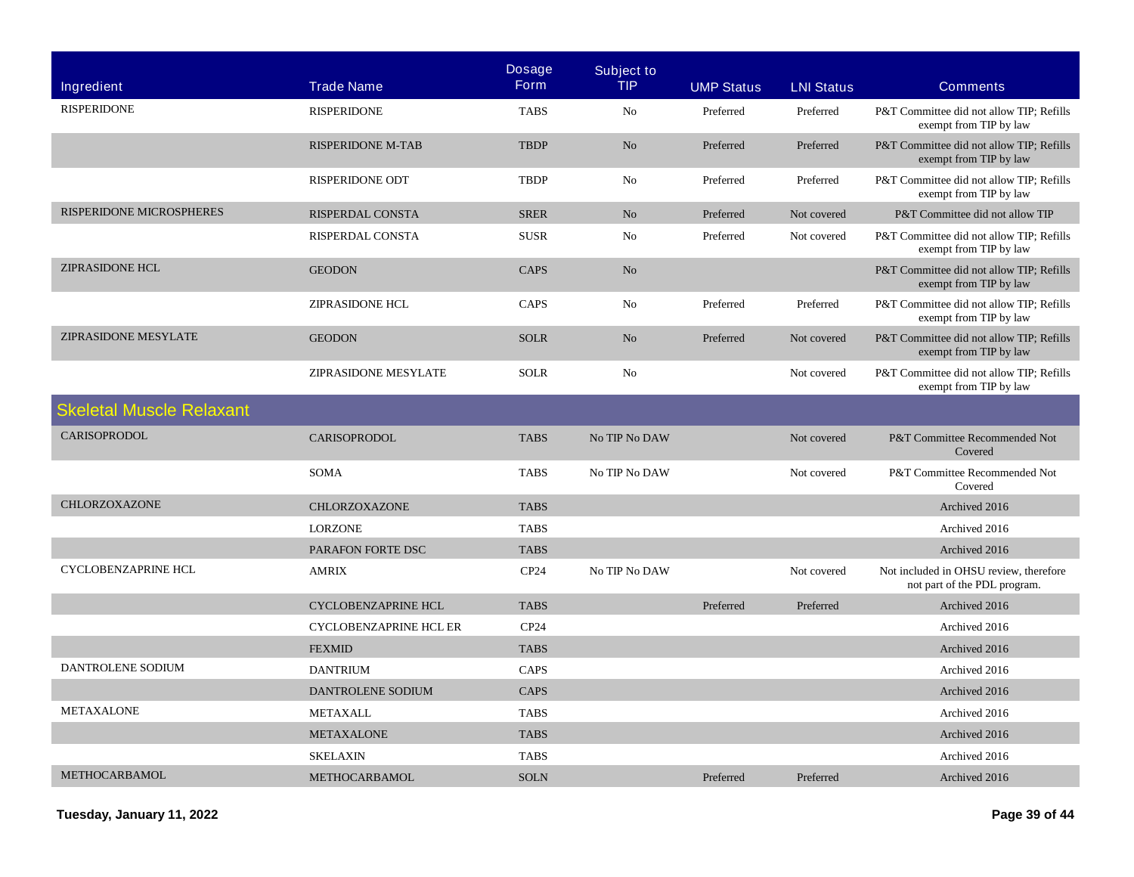| Ingredient                      | <b>Trade Name</b>             | <b>Dosage</b><br><b>Form</b> | <b>Subject to</b><br><b>TIP</b> | <b>UMP Status</b> | <b>LNI Status</b> | <b>Comments</b>                                                        |
|---------------------------------|-------------------------------|------------------------------|---------------------------------|-------------------|-------------------|------------------------------------------------------------------------|
| <b>RISPERIDONE</b>              | <b>RISPERIDONE</b>            | <b>TABS</b>                  | N <sub>o</sub>                  | Preferred         | Preferred         | P&T Committee did not allow TIP; Refills<br>exempt from TIP by law     |
|                                 | <b>RISPERIDONE M-TAB</b>      | <b>TBDP</b>                  | N <sub>o</sub>                  | Preferred         | Preferred         | P&T Committee did not allow TIP; Refills<br>exempt from TIP by law     |
|                                 | <b>RISPERIDONE ODT</b>        | <b>TBDP</b>                  | N <sub>o</sub>                  | Preferred         | Preferred         | P&T Committee did not allow TIP; Refills<br>exempt from TIP by law     |
| RISPERIDONE MICROSPHERES        | <b>RISPERDAL CONSTA</b>       | <b>SRER</b>                  | No                              | Preferred         | Not covered       | P&T Committee did not allow TIP                                        |
|                                 | RISPERDAL CONSTA              | <b>SUSR</b>                  | No                              | Preferred         | Not covered       | P&T Committee did not allow TIP; Refills<br>exempt from TIP by law     |
| <b>ZIPRASIDONE HCL</b>          | <b>GEODON</b>                 | CAPS                         | No                              |                   |                   | P&T Committee did not allow TIP; Refills<br>exempt from TIP by law     |
|                                 | <b>ZIPRASIDONE HCL</b>        | CAPS                         | No                              | Preferred         | Preferred         | P&T Committee did not allow TIP; Refills<br>exempt from TIP by law     |
| ZIPRASIDONE MESYLATE            | <b>GEODON</b>                 | <b>SOLR</b>                  | No                              | Preferred         | Not covered       | P&T Committee did not allow TIP; Refills<br>exempt from TIP by law     |
|                                 | ZIPRASIDONE MESYLATE          | <b>SOLR</b>                  | No                              |                   | Not covered       | P&T Committee did not allow TIP; Refills<br>exempt from TIP by law     |
| <b>Skeletal Muscle Relaxant</b> |                               |                              |                                 |                   |                   |                                                                        |
| <b>CARISOPRODOL</b>             | <b>CARISOPRODOL</b>           | <b>TABS</b>                  | No TIP No DAW                   |                   | Not covered       | P&T Committee Recommended Not<br>Covered                               |
|                                 | <b>SOMA</b>                   | <b>TABS</b>                  | No TIP No DAW                   |                   | Not covered       | P&T Committee Recommended Not<br>Covered                               |
| <b>CHLORZOXAZONE</b>            | <b>CHLORZOXAZONE</b>          | <b>TABS</b>                  |                                 |                   |                   | Archived 2016                                                          |
|                                 | <b>LORZONE</b>                | <b>TABS</b>                  |                                 |                   |                   | Archived 2016                                                          |
|                                 | PARAFON FORTE DSC             | <b>TABS</b>                  |                                 |                   |                   | Archived 2016                                                          |
| <b>CYCLOBENZAPRINE HCL</b>      | <b>AMRIX</b>                  | CP24                         | No TIP No DAW                   |                   | Not covered       | Not included in OHSU review, therefore<br>not part of the PDL program. |
|                                 | <b>CYCLOBENZAPRINE HCL</b>    | <b>TABS</b>                  |                                 | Preferred         | Preferred         | Archived 2016                                                          |
|                                 | <b>CYCLOBENZAPRINE HCL ER</b> | CP24                         |                                 |                   |                   | Archived 2016                                                          |
|                                 | <b>FEXMID</b>                 | <b>TABS</b>                  |                                 |                   |                   | Archived 2016                                                          |
| DANTROLENE SODIUM               | <b>DANTRIUM</b>               | CAPS                         |                                 |                   |                   | Archived 2016                                                          |
|                                 | DANTROLENE SODIUM             | <b>CAPS</b>                  |                                 |                   |                   | Archived 2016                                                          |
| <b>METAXALONE</b>               | <b>METAXALL</b>               | <b>TABS</b>                  |                                 |                   |                   | Archived 2016                                                          |
|                                 | <b>METAXALONE</b>             | <b>TABS</b>                  |                                 |                   |                   | Archived 2016                                                          |
|                                 | <b>SKELAXIN</b>               | <b>TABS</b>                  |                                 |                   |                   | Archived 2016                                                          |
| <b>METHOCARBAMOL</b>            | METHOCARBAMOL                 | <b>SOLN</b>                  |                                 | Preferred         | Preferred         | Archived 2016                                                          |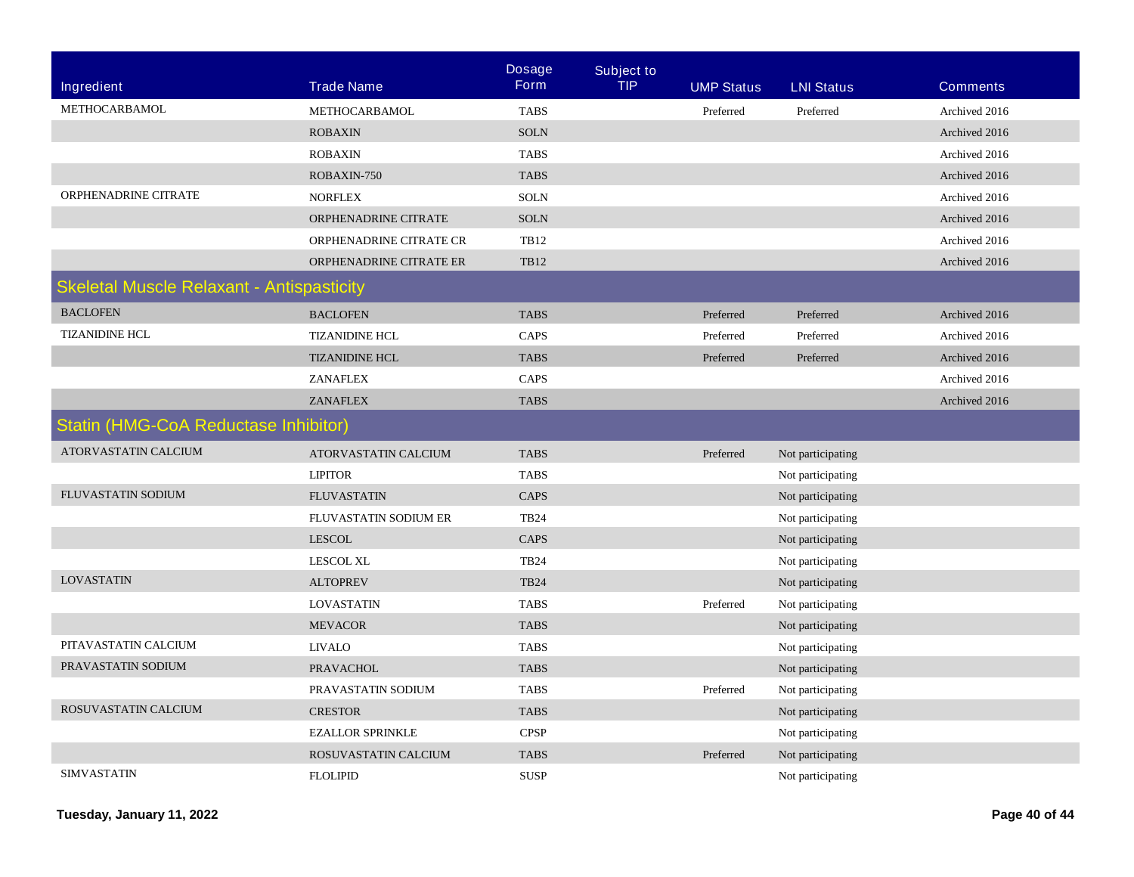|                                                  |                         | <b>Dosage</b> | <b>Subject to</b> |                   |                   |                 |
|--------------------------------------------------|-------------------------|---------------|-------------------|-------------------|-------------------|-----------------|
| <b>Ingredient</b>                                | <b>Trade Name</b>       | <b>Form</b>   | <b>TIP</b>        | <b>UMP Status</b> | <b>LNI Status</b> | <b>Comments</b> |
| METHOCARBAMOL                                    | METHOCARBAMOL           | <b>TABS</b>   |                   | Preferred         | Preferred         | Archived 2016   |
|                                                  | <b>ROBAXIN</b>          | <b>SOLN</b>   |                   |                   |                   | Archived 2016   |
|                                                  | <b>ROBAXIN</b>          | <b>TABS</b>   |                   |                   |                   | Archived 2016   |
|                                                  | ROBAXIN-750             | <b>TABS</b>   |                   |                   |                   | Archived 2016   |
| ORPHENADRINE CITRATE                             | <b>NORFLEX</b>          | <b>SOLN</b>   |                   |                   |                   | Archived 2016   |
|                                                  | ORPHENADRINE CITRATE    | <b>SOLN</b>   |                   |                   |                   | Archived 2016   |
|                                                  | ORPHENADRINE CITRATE CR | <b>TB12</b>   |                   |                   |                   | Archived 2016   |
|                                                  | ORPHENADRINE CITRATE ER | <b>TB12</b>   |                   |                   |                   | Archived 2016   |
| <b>Skeletal Muscle Relaxant - Antispasticity</b> |                         |               |                   |                   |                   |                 |
| <b>BACLOFEN</b>                                  | <b>BACLOFEN</b>         | <b>TABS</b>   |                   | Preferred         | Preferred         | Archived 2016   |
| <b>TIZANIDINE HCL</b>                            | <b>TIZANIDINE HCL</b>   | CAPS          |                   | Preferred         | Preferred         | Archived 2016   |
|                                                  | <b>TIZANIDINE HCL</b>   | <b>TABS</b>   |                   | Preferred         | Preferred         | Archived 2016   |
|                                                  | ZANAFLEX                | CAPS          |                   |                   |                   | Archived 2016   |
|                                                  | <b>ZANAFLEX</b>         | <b>TABS</b>   |                   |                   |                   | Archived 2016   |
| <b>Statin (HMG-CoA Reductase Inhibitor)</b>      |                         |               |                   |                   |                   |                 |
| ATORVASTATIN CALCIUM                             | ATORVASTATIN CALCIUM    | <b>TABS</b>   |                   | Preferred         | Not participating |                 |
|                                                  | <b>LIPITOR</b>          | <b>TABS</b>   |                   |                   | Not participating |                 |
| FLUVASTATIN SODIUM                               | <b>FLUVASTATIN</b>      | CAPS          |                   |                   | Not participating |                 |
|                                                  | FLUVASTATIN SODIUM ER   | <b>TB24</b>   |                   |                   | Not participating |                 |
|                                                  | <b>LESCOL</b>           | CAPS          |                   |                   | Not participating |                 |
|                                                  | <b>LESCOL XL</b>        | <b>TB24</b>   |                   |                   | Not participating |                 |
| <b>LOVASTATIN</b>                                | <b>ALTOPREV</b>         | <b>TB24</b>   |                   |                   | Not participating |                 |
|                                                  | <b>LOVASTATIN</b>       | <b>TABS</b>   |                   | Preferred         | Not participating |                 |
|                                                  | <b>MEVACOR</b>          | <b>TABS</b>   |                   |                   | Not participating |                 |
| PITAVASTATIN CALCIUM                             | <b>LIVALO</b>           | <b>TABS</b>   |                   |                   | Not participating |                 |
| PRAVASTATIN SODIUM                               | <b>PRAVACHOL</b>        | <b>TABS</b>   |                   |                   | Not participating |                 |
|                                                  | PRAVASTATIN SODIUM      | <b>TABS</b>   |                   | Preferred         | Not participating |                 |
| ROSUVASTATIN CALCIUM                             | <b>CRESTOR</b>          | <b>TABS</b>   |                   |                   | Not participating |                 |
|                                                  | <b>EZALLOR SPRINKLE</b> | <b>CPSP</b>   |                   |                   | Not participating |                 |
|                                                  | ROSUVASTATIN CALCIUM    | <b>TABS</b>   |                   | Preferred         | Not participating |                 |
| <b>SIMVASTATIN</b>                               | <b>FLOLIPID</b>         | <b>SUSP</b>   |                   |                   | Not participating |                 |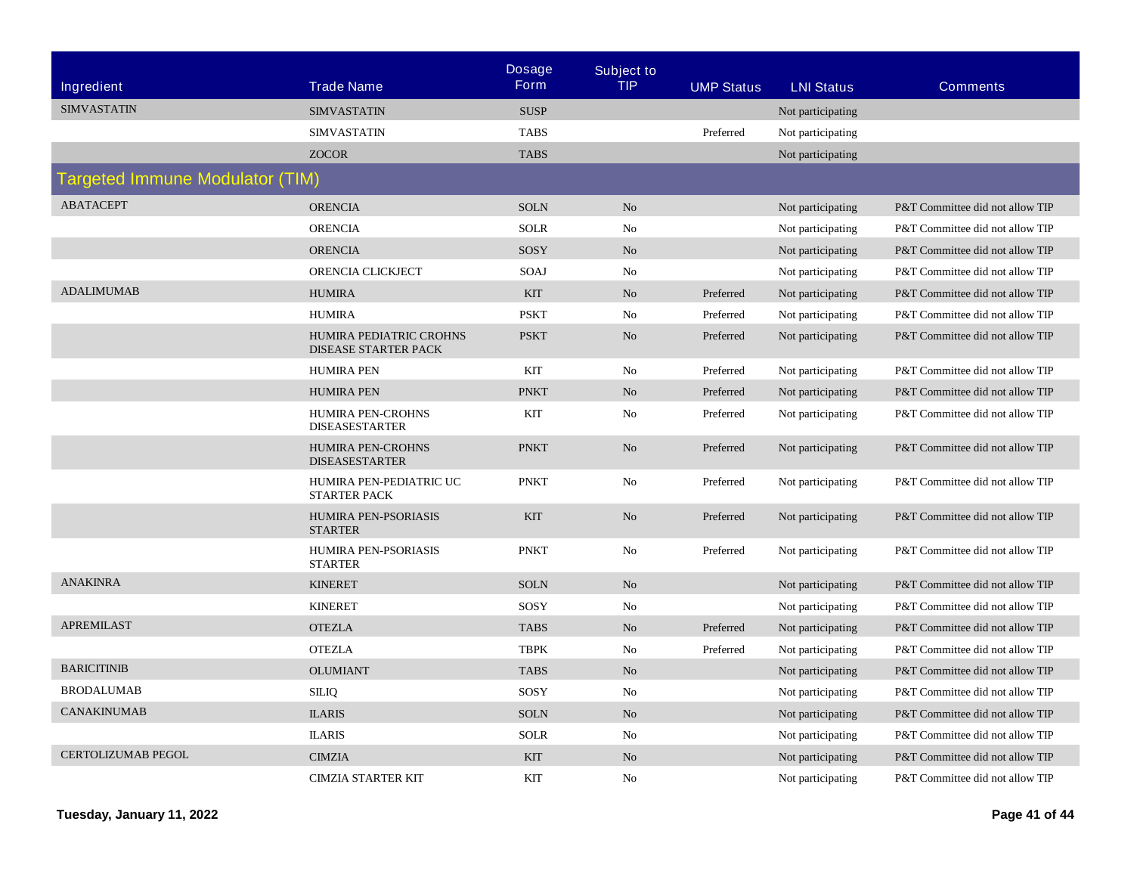|                                        |                                                        | <b>Dosage</b> | <b>Subject to</b> |                   |                   |                                 |
|----------------------------------------|--------------------------------------------------------|---------------|-------------------|-------------------|-------------------|---------------------------------|
| Ingredient                             | <b>Trade Name</b>                                      | <b>Form</b>   | <b>TIP</b>        | <b>UMP Status</b> | <b>LNI Status</b> | <b>Comments</b>                 |
| <b>SIMVASTATIN</b>                     | <b>SIMVASTATIN</b>                                     | <b>SUSP</b>   |                   |                   | Not participating |                                 |
|                                        | <b>SIMVASTATIN</b>                                     | <b>TABS</b>   |                   | Preferred         | Not participating |                                 |
|                                        | <b>ZOCOR</b>                                           | <b>TABS</b>   |                   |                   | Not participating |                                 |
| <b>Targeted Immune Modulator (TIM)</b> |                                                        |               |                   |                   |                   |                                 |
| <b>ABATACEPT</b>                       | <b>ORENCIA</b>                                         | <b>SOLN</b>   | N <sub>o</sub>    |                   | Not participating | P&T Committee did not allow TIP |
|                                        | <b>ORENCIA</b>                                         | <b>SOLR</b>   | No                |                   | Not participating | P&T Committee did not allow TIP |
|                                        | <b>ORENCIA</b>                                         | SOSY          | N <sub>o</sub>    |                   | Not participating | P&T Committee did not allow TIP |
|                                        | ORENCIA CLICKJECT                                      | SOAJ          | No                |                   | Not participating | P&T Committee did not allow TIP |
| <b>ADALIMUMAB</b>                      | <b>HUMIRA</b>                                          | <b>KIT</b>    | N <sub>o</sub>    | Preferred         | Not participating | P&T Committee did not allow TIP |
|                                        | <b>HUMIRA</b>                                          | <b>PSKT</b>   | No                | Preferred         | Not participating | P&T Committee did not allow TIP |
|                                        | HUMIRA PEDIATRIC CROHNS<br><b>DISEASE STARTER PACK</b> | <b>PSKT</b>   | N <sub>0</sub>    | Preferred         | Not participating | P&T Committee did not allow TIP |
|                                        | <b>HUMIRA PEN</b>                                      | KIT           | No                | Preferred         | Not participating | P&T Committee did not allow TIP |
|                                        | <b>HUMIRA PEN</b>                                      | <b>PNKT</b>   | N <sub>o</sub>    | Preferred         | Not participating | P&T Committee did not allow TIP |
|                                        | HUMIRA PEN-CROHNS<br><b>DISEASESTARTER</b>             | <b>KIT</b>    | No                | Preferred         | Not participating | P&T Committee did not allow TIP |
|                                        | HUMIRA PEN-CROHNS<br><b>DISEASESTARTER</b>             | <b>PNKT</b>   | No                | Preferred         | Not participating | P&T Committee did not allow TIP |
|                                        | HUMIRA PEN-PEDIATRIC UC<br><b>STARTER PACK</b>         | <b>PNKT</b>   | No                | Preferred         | Not participating | P&T Committee did not allow TIP |
|                                        | HUMIRA PEN-PSORIASIS<br><b>STARTER</b>                 | <b>KIT</b>    | No                | Preferred         | Not participating | P&T Committee did not allow TIP |
|                                        | HUMIRA PEN-PSORIASIS<br><b>STARTER</b>                 | <b>PNKT</b>   | No                | Preferred         | Not participating | P&T Committee did not allow TIP |
| <b>ANAKINRA</b>                        | <b>KINERET</b>                                         | <b>SOLN</b>   | No                |                   | Not participating | P&T Committee did not allow TIP |
|                                        | <b>KINERET</b>                                         | SOSY          | No                |                   | Not participating | P&T Committee did not allow TIP |
| <b>APREMILAST</b>                      | <b>OTEZLA</b>                                          | <b>TABS</b>   | N <sub>o</sub>    | Preferred         | Not participating | P&T Committee did not allow TIP |
|                                        | <b>OTEZLA</b>                                          | <b>TBPK</b>   | No                | Preferred         | Not participating | P&T Committee did not allow TIP |
| <b>BARICITINIB</b>                     | <b>OLUMIANT</b>                                        | <b>TABS</b>   | N <sub>o</sub>    |                   | Not participating | P&T Committee did not allow TIP |
| <b>BRODALUMAB</b>                      | <b>SILIQ</b>                                           | SOSY          | No                |                   | Not participating | P&T Committee did not allow TIP |
| <b>CANAKINUMAB</b>                     | <b>ILARIS</b>                                          | <b>SOLN</b>   | No                |                   | Not participating | P&T Committee did not allow TIP |
|                                        | <b>ILARIS</b>                                          | <b>SOLR</b>   | No                |                   | Not participating | P&T Committee did not allow TIP |
| <b>CERTOLIZUMAB PEGOL</b>              | <b>CIMZIA</b>                                          | <b>KIT</b>    | No                |                   | Not participating | P&T Committee did not allow TIP |
|                                        | <b>CIMZIA STARTER KIT</b>                              | <b>KIT</b>    | No                |                   | Not participating | P&T Committee did not allow TIP |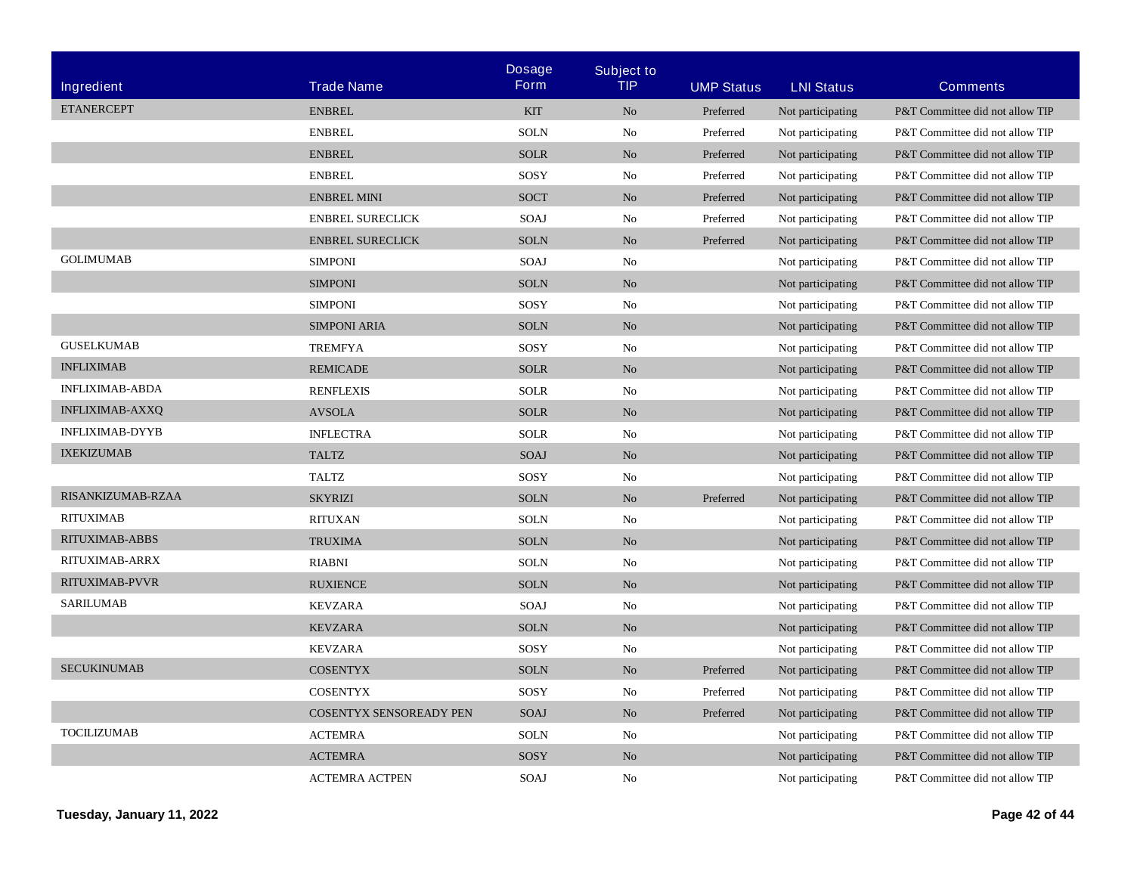| Ingredient             | <b>Trade Name</b>       | <b>Dosage</b><br><b>Form</b> | <b>Subject to</b><br>TIP | <b>UMP Status</b> | <b>LNI Status</b> | <b>Comments</b>                 |
|------------------------|-------------------------|------------------------------|--------------------------|-------------------|-------------------|---------------------------------|
| <b>ETANERCEPT</b>      | <b>ENBREL</b>           | <b>KIT</b>                   | N <sub>o</sub>           | Preferred         | Not participating | P&T Committee did not allow TIP |
|                        | <b>ENBREL</b>           | <b>SOLN</b>                  | No                       | Preferred         | Not participating | P&T Committee did not allow TIP |
|                        | <b>ENBREL</b>           | <b>SOLR</b>                  | N <sub>o</sub>           | Preferred         | Not participating | P&T Committee did not allow TIP |
|                        | <b>ENBREL</b>           | SOSY                         | No                       | Preferred         | Not participating | P&T Committee did not allow TIP |
|                        | <b>ENBREL MINI</b>      | <b>SOCT</b>                  | No                       | Preferred         | Not participating | P&T Committee did not allow TIP |
|                        | <b>ENBREL SURECLICK</b> | SOAJ                         | No                       | Preferred         | Not participating | P&T Committee did not allow TIP |
|                        | <b>ENBREL SURECLICK</b> | <b>SOLN</b>                  | No                       | Preferred         | Not participating | P&T Committee did not allow TIP |
| <b>GOLIMUMAB</b>       | <b>SIMPONI</b>          | SOAJ                         | No                       |                   | Not participating | P&T Committee did not allow TIP |
|                        | <b>SIMPONI</b>          | <b>SOLN</b>                  | N <sub>o</sub>           |                   | Not participating | P&T Committee did not allow TIP |
|                        | <b>SIMPONI</b>          | SOSY                         | No                       |                   | Not participating | P&T Committee did not allow TIP |
|                        | <b>SIMPONI ARIA</b>     | <b>SOLN</b>                  | N <sub>o</sub>           |                   | Not participating | P&T Committee did not allow TIP |
| <b>GUSELKUMAB</b>      | <b>TREMFYA</b>          | SOSY                         | No                       |                   | Not participating | P&T Committee did not allow TIP |
| <b>INFLIXIMAB</b>      | <b>REMICADE</b>         | <b>SOLR</b>                  | N <sub>o</sub>           |                   | Not participating | P&T Committee did not allow TIP |
| <b>INFLIXIMAB-ABDA</b> | <b>RENFLEXIS</b>        | <b>SOLR</b>                  | No                       |                   | Not participating | P&T Committee did not allow TIP |
| <b>INFLIXIMAB-AXXQ</b> | <b>AVSOLA</b>           | <b>SOLR</b>                  | No                       |                   | Not participating | P&T Committee did not allow TIP |
| <b>INFLIXIMAB-DYYB</b> | <b>INFLECTRA</b>        | <b>SOLR</b>                  | No                       |                   | Not participating | P&T Committee did not allow TIP |
| <b>IXEKIZUMAB</b>      | <b>TALTZ</b>            | SOAJ                         | N <sub>o</sub>           |                   | Not participating | P&T Committee did not allow TIP |
|                        | <b>TALTZ</b>            | SOSY                         | No                       |                   | Not participating | P&T Committee did not allow TIP |
| RISANKIZUMAB-RZAA      | <b>SKYRIZI</b>          | <b>SOLN</b>                  | N <sub>o</sub>           | Preferred         | Not participating | P&T Committee did not allow TIP |
| <b>RITUXIMAB</b>       | <b>RITUXAN</b>          | <b>SOLN</b>                  | No                       |                   | Not participating | P&T Committee did not allow TIP |
| RITUXIMAB-ABBS         | <b>TRUXIMA</b>          | <b>SOLN</b>                  | N <sub>o</sub>           |                   | Not participating | P&T Committee did not allow TIP |
| RITUXIMAB-ARRX         | <b>RIABNI</b>           | <b>SOLN</b>                  | No                       |                   | Not participating | P&T Committee did not allow TIP |
| RITUXIMAB-PVVR         | <b>RUXIENCE</b>         | <b>SOLN</b>                  | N <sub>o</sub>           |                   | Not participating | P&T Committee did not allow TIP |
| <b>SARILUMAB</b>       | <b>KEVZARA</b>          | SOAJ                         | N <sub>0</sub>           |                   | Not participating | P&T Committee did not allow TIP |
|                        | <b>KEVZARA</b>          | <b>SOLN</b>                  | N <sub>o</sub>           |                   | Not participating | P&T Committee did not allow TIP |
|                        | <b>KEVZARA</b>          | SOSY                         | No                       |                   | Not participating | P&T Committee did not allow TIP |
| <b>SECUKINUMAB</b>     | <b>COSENTYX</b>         | <b>SOLN</b>                  | N <sub>o</sub>           | Preferred         | Not participating | P&T Committee did not allow TIP |
|                        | <b>COSENTYX</b>         | SOSY                         | No                       | Preferred         | Not participating | P&T Committee did not allow TIP |
|                        | COSENTYX SENSOREADY PEN | <b>SOAJ</b>                  | N <sub>o</sub>           | Preferred         | Not participating | P&T Committee did not allow TIP |
| <b>TOCILIZUMAB</b>     | <b>ACTEMRA</b>          | <b>SOLN</b>                  | No                       |                   | Not participating | P&T Committee did not allow TIP |
|                        | <b>ACTEMRA</b>          | SOSY                         | N <sub>o</sub>           |                   | Not participating | P&T Committee did not allow TIP |
|                        | <b>ACTEMRA ACTPEN</b>   | SOAJ                         | No                       |                   | Not participating | P&T Committee did not allow TIP |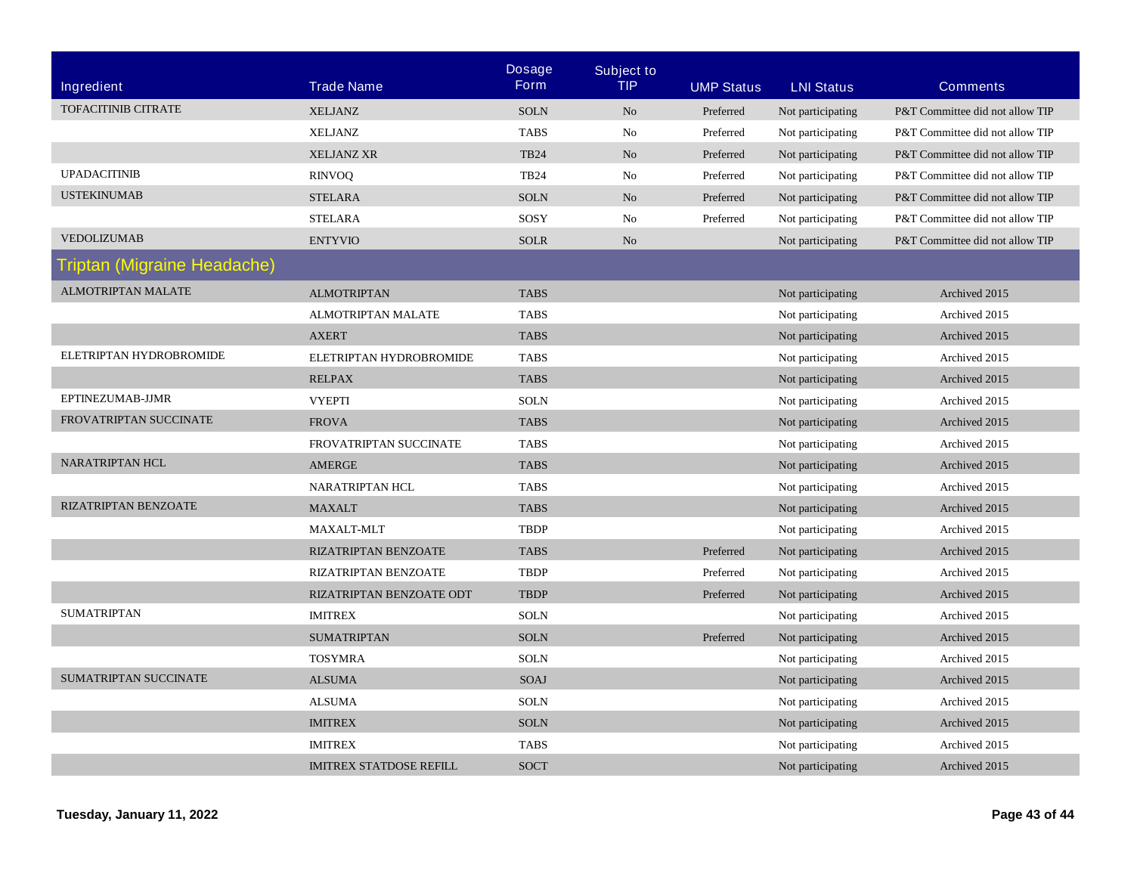| Ingredient                         | <b>Trade Name</b>              | <b>Dosage</b><br><b>Form</b> | <b>Subject to</b><br><b>TIP</b> | <b>UMP Status</b> | <b>LNI Status</b> | <b>Comments</b>                 |
|------------------------------------|--------------------------------|------------------------------|---------------------------------|-------------------|-------------------|---------------------------------|
| TOFACITINIB CITRATE                | <b>XELJANZ</b>                 | <b>SOLN</b>                  | No                              | Preferred         | Not participating | P&T Committee did not allow TIP |
|                                    | <b>XELJANZ</b>                 | <b>TABS</b>                  | No                              | Preferred         | Not participating | P&T Committee did not allow TIP |
|                                    | <b>XELJANZ XR</b>              | <b>TB24</b>                  | No                              | Preferred         | Not participating | P&T Committee did not allow TIP |
| <b>UPADACITINIB</b>                | <b>RINVOQ</b>                  | <b>TB24</b>                  | No                              | Preferred         | Not participating | P&T Committee did not allow TIP |
| <b>USTEKINUMAB</b>                 | <b>STELARA</b>                 | <b>SOLN</b>                  | N <sub>o</sub>                  | Preferred         | Not participating | P&T Committee did not allow TIP |
|                                    | <b>STELARA</b>                 | SOSY                         | N <sub>o</sub>                  | Preferred         | Not participating | P&T Committee did not allow TIP |
| <b>VEDOLIZUMAB</b>                 | <b>ENTYVIO</b>                 | <b>SOLR</b>                  | N <sub>o</sub>                  |                   | Not participating | P&T Committee did not allow TIP |
| <b>Triptan (Migraine Headache)</b> |                                |                              |                                 |                   |                   |                                 |
| <b>ALMOTRIPTAN MALATE</b>          | <b>ALMOTRIPTAN</b>             | <b>TABS</b>                  |                                 |                   | Not participating | Archived 2015                   |
|                                    | ALMOTRIPTAN MALATE             | <b>TABS</b>                  |                                 |                   | Not participating | Archived 2015                   |
|                                    | <b>AXERT</b>                   | <b>TABS</b>                  |                                 |                   | Not participating | Archived 2015                   |
| ELETRIPTAN HYDROBROMIDE            | ELETRIPTAN HYDROBROMIDE        | <b>TABS</b>                  |                                 |                   | Not participating | Archived 2015                   |
|                                    | <b>RELPAX</b>                  | <b>TABS</b>                  |                                 |                   | Not participating | Archived 2015                   |
| EPTINEZUMAB-JJMR                   | <b>VYEPTI</b>                  | <b>SOLN</b>                  |                                 |                   | Not participating | Archived 2015                   |
| FROVATRIPTAN SUCCINATE             | <b>FROVA</b>                   | <b>TABS</b>                  |                                 |                   | Not participating | Archived 2015                   |
|                                    | FROVATRIPTAN SUCCINATE         | <b>TABS</b>                  |                                 |                   | Not participating | Archived 2015                   |
| <b>NARATRIPTAN HCL</b>             | AMERGE                         | <b>TABS</b>                  |                                 |                   | Not participating | Archived 2015                   |
|                                    | <b>NARATRIPTAN HCL</b>         | <b>TABS</b>                  |                                 |                   | Not participating | Archived 2015                   |
| RIZATRIPTAN BENZOATE               | <b>MAXALT</b>                  | <b>TABS</b>                  |                                 |                   | Not participating | Archived 2015                   |
|                                    | MAXALT-MLT                     | <b>TBDP</b>                  |                                 |                   | Not participating | Archived 2015                   |
|                                    | RIZATRIPTAN BENZOATE           | <b>TABS</b>                  |                                 | Preferred         | Not participating | Archived 2015                   |
|                                    | RIZATRIPTAN BENZOATE           | <b>TBDP</b>                  |                                 | Preferred         | Not participating | Archived 2015                   |
|                                    | RIZATRIPTAN BENZOATE ODT       | <b>TBDP</b>                  |                                 | Preferred         | Not participating | Archived 2015                   |
| <b>SUMATRIPTAN</b>                 | <b>IMITREX</b>                 | <b>SOLN</b>                  |                                 |                   | Not participating | Archived 2015                   |
|                                    | <b>SUMATRIPTAN</b>             | <b>SOLN</b>                  |                                 | Preferred         | Not participating | Archived 2015                   |
|                                    | <b>TOSYMRA</b>                 | <b>SOLN</b>                  |                                 |                   | Not participating | Archived 2015                   |
| <b>SUMATRIPTAN SUCCINATE</b>       | <b>ALSUMA</b>                  | SOAJ                         |                                 |                   | Not participating | Archived 2015                   |
|                                    | <b>ALSUMA</b>                  | <b>SOLN</b>                  |                                 |                   | Not participating | Archived 2015                   |
|                                    | <b>IMITREX</b>                 | <b>SOLN</b>                  |                                 |                   | Not participating | Archived 2015                   |
|                                    | <b>IMITREX</b>                 | <b>TABS</b>                  |                                 |                   | Not participating | Archived 2015                   |
|                                    | <b>IMITREX STATDOSE REFILL</b> | <b>SOCT</b>                  |                                 |                   | Not participating | Archived 2015                   |